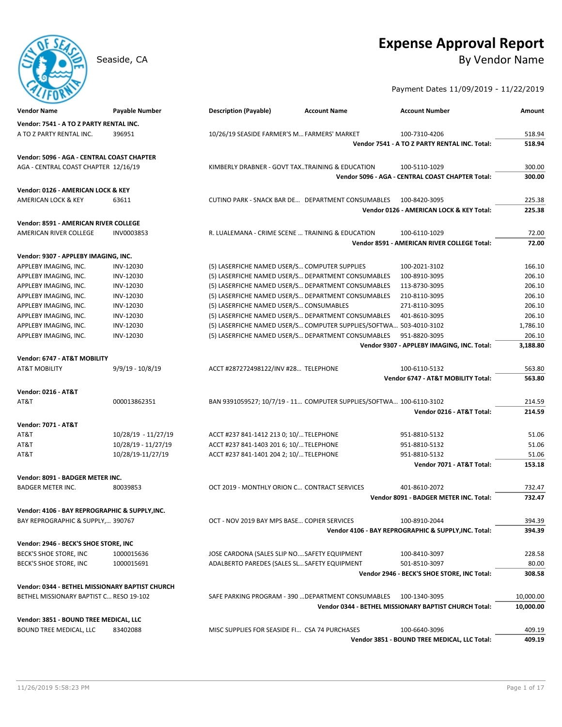# **Expense Approval Report**

# Seaside, CA By Vendor Name

# Payment Dates 11/09/2019 - 11/22/2019

| <b>Vendor Name</b>                              | Payable Number      | <b>Description (Payable)</b>                     | <b>Account Name</b>                                                 | <b>Account Number</b>                                 | Amount           |
|-------------------------------------------------|---------------------|--------------------------------------------------|---------------------------------------------------------------------|-------------------------------------------------------|------------------|
| Vendor: 7541 - A TO Z PARTY RENTAL INC.         |                     |                                                  |                                                                     |                                                       |                  |
| A TO Z PARTY RENTAL INC.                        | 396951              | 10/26/19 SEASIDE FARMER'S M FARMERS' MARKET      |                                                                     | 100-7310-4206                                         | 518.94           |
|                                                 |                     |                                                  |                                                                     | Vendor 7541 - A TO Z PARTY RENTAL INC. Total:         | 518.94           |
| Vendor: 5096 - AGA - CENTRAL COAST CHAPTER      |                     |                                                  |                                                                     |                                                       |                  |
| AGA - CENTRAL COAST CHAPTER 12/16/19            |                     | KIMBERLY DRABNER - GOVT TAXTRAINING & EDUCATION  |                                                                     | 100-5110-1029                                         | 300.00           |
|                                                 |                     |                                                  |                                                                     | Vendor 5096 - AGA - CENTRAL COAST CHAPTER Total:      | 300.00           |
| Vendor: 0126 - AMERICAN LOCK & KEY              |                     |                                                  |                                                                     |                                                       |                  |
| AMERICAN LOCK & KEY                             | 63611               |                                                  | CUTINO PARK - SNACK BAR DE DEPARTMENT CONSUMABLES                   | 100-8420-3095                                         | 225.38           |
|                                                 |                     |                                                  |                                                                     | Vendor 0126 - AMERICAN LOCK & KEY Total:              | 225.38           |
| Vendor: 8591 - AMERICAN RIVER COLLEGE           |                     |                                                  |                                                                     |                                                       |                  |
| AMERICAN RIVER COLLEGE                          | INV0003853          | R. LUALEMANA - CRIME SCENE  TRAINING & EDUCATION |                                                                     | 100-6110-1029                                         | 72.00            |
|                                                 |                     |                                                  |                                                                     | Vendor 8591 - AMERICAN RIVER COLLEGE Total:           | 72.00            |
|                                                 |                     |                                                  |                                                                     |                                                       |                  |
| Vendor: 9307 - APPLEBY IMAGING, INC.            | INV-12030           | (5) LASERFICHE NAMED USER/S COMPUTER SUPPLIES    |                                                                     | 100-2021-3102                                         | 166.10           |
| APPLEBY IMAGING, INC.<br>APPLEBY IMAGING, INC.  | INV-12030           |                                                  | (5) LASERFICHE NAMED USER/S DEPARTMENT CONSUMABLES                  | 100-8910-3095                                         | 206.10           |
| APPLEBY IMAGING, INC.                           | INV-12030           |                                                  | (5) LASERFICHE NAMED USER/S DEPARTMENT CONSUMABLES                  | 113-8730-3095                                         | 206.10           |
| APPLEBY IMAGING, INC.                           | INV-12030           |                                                  | (5) LASERFICHE NAMED USER/S DEPARTMENT CONSUMABLES                  | 210-8110-3095                                         | 206.10           |
| APPLEBY IMAGING, INC.                           | INV-12030           | (5) LASERFICHE NAMED USER/S CONSUMABLES          |                                                                     | 271-8110-3095                                         | 206.10           |
| APPLEBY IMAGING, INC.                           | INV-12030           |                                                  | (5) LASERFICHE NAMED USER/S DEPARTMENT CONSUMABLES                  | 401-8610-3095                                         | 206.10           |
| APPLEBY IMAGING, INC.                           | INV-12030           |                                                  | (5) LASERFICHE NAMED USER/S COMPUTER SUPPLIES/SOFTWA                | 503-4010-3102                                         | 1,786.10         |
| APPLEBY IMAGING, INC.                           | INV-12030           |                                                  | (5) LASERFICHE NAMED USER/S DEPARTMENT CONSUMABLES                  | 951-8820-3095                                         | 206.10           |
|                                                 |                     |                                                  |                                                                     | Vendor 9307 - APPLEBY IMAGING, INC. Total:            | 3,188.80         |
|                                                 |                     |                                                  |                                                                     |                                                       |                  |
| Vendor: 6747 - AT&T MOBILITY                    |                     |                                                  |                                                                     |                                                       |                  |
| <b>AT&amp;T MOBILITY</b>                        | $9/9/19 - 10/8/19$  | ACCT #287272498122/INV #28 TELEPHONE             |                                                                     | 100-6110-5132<br>Vendor 6747 - AT&T MOBILITY Total:   | 563.80<br>563.80 |
|                                                 |                     |                                                  |                                                                     |                                                       |                  |
| <b>Vendor: 0216 - AT&amp;T</b>                  |                     |                                                  |                                                                     |                                                       |                  |
| AT&T                                            | 000013862351        |                                                  | BAN 9391059527; 10/7/19 - 11 COMPUTER SUPPLIES/SOFTWA 100-6110-3102 |                                                       | 214.59           |
|                                                 |                     |                                                  |                                                                     | Vendor 0216 - AT&T Total:                             | 214.59           |
| <b>Vendor: 7071 - AT&amp;T</b>                  |                     |                                                  |                                                                     |                                                       |                  |
| AT&T                                            | 10/28/19 - 11/27/19 | ACCT #237 841-1412 213 0; 10/ TELEPHONE          |                                                                     | 951-8810-5132                                         | 51.06            |
| AT&T                                            | 10/28/19 - 11/27/19 | ACCT #237 841-1403 201 6; 10/ TELEPHONE          |                                                                     | 951-8810-5132                                         | 51.06            |
| AT&T                                            | 10/28/19-11/27/19   | ACCT #237 841-1401 204 2; 10/ TELEPHONE          |                                                                     | 951-8810-5132                                         | 51.06            |
|                                                 |                     |                                                  |                                                                     | Vendor 7071 - AT&T Total:                             | 153.18           |
| Vendor: 8091 - BADGER METER INC.                |                     |                                                  |                                                                     |                                                       |                  |
| <b>BADGER METER INC.</b>                        | 80039853            | OCT 2019 - MONTHLY ORION C CONTRACT SERVICES     |                                                                     | 401-8610-2072                                         | 732.47           |
|                                                 |                     |                                                  |                                                                     | Vendor 8091 - BADGER METER INC. Total:                | 732.47           |
| Vendor: 4106 - BAY REPROGRAPHIC & SUPPLY, INC.  |                     |                                                  |                                                                     |                                                       |                  |
| BAY REPROGRAPHIC & SUPPLY, 390767               |                     | OCT - NOV 2019 BAY MPS BASE COPIER SERVICES      |                                                                     | 100-8910-2044                                         | 394.39           |
|                                                 |                     |                                                  |                                                                     | Vendor 4106 - BAY REPROGRAPHIC & SUPPLY, INC. Total:  | 394.39           |
| Vendor: 2946 - BECK'S SHOE STORE, INC           |                     |                                                  |                                                                     |                                                       |                  |
| BECK'S SHOE STORE, INC                          | 1000015636          | JOSE CARDONA (SALES SLIP NOSAFETY EQUIPMENT      |                                                                     | 100-8410-3097                                         | 228.58           |
| BECK'S SHOE STORE, INC                          | 1000015691          | ADALBERTO PAREDES (SALES SL SAFETY EQUIPMENT     |                                                                     | 501-8510-3097                                         | 80.00            |
|                                                 |                     |                                                  |                                                                     | Vendor 2946 - BECK'S SHOE STORE, INC Total:           | 308.58           |
|                                                 |                     |                                                  |                                                                     |                                                       |                  |
| Vendor: 0344 - BETHEL MISSIONARY BAPTIST CHURCH |                     |                                                  |                                                                     |                                                       |                  |
| BETHEL MISSIONARY BAPTIST C RESO 19-102         |                     |                                                  | SAFE PARKING PROGRAM - 390  DEPARTMENT CONSUMABLES                  | 100-1340-3095                                         | 10,000.00        |
|                                                 |                     |                                                  |                                                                     | Vendor 0344 - BETHEL MISSIONARY BAPTIST CHURCH Total: | 10,000.00        |
| Vendor: 3851 - BOUND TREE MEDICAL, LLC          |                     |                                                  |                                                                     |                                                       |                  |
| BOUND TREE MEDICAL, LLC                         | 83402088            | MISC SUPPLIES FOR SEASIDE FI CSA 74 PURCHASES    |                                                                     | 100-6640-3096                                         | 409.19           |
|                                                 |                     |                                                  |                                                                     | Vendor 3851 - BOUND TREE MEDICAL, LLC Total:          | 409.19           |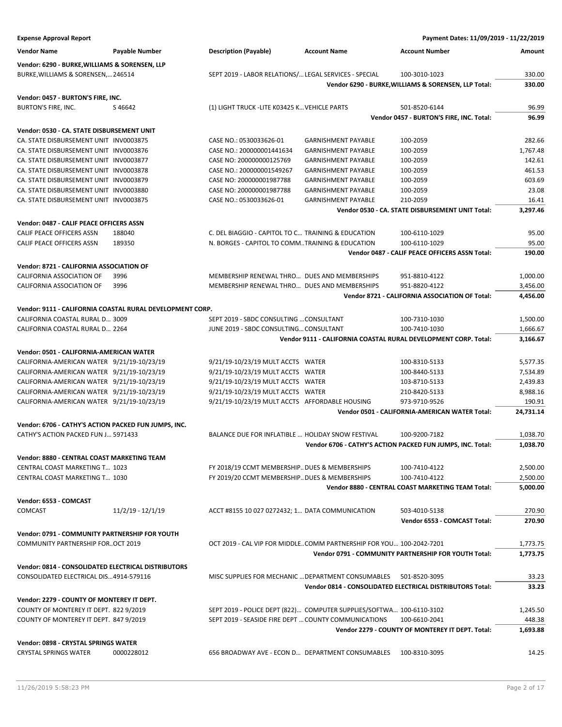| <b>Expense Approval Report</b>                            |                     |                                                                      |                            | Payment Dates: 11/09/2019 - 11/22/2019                          |           |
|-----------------------------------------------------------|---------------------|----------------------------------------------------------------------|----------------------------|-----------------------------------------------------------------|-----------|
| <b>Vendor Name</b>                                        | Payable Number      | <b>Description (Payable)</b>                                         | <b>Account Name</b>        | <b>Account Number</b>                                           | Amount    |
|                                                           |                     |                                                                      |                            |                                                                 |           |
| Vendor: 6290 - BURKE, WILLIAMS & SORENSEN, LLP            |                     |                                                                      |                            |                                                                 |           |
| BURKE, WILLIAMS & SORENSEN, 246514                        |                     | SEPT 2019 - LABOR RELATIONS/ LEGAL SERVICES - SPECIAL                |                            | 100-3010-1023                                                   | 330.00    |
|                                                           |                     |                                                                      |                            | Vendor 6290 - BURKE, WILLIAMS & SORENSEN, LLP Total:            | 330.00    |
| Vendor: 0457 - BURTON'S FIRE, INC.                        |                     |                                                                      |                            |                                                                 |           |
| BURTON'S FIRE, INC.                                       | S46642              | (1) LIGHT TRUCK -LITE K03425 K VEHICLE PARTS                         |                            | 501-8520-6144                                                   | 96.99     |
|                                                           |                     |                                                                      |                            | Vendor 0457 - BURTON'S FIRE, INC. Total:                        | 96.99     |
| Vendor: 0530 - CA. STATE DISBURSEMENT UNIT                |                     |                                                                      |                            |                                                                 |           |
| CA. STATE DISBURSEMENT UNIT INV0003875                    |                     | CASE NO.: 0530033626-01                                              | <b>GARNISHMENT PAYABLE</b> | 100-2059                                                        | 282.66    |
| CA. STATE DISBURSEMENT UNIT INV0003876                    |                     | CASE NO.: 200000001441634                                            | <b>GARNISHMENT PAYABLE</b> | 100-2059                                                        | 1,767.48  |
| CA. STATE DISBURSEMENT UNIT INV0003877                    |                     | CASE NO: 200000000125769                                             | <b>GARNISHMENT PAYABLE</b> | 100-2059                                                        | 142.61    |
| CA. STATE DISBURSEMENT UNIT INV0003878                    |                     | CASE NO.: 200000001549267                                            | <b>GARNISHMENT PAYABLE</b> | 100-2059                                                        | 461.53    |
| CA. STATE DISBURSEMENT UNIT INV0003879                    |                     | CASE NO: 200000001987788                                             | <b>GARNISHMENT PAYABLE</b> | 100-2059                                                        | 603.69    |
| CA. STATE DISBURSEMENT UNIT INV0003880                    |                     | CASE NO: 200000001987788                                             | <b>GARNISHMENT PAYABLE</b> | 100-2059                                                        | 23.08     |
| CA. STATE DISBURSEMENT UNIT INV0003875                    |                     | CASE NO.: 0530033626-01                                              | <b>GARNISHMENT PAYABLE</b> | 210-2059                                                        | 16.41     |
|                                                           |                     |                                                                      |                            | Vendor 0530 - CA. STATE DISBURSEMENT UNIT Total:                | 3,297.46  |
|                                                           |                     |                                                                      |                            |                                                                 |           |
| Vendor: 0487 - CALIF PEACE OFFICERS ASSN                  |                     |                                                                      |                            |                                                                 |           |
| CALIF PEACE OFFICERS ASSN                                 | 188040              | C. DEL BIAGGIO - CAPITOL TO C TRAINING & EDUCATION                   |                            | 100-6110-1029                                                   | 95.00     |
| CALIF PEACE OFFICERS ASSN                                 | 189350              | N. BORGES - CAPITOL TO COMM. TRAINING & EDUCATION                    |                            | 100-6110-1029                                                   | 95.00     |
|                                                           |                     |                                                                      |                            | Vendor 0487 - CALIF PEACE OFFICERS ASSN Total:                  | 190.00    |
| Vendor: 8721 - CALIFORNIA ASSOCIATION OF                  |                     |                                                                      |                            |                                                                 |           |
| CALIFORNIA ASSOCIATION OF                                 | 3996                | MEMBERSHIP RENEWAL THRO DUES AND MEMBERSHIPS                         |                            | 951-8810-4122                                                   | 1,000.00  |
| <b>CALIFORNIA ASSOCIATION OF</b>                          | 3996                | MEMBERSHIP RENEWAL THRO DUES AND MEMBERSHIPS                         |                            | 951-8820-4122                                                   | 3,456.00  |
|                                                           |                     |                                                                      |                            | Vendor 8721 - CALIFORNIA ASSOCIATION OF Total:                  | 4,456.00  |
|                                                           |                     |                                                                      |                            |                                                                 |           |
| Vendor: 9111 - CALIFORNIA COASTAL RURAL DEVELOPMENT CORP. |                     |                                                                      |                            |                                                                 |           |
| CALIFORNIA COASTAL RURAL D 3009                           |                     | SEPT 2019 - SBDC CONSULTING  CONSULTANT                              |                            | 100-7310-1030                                                   | 1,500.00  |
| CALIFORNIA COASTAL RURAL D 2264                           |                     | JUNE 2019 - SBDC CONSULTING CONSULTANT                               |                            | 100-7410-1030                                                   | 1,666.67  |
|                                                           |                     |                                                                      |                            | Vendor 9111 - CALIFORNIA COASTAL RURAL DEVELOPMENT CORP. Total: | 3,166.67  |
| Vendor: 0501 - CALIFORNIA-AMERICAN WATER                  |                     |                                                                      |                            |                                                                 |           |
| CALIFORNIA-AMERICAN WATER 9/21/19-10/23/19                |                     | 9/21/19-10/23/19 MULT ACCTS WATER                                    |                            | 100-8310-5133                                                   | 5,577.35  |
| CALIFORNIA-AMERICAN WATER 9/21/19-10/23/19                |                     | 9/21/19-10/23/19 MULT ACCTS WATER                                    |                            | 100-8440-5133                                                   | 7,534.89  |
| CALIFORNIA-AMERICAN WATER 9/21/19-10/23/19                |                     | 9/21/19-10/23/19 MULT ACCTS WATER                                    |                            | 103-8710-5133                                                   | 2,439.83  |
| CALIFORNIA-AMERICAN WATER 9/21/19-10/23/19                |                     | 9/21/19-10/23/19 MULT ACCTS WATER                                    |                            | 210-8420-5133                                                   | 8,988.16  |
| CALIFORNIA-AMERICAN WATER 9/21/19-10/23/19                |                     | 9/21/19-10/23/19 MULT ACCTS AFFORDABLE HOUSING                       |                            | 973-9710-9526                                                   | 190.91    |
|                                                           |                     |                                                                      |                            | Vendor 0501 - CALIFORNIA-AMERICAN WATER Total:                  | 24,731.14 |
|                                                           |                     |                                                                      |                            |                                                                 |           |
| Vendor: 6706 - CATHY'S ACTION PACKED FUN JUMPS, INC.      |                     |                                                                      |                            |                                                                 |           |
| CATHY'S ACTION PACKED FUN J 5971433                       |                     | BALANCE DUE FOR INFLATIBLE  HOLIDAY SNOW FESTIVAL                    |                            | 100-9200-7182                                                   | 1,038.70  |
|                                                           |                     |                                                                      |                            | Vendor 6706 - CATHY'S ACTION PACKED FUN JUMPS, INC. Total:      | 1,038.70  |
| <b>Vendor: 8880 - CENTRAL COAST MARKETING TEAM</b>        |                     |                                                                      |                            |                                                                 |           |
| CENTRAL COAST MARKETING T 1023                            |                     | FY 2018/19 CCMT MEMBERSHIP DUES & MEMBERSHIPS                        |                            | 100-7410-4122                                                   | 2,500.00  |
| CENTRAL COAST MARKETING T 1030                            |                     | FY 2019/20 CCMT MEMBERSHIP DUES & MEMBERSHIPS                        |                            | 100-7410-4122                                                   | 2,500.00  |
|                                                           |                     |                                                                      |                            | Vendor 8880 - CENTRAL COAST MARKETING TEAM Total:               | 5,000.00  |
|                                                           |                     |                                                                      |                            |                                                                 |           |
| Vendor: 6553 - COMCAST                                    |                     |                                                                      |                            |                                                                 |           |
| COMCAST                                                   | $11/2/19 - 12/1/19$ | ACCT #8155 10 027 0272432; 1 DATA COMMUNICATION                      |                            | 503-4010-5138                                                   | 270.90    |
|                                                           |                     |                                                                      |                            | Vendor 6553 - COMCAST Total:                                    | 270.90    |
| Vendor: 0791 - COMMUNITY PARTNERSHIP FOR YOUTH            |                     |                                                                      |                            |                                                                 |           |
| COMMUNITY PARTNERSHIP FOROCT 2019                         |                     | OCT 2019 - CAL VIP FOR MIDDLECOMM PARTNERSHIP FOR YOU 100-2042-7201  |                            |                                                                 | 1,773.75  |
|                                                           |                     |                                                                      |                            | Vendor 0791 - COMMUNITY PARTNERSHIP FOR YOUTH Total:            | 1,773.75  |
|                                                           |                     |                                                                      |                            |                                                                 |           |
| Vendor: 0814 - CONSOLIDATED ELECTRICAL DISTRIBUTORS       |                     |                                                                      |                            |                                                                 |           |
| CONSOLIDATED ELECTRICAL DIS4914-579116                    |                     | MISC SUPPLIES FOR MECHANIC  DEPARTMENT CONSUMABLES                   |                            | 501-8520-3095                                                   | 33.23     |
|                                                           |                     |                                                                      |                            | Vendor 0814 - CONSOLIDATED ELECTRICAL DISTRIBUTORS Total:       | 33.23     |
| Vendor: 2279 - COUNTY OF MONTEREY IT DEPT.                |                     |                                                                      |                            |                                                                 |           |
| COUNTY OF MONTEREY IT DEPT. 822 9/2019                    |                     | SEPT 2019 - POLICE DEPT (822) COMPUTER SUPPLIES/SOFTWA 100-6110-3102 |                            |                                                                 | 1,245.50  |
| COUNTY OF MONTEREY IT DEPT. 847 9/2019                    |                     | SEPT 2019 - SEASIDE FIRE DEPT  COUNTY COMMUNICATIONS                 |                            | 100-6610-2041                                                   | 448.38    |
|                                                           |                     |                                                                      |                            | Vendor 2279 - COUNTY OF MONTEREY IT DEPT. Total:                | 1,693.88  |
|                                                           |                     |                                                                      |                            |                                                                 |           |
| Vendor: 0898 - CRYSTAL SPRINGS WATER                      |                     |                                                                      |                            |                                                                 |           |
| <b>CRYSTAL SPRINGS WATER</b>                              | 0000228012          | 656 BROADWAY AVE - ECON D DEPARTMENT CONSUMABLES                     |                            | 100-8310-3095                                                   | 14.25     |
|                                                           |                     |                                                                      |                            |                                                                 |           |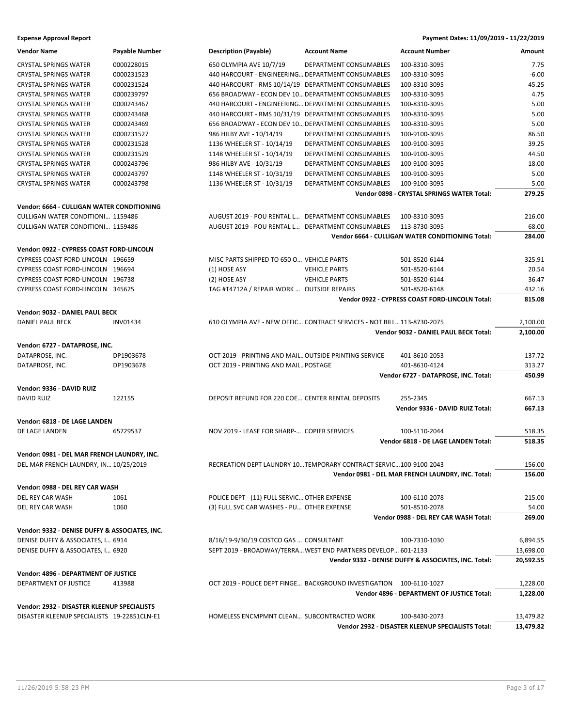**Expense Approval Report Payment Dates: 11/09/2019 - 11/22/2019**

| <b>Vendor Name</b>                             | Payable Number  | <b>Description (Payable)</b>                          | <b>Account Name</b>                                                    | <b>Account Number</b>                                | Amount    |
|------------------------------------------------|-----------------|-------------------------------------------------------|------------------------------------------------------------------------|------------------------------------------------------|-----------|
| <b>CRYSTAL SPRINGS WATER</b>                   | 0000228015      | 650 OLYMPIA AVE 10/7/19                               | DEPARTMENT CONSUMABLES                                                 | 100-8310-3095                                        | 7.75      |
| <b>CRYSTAL SPRINGS WATER</b>                   | 0000231523      | 440 HARCOURT - ENGINEERING DEPARTMENT CONSUMABLES     |                                                                        | 100-8310-3095                                        | $-6.00$   |
| <b>CRYSTAL SPRINGS WATER</b>                   | 0000231524      | 440 HARCOURT - RMS 10/14/19 DEPARTMENT CONSUMABLES    |                                                                        | 100-8310-3095                                        | 45.25     |
| <b>CRYSTAL SPRINGS WATER</b>                   | 0000239797      | 656 BROADWAY - ECON DEV 10 DEPARTMENT CONSUMABLES     |                                                                        | 100-8310-3095                                        | 4.75      |
| <b>CRYSTAL SPRINGS WATER</b>                   | 0000243467      | 440 HARCOURT - ENGINEERING DEPARTMENT CONSUMABLES     |                                                                        | 100-8310-3095                                        | 5.00      |
| <b>CRYSTAL SPRINGS WATER</b>                   | 0000243468      | 440 HARCOURT - RMS 10/31/19 DEPARTMENT CONSUMABLES    |                                                                        | 100-8310-3095                                        | 5.00      |
| <b>CRYSTAL SPRINGS WATER</b>                   | 0000243469      | 656 BROADWAY - ECON DEV 10 DEPARTMENT CONSUMABLES     |                                                                        | 100-8310-3095                                        | 5.00      |
| <b>CRYSTAL SPRINGS WATER</b>                   | 0000231527      | 986 HILBY AVE - 10/14/19                              | DEPARTMENT CONSUMABLES                                                 | 100-9100-3095                                        | 86.50     |
| <b>CRYSTAL SPRINGS WATER</b>                   | 0000231528      | 1136 WHEELER ST - 10/14/19                            | DEPARTMENT CONSUMABLES                                                 | 100-9100-3095                                        | 39.25     |
| <b>CRYSTAL SPRINGS WATER</b>                   | 0000231529      | 1148 WHEELER ST - 10/14/19                            | DEPARTMENT CONSUMABLES                                                 | 100-9100-3095                                        | 44.50     |
| <b>CRYSTAL SPRINGS WATER</b>                   | 0000243796      | 986 HILBY AVE - 10/31/19                              | DEPARTMENT CONSUMABLES                                                 | 100-9100-3095                                        | 18.00     |
| <b>CRYSTAL SPRINGS WATER</b>                   | 0000243797      | 1148 WHEELER ST - 10/31/19                            | DEPARTMENT CONSUMABLES                                                 |                                                      | 5.00      |
|                                                |                 |                                                       |                                                                        | 100-9100-3095                                        |           |
| <b>CRYSTAL SPRINGS WATER</b>                   | 0000243798      | 1136 WHEELER ST - 10/31/19                            | DEPARTMENT CONSUMABLES                                                 | 100-9100-3095                                        | 5.00      |
|                                                |                 |                                                       |                                                                        | Vendor 0898 - CRYSTAL SPRINGS WATER Total:           | 279.25    |
| Vendor: 6664 - CULLIGAN WATER CONDITIONING     |                 |                                                       |                                                                        |                                                      |           |
| <b>CULLIGAN WATER CONDITIONI 1159486</b>       |                 | AUGUST 2019 - POU RENTAL L DEPARTMENT CONSUMABLES     |                                                                        | 100-8310-3095                                        | 216.00    |
| <b>CULLIGAN WATER CONDITIONI 1159486</b>       |                 | AUGUST 2019 - POU RENTAL L DEPARTMENT CONSUMABLES     |                                                                        | 113-8730-3095                                        | 68.00     |
|                                                |                 |                                                       |                                                                        | Vendor 6664 - CULLIGAN WATER CONDITIONING Total:     | 284.00    |
| Vendor: 0922 - CYPRESS COAST FORD-LINCOLN      |                 |                                                       |                                                                        |                                                      |           |
| CYPRESS COAST FORD-LINCOLN 196659              |                 | MISC PARTS SHIPPED TO 650 O VEHICLE PARTS             |                                                                        | 501-8520-6144                                        | 325.91    |
| CYPRESS COAST FORD-LINCOLN 196694              |                 | (1) HOSE ASY                                          | <b>VEHICLE PARTS</b>                                                   | 501-8520-6144                                        | 20.54     |
| CYPRESS COAST FORD-LINCOLN 196738              |                 | (2) HOSE ASY                                          | <b>VEHICLE PARTS</b>                                                   | 501-8520-6144                                        | 36.47     |
| CYPRESS COAST FORD-LINCOLN 345625              |                 | TAG #T4712A / REPAIR WORK  OUTSIDE REPAIRS            |                                                                        | 501-8520-6148                                        | 432.16    |
|                                                |                 |                                                       |                                                                        | Vendor 0922 - CYPRESS COAST FORD-LINCOLN Total:      | 815.08    |
| Vendor: 9032 - DANIEL PAUL BECK                |                 |                                                       |                                                                        |                                                      |           |
| DANIEL PAUL BECK                               | <b>INV01434</b> |                                                       | 610 OLYMPIA AVE - NEW OFFIC CONTRACT SERVICES - NOT BILL 113-8730-2075 |                                                      | 2,100.00  |
|                                                |                 |                                                       |                                                                        | Vendor 9032 - DANIEL PAUL BECK Total:                | 2,100.00  |
|                                                |                 |                                                       |                                                                        |                                                      |           |
| Vendor: 6727 - DATAPROSE, INC.                 |                 |                                                       |                                                                        |                                                      |           |
| DATAPROSE, INC.                                | DP1903678       | OCT 2019 - PRINTING AND MAIL OUTSIDE PRINTING SERVICE |                                                                        | 401-8610-2053                                        | 137.72    |
| DATAPROSE, INC.                                | DP1903678       | OCT 2019 - PRINTING AND MAIL POSTAGE                  |                                                                        | 401-8610-4124                                        | 313.27    |
|                                                |                 |                                                       |                                                                        | Vendor 6727 - DATAPROSE, INC. Total:                 | 450.99    |
| Vendor: 9336 - DAVID RUIZ                      |                 |                                                       |                                                                        |                                                      |           |
| <b>DAVID RUIZ</b>                              | 122155          | DEPOSIT REFUND FOR 220 COE CENTER RENTAL DEPOSITS     |                                                                        | 255-2345                                             | 667.13    |
|                                                |                 |                                                       |                                                                        | Vendor 9336 - DAVID RUIZ Total:                      | 667.13    |
| Vendor: 6818 - DE LAGE LANDEN                  |                 |                                                       |                                                                        |                                                      |           |
| DE LAGE LANDEN                                 | 65729537        | NOV 2019 - LEASE FOR SHARP- COPIER SERVICES           |                                                                        | 100-5110-2044                                        | 518.35    |
|                                                |                 |                                                       |                                                                        | Vendor 6818 - DE LAGE LANDEN Total:                  | 518.35    |
| Vendor: 0981 - DEL MAR FRENCH LAUNDRY, INC.    |                 |                                                       |                                                                        |                                                      |           |
| DEL MAR FRENCH LAUNDRY, IN 10/25/2019          |                 |                                                       | RECREATION DEPT LAUNDRY 10TEMPORARY CONTRACT SERVIC100-9100-2043       |                                                      | 156.00    |
|                                                |                 |                                                       |                                                                        | Vendor 0981 - DEL MAR FRENCH LAUNDRY, INC. Total:    | 156.00    |
|                                                |                 |                                                       |                                                                        |                                                      |           |
| Vendor: 0988 - DEL REY CAR WASH                |                 |                                                       |                                                                        |                                                      |           |
| DEL REY CAR WASH                               | 1061            | POLICE DEPT - (11) FULL SERVIC OTHER EXPENSE          |                                                                        | 100-6110-2078                                        | 215.00    |
| DEL REY CAR WASH                               | 1060            | (3) FULL SVC CAR WASHES - PU OTHER EXPENSE            |                                                                        | 501-8510-2078                                        | 54.00     |
|                                                |                 |                                                       |                                                                        | Vendor 0988 - DEL REY CAR WASH Total:                | 269.00    |
| Vendor: 9332 - DENISE DUFFY & ASSOCIATES, INC. |                 |                                                       |                                                                        |                                                      |           |
| DENISE DUFFY & ASSOCIATES, I 6914              |                 | 8/16/19-9/30/19 COSTCO GAS  CONSULTANT                |                                                                        | 100-7310-1030                                        | 6,894.55  |
| DENISE DUFFY & ASSOCIATES, I 6920              |                 |                                                       | SEPT 2019 - BROADWAY/TERRA WEST END PARTNERS DEVELOP 601-2133          |                                                      | 13,698.00 |
|                                                |                 |                                                       |                                                                        | Vendor 9332 - DENISE DUFFY & ASSOCIATES, INC. Total: | 20,592.55 |
| Vendor: 4896 - DEPARTMENT OF JUSTICE           |                 |                                                       |                                                                        |                                                      |           |
| DEPARTMENT OF JUSTICE                          | 413988          |                                                       | OCT 2019 - POLICE DEPT FINGE BACKGROUND INVESTIGATION 100-6110-1027    |                                                      | 1,228.00  |
|                                                |                 |                                                       |                                                                        | Vendor 4896 - DEPARTMENT OF JUSTICE Total:           | 1,228.00  |
| Vendor: 2932 - DISASTER KLEENUP SPECIALISTS    |                 |                                                       |                                                                        |                                                      |           |
| DISASTER KLEENUP SPECIALISTS 19-22851CLN-E1    |                 | HOMELESS ENCMPMNT CLEAN SUBCONTRACTED WORK            |                                                                        | 100-8430-2073                                        | 13,479.82 |
|                                                |                 |                                                       |                                                                        | Vendor 2932 - DISASTER KLEENUP SPECIALISTS Total:    | 13,479.82 |
|                                                |                 |                                                       |                                                                        |                                                      |           |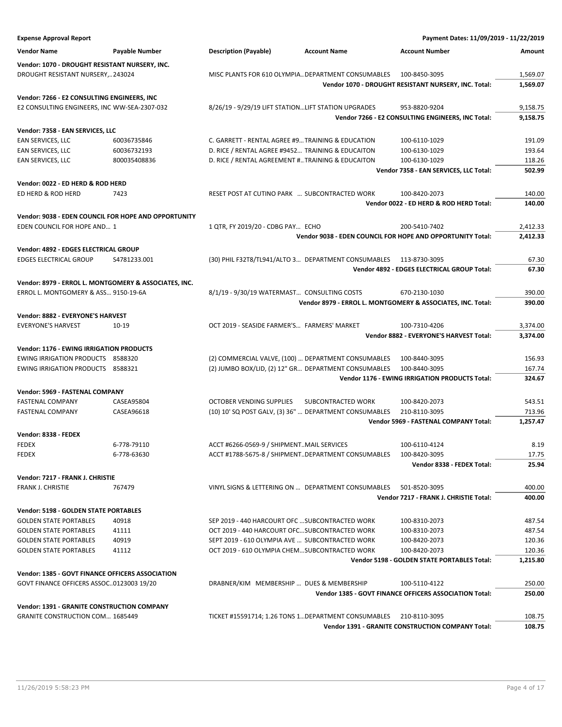| <b>Expense Approval Report</b>                              |                |                                                        |                    | Payment Dates: 11/09/2019 - 11/22/2019                       |                |
|-------------------------------------------------------------|----------------|--------------------------------------------------------|--------------------|--------------------------------------------------------------|----------------|
| <b>Vendor Name</b>                                          | Payable Number | <b>Description (Payable)</b><br><b>Account Name</b>    |                    | <b>Account Number</b>                                        | Amount         |
| Vendor: 1070 - DROUGHT RESISTANT NURSERY, INC.              |                |                                                        |                    |                                                              |                |
| DROUGHT RESISTANT NURSERY,243024                            |                | MISC PLANTS FOR 610 OLYMPIA DEPARTMENT CONSUMABLES     |                    | 100-8450-3095                                                | 1,569.07       |
|                                                             |                |                                                        |                    | Vendor 1070 - DROUGHT RESISTANT NURSERY, INC. Total:         | 1,569.07       |
| Vendor: 7266 - E2 CONSULTING ENGINEERS, INC                 |                |                                                        |                    |                                                              |                |
| E2 CONSULTING ENGINEERS, INC WW-SEA-2307-032                |                | 8/26/19 - 9/29/19 LIFT STATIONLIFT STATION UPGRADES    |                    | 953-8820-9204                                                | 9,158.75       |
|                                                             |                |                                                        |                    | Vendor 7266 - E2 CONSULTING ENGINEERS, INC Total:            | 9,158.75       |
| Vendor: 7358 - EAN SERVICES, LLC                            |                |                                                        |                    |                                                              |                |
| EAN SERVICES, LLC                                           | 60036735846    | C. GARRETT - RENTAL AGREE #9 TRAINING & EDUCATION      |                    | 100-6110-1029                                                | 191.09         |
| EAN SERVICES, LLC                                           | 60036732193    | D. RICE / RENTAL AGREE #9452 TRAINING & EDUCAITON      |                    | 100-6130-1029                                                | 193.64         |
| EAN SERVICES, LLC                                           | 800035408836   | D. RICE / RENTAL AGREEMENT #TRAINING & EDUCAITON       |                    | 100-6130-1029                                                | 118.26         |
|                                                             |                |                                                        |                    | Vendor 7358 - EAN SERVICES, LLC Total:                       | 502.99         |
| Vendor: 0022 - ED HERD & ROD HERD                           |                |                                                        |                    |                                                              |                |
| ED HERD & ROD HERD                                          | 7423           | RESET POST AT CUTINO PARK  SUBCONTRACTED WORK          |                    | 100-8420-2073                                                | 140.00         |
|                                                             |                |                                                        |                    | Vendor 0022 - ED HERD & ROD HERD Total:                      | 140.00         |
| <b>Vendor: 9038 - EDEN COUNCIL FOR HOPE AND OPPORTUNITY</b> |                |                                                        |                    |                                                              |                |
| EDEN COUNCIL FOR HOPE AND 1                                 |                | 1 QTR, FY 2019/20 - CDBG PAY ECHO                      |                    | 200-5410-7402                                                | 2,412.33       |
|                                                             |                |                                                        |                    | Vendor 9038 - EDEN COUNCIL FOR HOPE AND OPPORTUNITY Total:   | 2,412.33       |
|                                                             |                |                                                        |                    |                                                              |                |
| Vendor: 4892 - EDGES ELECTRICAL GROUP                       |                |                                                        |                    |                                                              |                |
| <b>EDGES ELECTRICAL GROUP</b>                               | S4781233.001   | (30) PHIL F32T8/TL941/ALTO 3 DEPARTMENT CONSUMABLES    |                    | 113-8730-3095<br>Vendor 4892 - EDGES ELECTRICAL GROUP Total: | 67.30<br>67.30 |
|                                                             |                |                                                        |                    |                                                              |                |
| Vendor: 8979 - ERROL L. MONTGOMERY & ASSOCIATES, INC.       |                |                                                        |                    |                                                              |                |
| ERROL L. MONTGOMERY & ASS 9150-19-6A                        |                | 8/1/19 - 9/30/19 WATERMAST CONSULTING COSTS            |                    | 670-2130-1030                                                | 390.00         |
|                                                             |                |                                                        |                    | Vendor 8979 - ERROL L. MONTGOMERY & ASSOCIATES, INC. Total:  | 390.00         |
| Vendor: 8882 - EVERYONE'S HARVEST                           |                |                                                        |                    |                                                              |                |
| <b>EVERYONE'S HARVEST</b>                                   | 10-19          | OCT 2019 - SEASIDE FARMER'S FARMERS' MARKET            |                    | 100-7310-4206                                                | 3,374.00       |
|                                                             |                |                                                        |                    | Vendor 8882 - EVERYONE'S HARVEST Total:                      | 3,374.00       |
| <b>Vendor: 1176 - EWING IRRIGATION PRODUCTS</b>             |                |                                                        |                    |                                                              |                |
| EWING IRRIGATION PRODUCTS 8588320                           |                | (2) COMMERCIAL VALVE, (100)  DEPARTMENT CONSUMABLES    |                    | 100-8440-3095                                                | 156.93         |
| EWING IRRIGATION PRODUCTS 8588321                           |                | (2) JUMBO BOX/LID, (2) 12" GR DEPARTMENT CONSUMABLES   |                    | 100-8440-3095                                                | 167.74         |
|                                                             |                |                                                        |                    | Vendor 1176 - EWING IRRIGATION PRODUCTS Total:               | 324.67         |
| Vendor: 5969 - FASTENAL COMPANY                             |                |                                                        |                    |                                                              |                |
| <b>FASTENAL COMPANY</b>                                     | CASEA95804     | <b>OCTOBER VENDING SUPPLIES</b>                        | SUBCONTRACTED WORK | 100-8420-2073                                                | 543.51         |
| <b>FASTENAL COMPANY</b>                                     | CASEA96618     | (10) 10' SQ POST GALV, (3) 36"  DEPARTMENT CONSUMABLES |                    | 210-8110-3095                                                | 713.96         |
|                                                             |                |                                                        |                    | Vendor 5969 - FASTENAL COMPANY Total:                        | 1,257.47       |
| Vendor: 8338 - FEDEX                                        |                |                                                        |                    |                                                              |                |
| <b>FEDEX</b>                                                | 6-778-79110    | ACCT #6266-0569-9 / SHIPMENTMAIL SERVICES              |                    | 100-6110-4124                                                | 8.19           |
| <b>FEDEX</b>                                                | 6-778-63630    | ACCT #1788-5675-8 / SHIPMENTDEPARTMENT CONSUMABLES     |                    | 100-8420-3095                                                | 17.75          |
|                                                             |                |                                                        |                    | Vendor 8338 - FEDEX Total:                                   | 25.94          |
| Vendor: 7217 - FRANK J. CHRISTIE                            |                |                                                        |                    |                                                              |                |
| <b>FRANK J. CHRISTIE</b>                                    | 767479         | VINYL SIGNS & LETTERING ON  DEPARTMENT CONSUMABLES     |                    | 501-8520-3095                                                | 400.00         |
|                                                             |                |                                                        |                    | Vendor 7217 - FRANK J. CHRISTIE Total:                       | 400.00         |
| Vendor: 5198 - GOLDEN STATE PORTABLES                       |                |                                                        |                    |                                                              |                |
| <b>GOLDEN STATE PORTABLES</b>                               | 40918          | SEP 2019 - 440 HARCOURT OFC  SUBCONTRACTED WORK        |                    | 100-8310-2073                                                | 487.54         |
| <b>GOLDEN STATE PORTABLES</b>                               | 41111          | OCT 2019 - 440 HARCOURT OFCSUBCONTRACTED WORK          |                    | 100-8310-2073                                                | 487.54         |
| <b>GOLDEN STATE PORTABLES</b>                               | 40919          | SEPT 2019 - 610 OLYMPIA AVE  SUBCONTRACTED WORK        |                    | 100-8420-2073                                                | 120.36         |
| <b>GOLDEN STATE PORTABLES</b>                               | 41112          | OCT 2019 - 610 OLYMPIA CHEMSUBCONTRACTED WORK          |                    | 100-8420-2073                                                | 120.36         |
|                                                             |                |                                                        |                    | Vendor 5198 - GOLDEN STATE PORTABLES Total:                  | 1,215.80       |
| Vendor: 1385 - GOVT FINANCE OFFICERS ASSOCIATION            |                |                                                        |                    |                                                              |                |
| GOVT FINANCE OFFICERS ASSOC0123003 19/20                    |                | DRABNER/KIM MEMBERSHIP  DUES & MEMBERSHIP              |                    | 100-5110-4122                                                | 250.00         |
|                                                             |                |                                                        |                    | Vendor 1385 - GOVT FINANCE OFFICERS ASSOCIATION Total:       | 250.00         |
| Vendor: 1391 - GRANITE CONSTRUCTION COMPANY                 |                |                                                        |                    |                                                              |                |
| <b>GRANITE CONSTRUCTION COM 1685449</b>                     |                | TICKET #15591714; 1.26 TONS 1 DEPARTMENT CONSUMABLES   |                    | 210-8110-3095                                                | 108.75         |
|                                                             |                |                                                        |                    | Vendor 1391 - GRANITE CONSTRUCTION COMPANY Total:            | 108.75         |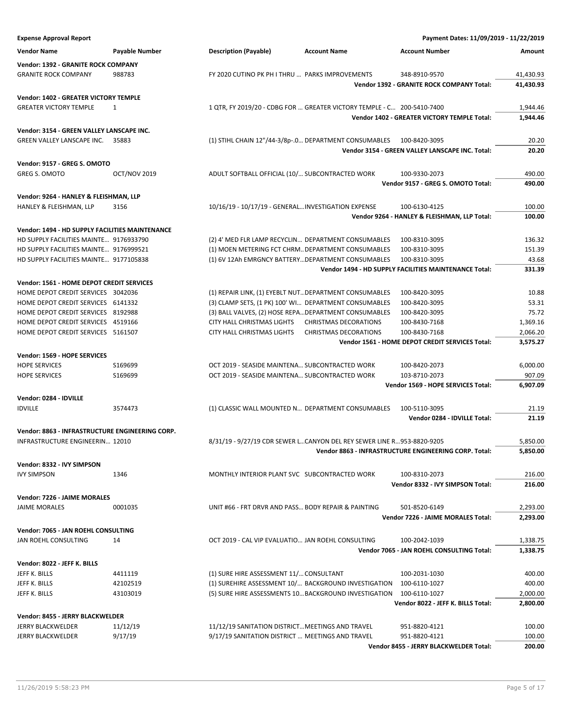**Expense Approval Report Payment Dates: 11/09/2019 - 11/22/2019 Vendor Name Payable Number Description (Payable) Account Name Account Number Amount Vendor: 1392 - GRANITE ROCK COMPANY** GRANITE ROCK COMPANY 988783 FY 2020 CUTINO PK PH I THRU … PARKS IMPROVEMENTS 348-8910-9570 41,430.93 **Vendor 1392 - GRANITE ROCK COMPANY Total: 41,430.93 Vendor: 1402 - GREATER VICTORY TEMPLE** GREATER VICTORY TEMPLE 1 1 1 0 1 2019/20 - 2DBG FOR ... GREATER VICTORY TEMPLE - C... 200-5410-7400 1,944.46 **Vendor 1402 - GREATER VICTORY TEMPLE Total: 1,944.46 Vendor: 3154 - GREEN VALLEY LANSCAPE INC.** GREEN VALLEY LANSCAPE INC. 35883 (1) STIHL CHAIN 12"/44-3/8p-.0... DEPARTMENT CONSUMABLES 100-8420-3095 20.20 **Vendor 3154 - GREEN VALLEY LANSCAPE INC. Total: 20.20 Vendor: 9157 - GREG S. OMOTO** GREG S. OMOTO COT/NOV 2019 ADULT SOFTBALL OFFICIAL (10/... SUBCONTRACTED WORK 100-9330-2073 490.00 **Vendor 9157 - GREG S. OMOTO Total: 490.00 Vendor: 9264 - HANLEY & FLEISHMAN, LLP** HANLEY & FLEISHMAN, LLP 3156 10/16/19 - 10/17/19 - GENERAL…INVESTIGATION EXPENSE 100-6130-4125 100.00 **Vendor 9264 - HANLEY & FLEISHMAN, LLP Total: 100.00 Vendor: 1494 - HD SUPPLY FACILITIES MAINTENANCE** HD SUPPLY FACILITIES MAINTE... 9176933790 (2) 4' MED FLR LAMP RECYCLIN... DEPARTMENT CONSUMABLES 100-8310-3095 136.32 HD SUPPLY FACILITIES MAINTE… 9176999521 (1) MOEN METERING FCT CHRM…DEPARTMENT CONSUMABLES 100-8310-3095 151.39 HD SUPPLY FACILITIES MAINTE… 9177105838 (1) 6V 12Ah EMRGNCY BATTERY…DEPARTMENT CONSUMABLES 100-8310-3095 43.68 **Vendor 1494 - HD SUPPLY FACILITIES MAINTENANCE Total: 331.39 Vendor: 1561 - HOME DEPOT CREDIT SERVICES** HOME DEPOT CREDIT SERVICES 3042036 (1) REPAIR LINK, (1) EYEBLT NUT…DEPARTMENT CONSUMABLES 100-8420-3095 10.88 HOME DEPOT CREDIT SERVICES 6141332 (3) CLAMP SETS, (1 PK) 100' WI… DEPARTMENT CONSUMABLES 100-8420-3095 53.31 HOME DEPOT CREDIT SERVICES 8192988 (3) BALL VALVES, (2) HOSE REPA…DEPARTMENT CONSUMABLES 100-8420-3095 75.72 HOME DEPOT CREDIT SERVICES 4519166 CITY HALL CHRISTMAS LIGHTS CHRISTMAS DECORATIONS 100-8430-7168 1,369.16 HOME DEPOT CREDIT SERVICES 5161507 CITY HALL CHRISTMAS LIGHTS CHRISTMAS DECORATIONS 100-8430-7168 2,066.20 **Vendor 1561 - HOME DEPOT CREDIT SERVICES Total: 3,575.27 Vendor: 1569 - HOPE SERVICES** HOPE SERVICES S169699 S169699 OCT 2019 - SEASIDE MAINTENA... SUBCONTRACTED WORK 100-8420-2073 6.000.00 HOPE SERVICES S169699 S169699 OCT 2019 - SEASIDE MAINTENA... SUBCONTRACTED WORK 103-8710-2073 907.09 **Vendor 1569 - HOPE SERVICES Total: 6,907.09 Vendor: 0284 - IDVILLE** IDVILLE 3574473 (1) CLASSIC WALL MOUNTED N… DEPARTMENT CONSUMABLES 100-5110-3095 21.19 **Vendor 0284 - IDVILLE Total: 21.19 Vendor: 8863 - INFRASTRUCTURE ENGINEERING CORP.** INFRASTRUCTURE ENGINEERIN… 12010 8/31/19 - 9/27/19 CDR SEWER L…CANYON DEL REY SEWER LINE R…953-8820-9205 5,850.00 **Vendor 8863 - INFRASTRUCTURE ENGINEERING CORP. Total: 5,850.00 Vendor: 8332 - IVY SIMPSON** IVY SIMPSON 1346 1346 MONTHLY INTERIOR PLANT SVC SUBCONTRACTED WORK 100-8310-2073 216.00 **Vendor 8332 - IVY SIMPSON Total: 216.00 Vendor: 7226 - JAIME MORALES** JAIME MORALES 0001035 UNIT #66 - FRT DRVR AND PASS…BODY REPAIR & PAINTING 501-8520-6149 2,293.00 **Vendor 7226 - JAIME MORALES Total: 2,293.00 Vendor: 7065 - JAN ROEHL CONSULTING** JAN ROEHL CONSULTING 14 OCT 2019 - CAL VIP EVALUATIO… JAN ROEHL CONSULTING 100-2042-1039 1,338.75 **Vendor 7065 - JAN ROEHL CONSULTING Total: 1,338.75 Vendor: 8022 - JEFF K. BILLS** JEFF K. BILLS 4411119 (1) SURE HIRE ASSESSMENT 11/…CONSULTANT 100-2031-1030 400.00 JEFF K. BILLS 42102519 (1) SUREHIRE ASSESSMENT 10/… BACKGROUND INVESTIGATION 100-6110-1027 400.00 JEFF K. BILLS 43103019 (5) SURE HIRE ASSESSMENTS 10…BACKGROUND INVESTIGATION 100-6110-1027 2,000.00 **Vendor 8022 - JEFF K. BILLS Total: 2,800.00 Vendor: 8455 - JERRY BLACKWELDER** JERRY BLACKWELDER 11/12/19 11/12/19 SANITATION DISTRICT…MEETINGS AND TRAVEL 951-8820-4121 100.00 JERRY BLACKWELDER BATT 9/17/19 9/17/19 9/17/19 SANITATION DISTRICT ... MEETINGS AND TRAVEL 951-8820-4121 100.00 **Vendor 8455 - JERRY BLACKWELDER Total: 200.00**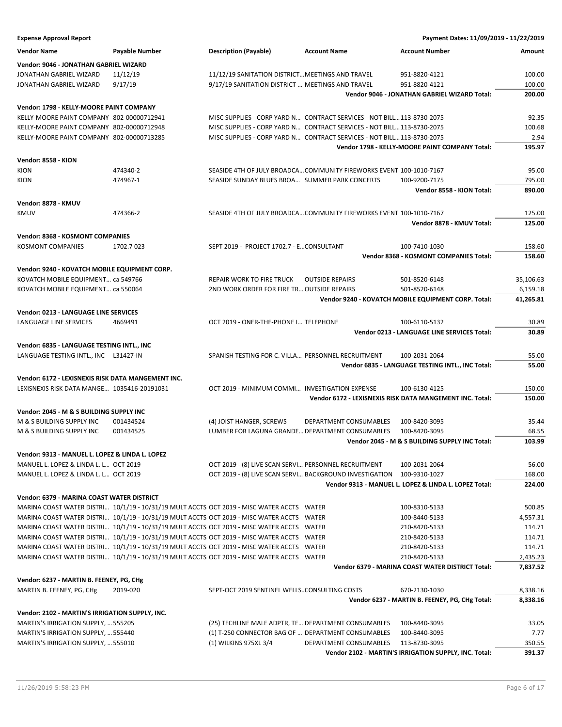| <b>Expense Approval Report</b>                     |                                                                                           |                                                                     |                                                                        | Payment Dates: 11/09/2019 - 11/22/2019                   |           |
|----------------------------------------------------|-------------------------------------------------------------------------------------------|---------------------------------------------------------------------|------------------------------------------------------------------------|----------------------------------------------------------|-----------|
| <b>Vendor Name</b>                                 | Payable Number                                                                            | <b>Description (Payable)</b>                                        | <b>Account Name</b>                                                    | <b>Account Number</b>                                    | Amount    |
| Vendor: 9046 - JONATHAN GABRIEL WIZARD             |                                                                                           |                                                                     |                                                                        |                                                          |           |
| JONATHAN GABRIEL WIZARD                            | 11/12/19                                                                                  | 11/12/19 SANITATION DISTRICT MEETINGS AND TRAVEL                    |                                                                        | 951-8820-4121                                            | 100.00    |
| JONATHAN GABRIEL WIZARD                            | 9/17/19                                                                                   | 9/17/19 SANITATION DISTRICT  MEETINGS AND TRAVEL                    |                                                                        | 951-8820-4121                                            | 100.00    |
|                                                    |                                                                                           |                                                                     |                                                                        | Vendor 9046 - JONATHAN GABRIEL WIZARD Total:             | 200.00    |
|                                                    |                                                                                           |                                                                     |                                                                        |                                                          |           |
| Vendor: 1798 - KELLY-MOORE PAINT COMPANY           |                                                                                           |                                                                     |                                                                        |                                                          |           |
| KELLY-MOORE PAINT COMPANY 802-00000712941          |                                                                                           |                                                                     | MISC SUPPLIES - CORP YARD N CONTRACT SERVICES - NOT BILL 113-8730-2075 |                                                          | 92.35     |
| KELLY-MOORE PAINT COMPANY 802-00000712948          |                                                                                           |                                                                     | MISC SUPPLIES - CORP YARD N CONTRACT SERVICES - NOT BILL 113-8730-2075 |                                                          | 100.68    |
| KELLY-MOORE PAINT COMPANY 802-00000713285          |                                                                                           |                                                                     | MISC SUPPLIES - CORP YARD N CONTRACT SERVICES - NOT BILL 113-8730-2075 |                                                          | 2.94      |
|                                                    |                                                                                           |                                                                     |                                                                        | Vendor 1798 - KELLY-MOORE PAINT COMPANY Total:           | 195.97    |
| Vendor: 8558 - KION                                |                                                                                           |                                                                     |                                                                        |                                                          |           |
| KION                                               | 474340-2                                                                                  | SEASIDE 4TH OF JULY BROADCA COMMUNITY FIREWORKS EVENT 100-1010-7167 |                                                                        |                                                          | 95.00     |
| KION                                               | 474967-1                                                                                  | SEASIDE SUNDAY BLUES BROA SUMMER PARK CONCERTS                      |                                                                        | 100-9200-7175                                            | 795.00    |
|                                                    |                                                                                           |                                                                     |                                                                        | Vendor 8558 - KION Total:                                | 890.00    |
| Vendor: 8878 - KMUV                                |                                                                                           |                                                                     |                                                                        |                                                          |           |
| <b>KMUV</b>                                        | 474366-2                                                                                  |                                                                     | SEASIDE 4TH OF JULY BROADCA COMMUNITY FIREWORKS EVENT 100-1010-7167    |                                                          | 125.00    |
|                                                    |                                                                                           |                                                                     |                                                                        | Vendor 8878 - KMUV Total:                                | 125.00    |
|                                                    |                                                                                           |                                                                     |                                                                        |                                                          |           |
| <b>Vendor: 8368 - KOSMONT COMPANIES</b>            |                                                                                           |                                                                     |                                                                        |                                                          |           |
| KOSMONT COMPANIES                                  | 1702.7023                                                                                 | SEPT 2019 - PROJECT 1702.7 - ECONSULTANT                            |                                                                        | 100-7410-1030                                            | 158.60    |
|                                                    |                                                                                           |                                                                     |                                                                        | Vendor 8368 - KOSMONT COMPANIES Total:                   | 158.60    |
| Vendor: 9240 - KOVATCH MOBILE EQUIPMENT CORP.      |                                                                                           |                                                                     |                                                                        |                                                          |           |
| KOVATCH MOBILE EQUIPMENT ca 549766                 |                                                                                           | REPAIR WORK TO FIRE TRUCK                                           | <b>OUTSIDE REPAIRS</b>                                                 | 501-8520-6148                                            | 35,106.63 |
| KOVATCH MOBILE EQUIPMENT ca 550064                 |                                                                                           | 2ND WORK ORDER FOR FIRE TR OUTSIDE REPAIRS                          |                                                                        | 501-8520-6148                                            | 6,159.18  |
|                                                    |                                                                                           |                                                                     |                                                                        | Vendor 9240 - KOVATCH MOBILE EQUIPMENT CORP. Total:      | 41,265.81 |
| Vendor: 0213 - LANGUAGE LINE SERVICES              |                                                                                           |                                                                     |                                                                        |                                                          |           |
| LANGUAGE LINE SERVICES                             | 4669491                                                                                   | OCT 2019 - ONER-THE-PHONE I TELEPHONE                               |                                                                        | 100-6110-5132                                            | 30.89     |
|                                                    |                                                                                           |                                                                     |                                                                        | <b>Vendor 0213 - LANGUAGE LINE SERVICES Total:</b>       | 30.89     |
| Vendor: 6835 - LANGUAGE TESTING INTL., INC         |                                                                                           |                                                                     |                                                                        |                                                          |           |
| LANGUAGE TESTING INTL., INC L31427-IN              |                                                                                           | SPANISH TESTING FOR C. VILLA PERSONNEL RECRUITMENT                  |                                                                        | 100-2031-2064                                            | 55.00     |
|                                                    |                                                                                           |                                                                     |                                                                        | Vendor 6835 - LANGUAGE TESTING INTL., INC Total:         | 55.00     |
|                                                    |                                                                                           |                                                                     |                                                                        |                                                          |           |
| Vendor: 6172 - LEXISNEXIS RISK DATA MANGEMENT INC. |                                                                                           |                                                                     |                                                                        |                                                          |           |
| LEXISNEXIS RISK DATA MANGE 1035416-20191031        |                                                                                           | OCT 2019 - MINIMUM COMMI INVESTIGATION EXPENSE                      |                                                                        | 100-6130-4125                                            | 150.00    |
|                                                    |                                                                                           |                                                                     |                                                                        | Vendor 6172 - LEXISNEXIS RISK DATA MANGEMENT INC. Total: | 150.00    |
| Vendor: 2045 - M & S BUILDING SUPPLY INC           |                                                                                           |                                                                     |                                                                        |                                                          |           |
| M & S BUILDING SUPPLY INC                          | 001434524                                                                                 | (4) JOIST HANGER, SCREWS                                            | <b>DEPARTMENT CONSUMABLES</b>                                          | 100-8420-3095                                            | 35.44     |
| M & S BUILDING SUPPLY INC                          | 001434525                                                                                 | LUMBER FOR LAGUNA GRANDE DEPARTMENT CONSUMABLES                     |                                                                        | 100-8420-3095                                            | 68.55     |
|                                                    |                                                                                           |                                                                     |                                                                        | Vendor 2045 - M & S BUILDING SUPPLY INC Total:           | 103.99    |
| Vendor: 9313 - MANUEL L. LOPEZ & LINDA L. LOPEZ    |                                                                                           |                                                                     |                                                                        |                                                          |           |
| MANUEL L. LOPEZ & LINDA L. L OCT 2019              |                                                                                           | OCT 2019 - (8) LIVE SCAN SERVI PERSONNEL RECRUITMENT                |                                                                        | 100-2031-2064                                            | 56.00     |
| MANUEL L. LOPEZ & LINDA L. L OCT 2019              |                                                                                           | OCT 2019 - (8) LIVE SCAN SERVI BACKGROUND INVESTIGATION             |                                                                        | 100-9310-1027                                            | 168.00    |
|                                                    |                                                                                           |                                                                     |                                                                        | Vendor 9313 - MANUEL L. LOPEZ & LINDA L. LOPEZ Total:    | 224.00    |
|                                                    |                                                                                           |                                                                     |                                                                        |                                                          |           |
| Vendor: 6379 - MARINA COAST WATER DISTRICT         |                                                                                           |                                                                     |                                                                        |                                                          |           |
|                                                    | MARINA COAST WATER DISTRI 10/1/19 - 10/31/19 MULT ACCTS OCT 2019 - MISC WATER ACCTS WATER |                                                                     |                                                                        | 100-8310-5133                                            | 500.85    |
|                                                    | MARINA COAST WATER DISTRI 10/1/19 - 10/31/19 MULT ACCTS OCT 2019 - MISC WATER ACCTS WATER |                                                                     |                                                                        | 100-8440-5133                                            | 4,557.31  |
|                                                    | MARINA COAST WATER DISTRI 10/1/19 - 10/31/19 MULT ACCTS OCT 2019 - MISC WATER ACCTS WATER |                                                                     |                                                                        | 210-8420-5133                                            | 114.71    |
|                                                    | MARINA COAST WATER DISTRI 10/1/19 - 10/31/19 MULT ACCTS OCT 2019 - MISC WATER ACCTS WATER |                                                                     |                                                                        | 210-8420-5133                                            | 114.71    |
|                                                    | MARINA COAST WATER DISTRI 10/1/19 - 10/31/19 MULT ACCTS OCT 2019 - MISC WATER ACCTS WATER |                                                                     |                                                                        | 210-8420-5133                                            | 114.71    |
|                                                    | MARINA COAST WATER DISTRI 10/1/19 - 10/31/19 MULT ACCTS OCT 2019 - MISC WATER ACCTS WATER |                                                                     |                                                                        | 210-8420-5133                                            | 2,435.23  |
|                                                    |                                                                                           |                                                                     |                                                                        | Vendor 6379 - MARINA COAST WATER DISTRICT Total:         | 7,837.52  |
| Vendor: 6237 - MARTIN B. FEENEY, PG, CHg           |                                                                                           |                                                                     |                                                                        |                                                          |           |
| MARTIN B. FEENEY, PG, CHg                          | 2019-020                                                                                  | SEPT-OCT 2019 SENTINEL WELLSCONSULTING COSTS                        |                                                                        | 670-2130-1030                                            | 8,338.16  |
|                                                    |                                                                                           |                                                                     |                                                                        | Vendor 6237 - MARTIN B. FEENEY, PG, CHg Total:           | 8,338.16  |
| Vendor: 2102 - MARTIN'S IRRIGATION SUPPLY, INC.    |                                                                                           |                                                                     |                                                                        |                                                          |           |
| MARTIN'S IRRIGATION SUPPLY,  555205                |                                                                                           | (25) TECHLINE MALE ADPTR, TE DEPARTMENT CONSUMABLES                 |                                                                        | 100-8440-3095                                            | 33.05     |
| MARTIN'S IRRIGATION SUPPLY,  555440                |                                                                                           | (1) T-250 CONNECTOR BAG OF  DEPARTMENT CONSUMABLES                  |                                                                        | 100-8440-3095                                            | 7.77      |
| MARTIN'S IRRIGATION SUPPLY,  555010                |                                                                                           | (1) WILKINS 975XL 3/4                                               | DEPARTMENT CONSUMABLES                                                 | 113-8730-3095                                            | 350.55    |
|                                                    |                                                                                           |                                                                     |                                                                        | Vendor 2102 - MARTIN'S IRRIGATION SUPPLY, INC. Total:    | 391.37    |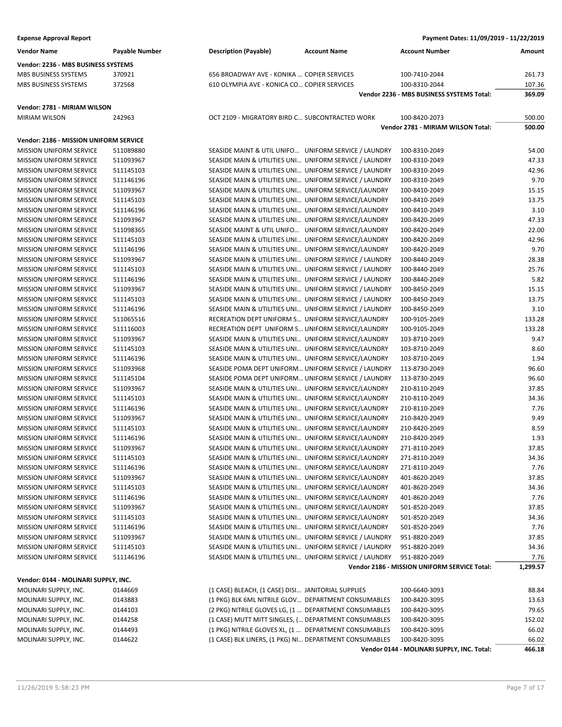**Vendor:** 

**Vendor:** 

**Vendor:** 

| <b>Expense Approval Report</b>         |                       |                                                        | Payment Dates: 11/09/2019 - 11/22/2019    |        |
|----------------------------------------|-----------------------|--------------------------------------------------------|-------------------------------------------|--------|
| Vendor Name                            | <b>Payable Number</b> | <b>Description (Payable)</b><br><b>Account Name</b>    | <b>Account Number</b>                     | Amount |
| Vendor: 2236 - MBS BUSINESS SYSTEMS    |                       |                                                        |                                           |        |
| <b>MBS BUSINESS SYSTEMS</b>            | 370921                | 656 BROADWAY AVE - KONIKA  COPIER SERVICES             | 100-7410-2044                             | 261.73 |
| MBS BUSINESS SYSTEMS                   | 372568                | 610 OLYMPIA AVE - KONICA CO COPIER SERVICES            | 100-8310-2044                             | 107.36 |
|                                        |                       |                                                        | Vendor 2236 - MBS BUSINESS SYSTEMS Total: | 369.09 |
| Vendor: 2781 - MIRIAM WILSON           |                       |                                                        |                                           |        |
| MIRIAM WILSON                          | 242963                | OCT 2109 - MIGRATORY BIRD C SUBCONTRACTED WORK         | 100-8420-2073                             | 500.00 |
|                                        |                       |                                                        | Vendor 2781 - MIRIAM WILSON Total:        | 500.00 |
| Vendor: 2186 - MISSION UNIFORM SERVICE |                       |                                                        |                                           |        |
| <b>MISSION UNIFORM SERVICE</b>         | 511089880             | SEASIDE MAINT & UTIL UNIFO UNIFORM SERVICE / LAUNDRY   | 100-8310-2049                             | 54.00  |
| <b>MISSION UNIFORM SERVICE</b>         | 511093967             | SEASIDE MAIN & UTILITIES UNI UNIFORM SERVICE / LAUNDRY | 100-8310-2049                             | 47.33  |
| <b>MISSION UNIFORM SERVICE</b>         | 511145103             | SEASIDE MAIN & UTILITIES UNI UNIFORM SERVICE / LAUNDRY | 100-8310-2049                             | 42.96  |
| MISSION UNIFORM SERVICE                | 511146196             | SEASIDE MAIN & UTILITIES UNI UNIFORM SERVICE / LAUNDRY | 100-8310-2049                             | 9.70   |
| <b>MISSION UNIFORM SERVICE</b>         | 511093967             | SEASIDE MAIN & UTILITIES UNI UNIFORM SERVICE/LAUNDRY   | 100-8410-2049                             | 15.15  |
| MISSION UNIFORM SERVICE                | 511145103             | SEASIDE MAIN & UTILITIES UNI UNIFORM SERVICE/LAUNDRY   | 100-8410-2049                             | 13.75  |
| <b>MISSION UNIFORM SERVICE</b>         | 511146196             | SEASIDE MAIN & UTILITIES UNI UNIFORM SERVICE/LAUNDRY   | 100-8410-2049                             | 3.10   |
| <b>MISSION UNIFORM SERVICE</b>         | 511093967             | SEASIDE MAIN & UTILITIES UNI UNIFORM SERVICE/LAUNDRY   | 100-8420-2049                             | 47.33  |
| MISSION UNIFORM SERVICE                | 511098365             | SEASIDE MAINT & UTIL UNIFO UNIFORM SERVICE/LAUNDRY     | 100-8420-2049                             | 22.00  |
| <b>MISSION UNIFORM SERVICE</b>         | 511145103             | SEASIDE MAIN & UTILITIES UNI UNIFORM SERVICE/LAUNDRY   | 100-8420-2049                             | 42.96  |
| MISSION UNIFORM SERVICE                | 511146196             | SEASIDE MAIN & UTILITIES UNI UNIFORM SERVICE/LAUNDRY   | 100-8420-2049                             | 9.70   |
| <b>MISSION UNIFORM SERVICE</b>         | 511093967             | SEASIDE MAIN & UTILITIES UNI UNIFORM SERVICE / LAUNDRY | 100-8440-2049                             | 28.38  |
| <b>MISSION UNIFORM SERVICE</b>         | 511145103             | SEASIDE MAIN & UTILITIES UNI UNIFORM SERVICE / LAUNDRY | 100-8440-2049                             | 25.76  |
| <b>MISSION UNIFORM SERVICE</b>         | 511146196             | SEASIDE MAIN & UTILITIES UNI UNIFORM SERVICE / LAUNDRY | 100-8440-2049                             | 5.82   |
| MISSION UNIFORM SERVICE                | 511093967             | SEASIDE MAIN & UTILITIES UNI UNIFORM SERVICE / LAUNDRY | 100-8450-2049                             | 15.15  |
| <b>MISSION UNIFORM SERVICE</b>         | 511145103             | SEASIDE MAIN & UTILITIES UNI UNIFORM SERVICE / LAUNDRY | 100-8450-2049                             | 13.75  |
| <b>MISSION UNIFORM SERVICE</b>         | 511146196             | SEASIDE MAIN & UTILITIES UNI UNIFORM SERVICE / LAUNDRY | 100-8450-2049                             | 3.10   |
| <b>MISSION UNIFORM SERVICE</b>         | 511065516             | RECREATION DEPT UNIFORM S UNIFORM SERVICE/LAUNDRY      | 100-9105-2049                             | 133.28 |
| MISSION UNIFORM SERVICE                | 511116003             | RECREATION DEPT UNIFORM S UNIFORM SERVICE/LAUNDRY      | 100-9105-2049                             | 133.28 |
| MISSION UNIFORM SERVICE                | 511093967             | SEASIDE MAIN & UTILITIES UNI UNIFORM SERVICE/LAUNDRY   | 103-8710-2049                             | 9.47   |
| <b>MISSION UNIFORM SERVICE</b>         | 511145103             | SEASIDE MAIN & UTILITIES UNI UNIFORM SERVICE/LAUNDRY   | 103-8710-2049                             | 8.60   |
| MISSION UNIFORM SERVICE                | 511146196             | SEASIDE MAIN & UTILITIES UNI UNIFORM SERVICE/LAUNDRY   | 103-8710-2049                             | 1.94   |
| MISSION UNIFORM SERVICE                | 511093968             | SEASIDE POMA DEPT UNIFORM UNIFORM SERVICE / LAUNDRY    | 113-8730-2049                             | 96.60  |
| <b>MISSION UNIFORM SERVICE</b>         | 511145104             | SEASIDE POMA DEPT UNIFORM UNIFORM SERVICE / LAUNDRY    | 113-8730-2049                             | 96.60  |
| <b>MISSION UNIFORM SERVICE</b>         | 511093967             | SEASIDE MAIN & UTILITIES UNI UNIFORM SERVICE/LAUNDRY   | 210-8110-2049                             | 37.85  |
| MISSION UNIFORM SERVICE                | 511145103             | SEASIDE MAIN & UTILITIES UNI UNIFORM SERVICE/LAUNDRY   | 210-8110-2049                             | 34.36  |
| <b>MISSION UNIFORM SERVICE</b>         | 511146196             | SEASIDE MAIN & UTILITIES UNI UNIFORM SERVICE/LAUNDRY   | 210-8110-2049                             | 7.76   |
| <b>MISSION UNIFORM SERVICE</b>         | 511093967             | SEASIDE MAIN & UTILITIES UNI UNIFORM SERVICE/LAUNDRY   | 210-8420-2049                             | 9.49   |
| <b>MISSION UNIFORM SERVICE</b>         | 511145103             | SEASIDE MAIN & UTILITIES UNI UNIFORM SERVICE/LAUNDRY   | 210-8420-2049                             | 8.59   |

| Vendor: 0144 - MOLINARI SUPPLY, INC. |  |  |  |  |  |
|--------------------------------------|--|--|--|--|--|
|--------------------------------------|--|--|--|--|--|

| MOLINARI SUPPLY, INC. | 0144669 | (1 CASE) BLEACH, (1 CASE) DISI JANITORIAL SUPPLIES     | 100-6640-3093                              | 88.84  |
|-----------------------|---------|--------------------------------------------------------|--------------------------------------------|--------|
| MOLINARI SUPPLY, INC. | 0143883 | (1 PKG) BLK 6ML NITRILE GLOV DEPARTMENT CONSUMABLES    | 100-8420-3095                              | 13.63  |
| MOLINARI SUPPLY, INC. | 0144103 | (2 PKG) NITRILE GLOVES LG, (1  DEPARTMENT CONSUMABLES  | 100-8420-3095                              | 79.65  |
| MOLINARI SUPPLY, INC. | 0144258 | (1 CASE) MUTT MITT SINGLES, ( DEPARTMENT CONSUMABLES   | 100-8420-3095                              | 152.02 |
| MOLINARI SUPPLY, INC. | 0144493 | (1 PKG) NITRILE GLOVES XL, (1  DEPARTMENT CONSUMABLES  | 100-8420-3095                              | 66.02  |
| MOLINARI SUPPLY, INC. | 0144622 | (1 CASE) BLK LINERS, (1 PKG) NI DEPARTMENT CONSUMABLES | 100-8420-3095                              | 66.02  |
|                       |         |                                                        | Vendor 0144 - MOLINARI SUPPLY, INC. Total: | 466.18 |

MISSION UNIFORM SERVICE 511146196 SEASIDE MAIN & UTILITIES UNI… UNIFORM SERVICE/LAUNDRY 210-8420-2049 1.93 MISSION UNIFORM SERVICE 511093967 SEASIDE MAIN & UTILITIES UNI… UNIFORM SERVICE/LAUNDRY 271-8110-2049 37.85 MISSION UNIFORM SERVICE 511145103 SEASIDE MAIN & UTILITIES UNI… UNIFORM SERVICE/LAUNDRY 271-8110-2049 34.36 MISSION UNIFORM SERVICE 511146196 SEASIDE MAIN & UTILITIES UNI… UNIFORM SERVICE/LAUNDRY 271-8110-2049 7.76 MISSION UNIFORM SERVICE 511093967 SEASIDE MAIN & UTILITIES UNI… UNIFORM SERVICE/LAUNDRY 401-8620-2049 37.85 MISSION UNIFORM SERVICE 511145103 SEASIDE MAIN & UTILITIES UNI… UNIFORM SERVICE/LAUNDRY 401-8620-2049 34.36 MISSION UNIFORM SERVICE 511146196 SEASIDE MAIN & UTILITIES UNI… UNIFORM SERVICE/LAUNDRY 401-8620-2049 7.76 MISSION UNIFORM SERVICE 511093967 SEASIDE MAIN & UTILITIES UNI… UNIFORM SERVICE/LAUNDRY 501-8520-2049 37.85 MISSION UNIFORM SERVICE 511145103 SEASIDE MAIN & UTILITIES UNI… UNIFORM SERVICE/LAUNDRY 501-8520-2049 34.36 MISSION UNIFORM SERVICE 511146196 SEASIDE MAIN & UTILITIES UNI… UNIFORM SERVICE/LAUNDRY 501-8520-2049 7.76 MISSION UNIFORM SERVICE 511093967 SEASIDE MAIN & UTILITIES UNI… UNIFORM SERVICE / LAUNDRY 951-8820-2049 37.85 MISSION UNIFORM SERVICE 511145103 SEASIDE MAIN & UTILITIES UNI… UNIFORM SERVICE / LAUNDRY 951-8820-2049 34.36 MISSION UNIFORM SERVICE 511146196 SEASIDE MAIN & UTILITIES UNI… UNIFORM SERVICE / LAUNDRY 951-8820-2049 7.76

**Vendor 2186 - MISSION UNIFORM SERVICE Total: 1,299.57**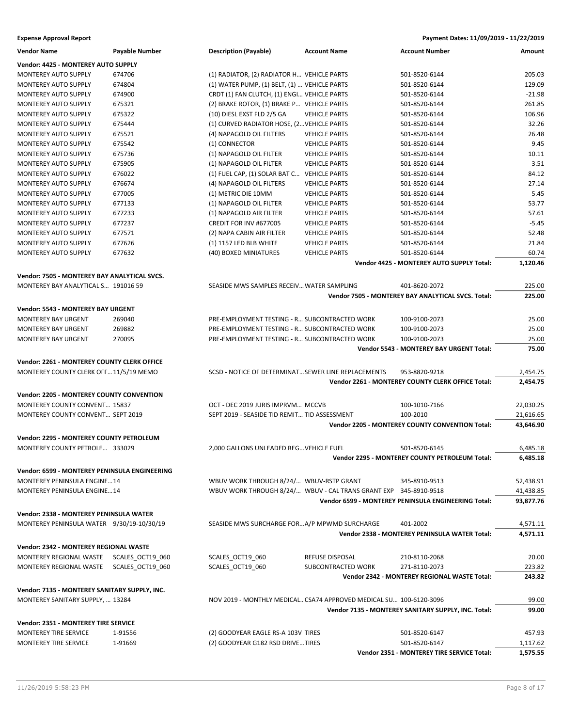**Expense Approval Report Payment Dates: 11/09/2019 - 11/22/2019**

| <b>Vendor Name</b>                               | Payable Number   | <b>Description (Payable)</b>                        | <b>Account Name</b>                                               | <b>Account Number</b>                                  | Amount    |
|--------------------------------------------------|------------------|-----------------------------------------------------|-------------------------------------------------------------------|--------------------------------------------------------|-----------|
| Vendor: 4425 - MONTEREY AUTO SUPPLY              |                  |                                                     |                                                                   |                                                        |           |
| MONTEREY AUTO SUPPLY                             | 674706           | (1) RADIATOR, (2) RADIATOR H VEHICLE PARTS          |                                                                   | 501-8520-6144                                          | 205.03    |
| <b>MONTEREY AUTO SUPPLY</b>                      | 674804           | (1) WATER PUMP, (1) BELT, (1)  VEHICLE PARTS        |                                                                   | 501-8520-6144                                          | 129.09    |
| <b>MONTEREY AUTO SUPPLY</b>                      | 674900           | CRDT (1) FAN CLUTCH, (1) ENGI VEHICLE PARTS         |                                                                   | 501-8520-6144                                          | $-21.98$  |
| MONTEREY AUTO SUPPLY                             | 675321           | (2) BRAKE ROTOR, (1) BRAKE P VEHICLE PARTS          |                                                                   | 501-8520-6144                                          | 261.85    |
| MONTEREY AUTO SUPPLY                             | 675322           | (10) DIESL EXST FLD 2/5 GA                          | <b>VEHICLE PARTS</b>                                              | 501-8520-6144                                          | 106.96    |
| MONTEREY AUTO SUPPLY                             | 675444           | (1) CURVED RADIATOR HOSE, (2 VEHICLE PARTS          |                                                                   | 501-8520-6144                                          | 32.26     |
| <b>MONTEREY AUTO SUPPLY</b>                      | 675521           | (4) NAPAGOLD OIL FILTERS                            | <b>VEHICLE PARTS</b>                                              | 501-8520-6144                                          | 26.48     |
| <b>MONTEREY AUTO SUPPLY</b>                      | 675542           | (1) CONNECTOR                                       | <b>VEHICLE PARTS</b>                                              | 501-8520-6144                                          | 9.45      |
| MONTEREY AUTO SUPPLY                             | 675736           | (1) NAPAGOLD OIL FILTER                             | <b>VEHICLE PARTS</b>                                              | 501-8520-6144                                          | 10.11     |
| <b>MONTEREY AUTO SUPPLY</b>                      | 675905           | (1) NAPAGOLD OIL FILTER                             | <b>VEHICLE PARTS</b>                                              | 501-8520-6144                                          | 3.51      |
| MONTEREY AUTO SUPPLY                             | 676022           | (1) FUEL CAP, (1) SOLAR BAT C VEHICLE PARTS         |                                                                   | 501-8520-6144                                          | 84.12     |
| <b>MONTEREY AUTO SUPPLY</b>                      | 676674           | (4) NAPAGOLD OIL FILTERS                            | <b>VEHICLE PARTS</b>                                              | 501-8520-6144                                          | 27.14     |
| <b>MONTEREY AUTO SUPPLY</b>                      | 677005           | (1) METRIC DIE 10MM                                 | <b>VEHICLE PARTS</b>                                              | 501-8520-6144                                          | 5.45      |
| MONTEREY AUTO SUPPLY                             | 677133           | (1) NAPAGOLD OIL FILTER                             | <b>VEHICLE PARTS</b>                                              | 501-8520-6144                                          | 53.77     |
| MONTEREY AUTO SUPPLY                             | 677233           | (1) NAPAGOLD AIR FILTER                             | <b>VEHICLE PARTS</b>                                              | 501-8520-6144                                          | 57.61     |
| MONTEREY AUTO SUPPLY                             | 677237           | CREDIT FOR INV #677005                              | <b>VEHICLE PARTS</b>                                              | 501-8520-6144                                          | $-5.45$   |
| MONTEREY AUTO SUPPLY                             | 677571           | (2) NAPA CABIN AIR FILTER                           | <b>VEHICLE PARTS</b>                                              | 501-8520-6144                                          | 52.48     |
| <b>MONTEREY AUTO SUPPLY</b>                      | 677626           | (1) 1157 LED BLB WHITE                              | <b>VEHICLE PARTS</b>                                              | 501-8520-6144                                          | 21.84     |
| MONTEREY AUTO SUPPLY                             | 677632           | (40) BOXED MINIATURES                               | <b>VEHICLE PARTS</b>                                              | 501-8520-6144                                          | 60.74     |
|                                                  |                  |                                                     |                                                                   | Vendor 4425 - MONTEREY AUTO SUPPLY Total:              | 1,120.46  |
|                                                  |                  |                                                     |                                                                   |                                                        |           |
| Vendor: 7505 - MONTEREY BAY ANALYTICAL SVCS.     |                  |                                                     |                                                                   |                                                        |           |
| MONTEREY BAY ANALYTICAL S 191016 59              |                  | SEASIDE MWS SAMPLES RECEIV WATER SAMPLING           |                                                                   | 401-8620-2072                                          | 225.00    |
|                                                  |                  |                                                     |                                                                   | Vendor 7505 - MONTEREY BAY ANALYTICAL SVCS. Total:     | 225.00    |
| Vendor: 5543 - MONTEREY BAY URGENT               |                  |                                                     |                                                                   |                                                        |           |
| MONTEREY BAY URGENT                              | 269040           | PRE-EMPLOYMENT TESTING - R SUBCONTRACTED WORK       |                                                                   | 100-9100-2073                                          | 25.00     |
| <b>MONTEREY BAY URGENT</b>                       | 269882           | PRE-EMPLOYMENT TESTING - R SUBCONTRACTED WORK       |                                                                   | 100-9100-2073                                          | 25.00     |
| <b>MONTEREY BAY URGENT</b>                       | 270095           | PRE-EMPLOYMENT TESTING - R SUBCONTRACTED WORK       |                                                                   | 100-9100-2073                                          | 25.00     |
|                                                  |                  |                                                     |                                                                   | Vendor 5543 - MONTEREY BAY URGENT Total:               | 75.00     |
| Vendor: 2261 - MONTEREY COUNTY CLERK OFFICE      |                  |                                                     |                                                                   |                                                        |           |
| MONTEREY COUNTY CLERK OFF 11/5/19 MEMO           |                  | SCSD - NOTICE OF DETERMINAT SEWER LINE REPLACEMENTS |                                                                   | 953-8820-9218                                          | 2,454.75  |
|                                                  |                  |                                                     |                                                                   | Vendor 2261 - MONTEREY COUNTY CLERK OFFICE Total:      | 2,454.75  |
|                                                  |                  |                                                     |                                                                   |                                                        |           |
| <b>Vendor: 2205 - MONTEREY COUNTY CONVENTION</b> |                  |                                                     |                                                                   |                                                        |           |
| MONTEREY COUNTY CONVENT 15837                    |                  | OCT - DEC 2019 JURIS IMPRVM MCCVB                   |                                                                   | 100-1010-7166                                          | 22,030.25 |
| <b>MONTEREY COUNTY CONVENT SEPT 2019</b>         |                  | SEPT 2019 - SEASIDE TID REMIT TID ASSESSMENT        |                                                                   | 100-2010                                               | 21,616.65 |
|                                                  |                  |                                                     |                                                                   | <b>Vendor 2205 - MONTEREY COUNTY CONVENTION Total:</b> | 43,646.90 |
| Vendor: 2295 - MONTEREY COUNTY PETROLEUM         |                  |                                                     |                                                                   |                                                        |           |
| MONTEREY COUNTY PETROLE 333029                   |                  | 2.000 GALLONS UNLEADED REG VEHICLE FUEL             |                                                                   | 501-8520-6145                                          | 6,485.18  |
|                                                  |                  |                                                     |                                                                   | Vendor 2295 - MONTEREY COUNTY PETROLEUM Total:         | 6,485.18  |
| Vendor: 6599 - MONTEREY PENINSULA ENGINEERING    |                  |                                                     |                                                                   |                                                        |           |
| <b>MONTEREY PENINSULA ENGINE14</b>               |                  | WBUV WORK THROUGH 8/24/ WBUV-RSTP GRANT             |                                                                   | 345-8910-9513                                          | 52,438.91 |
| MONTEREY PENINSULA ENGINE14                      |                  |                                                     | WBUV WORK THROUGH 8/24/ WBUV - CAL TRANS GRANT EXP 345-8910-9518  |                                                        | 41,438.85 |
|                                                  |                  |                                                     |                                                                   | Vendor 6599 - MONTEREY PENINSULA ENGINEERING Total:    | 93,877.76 |
|                                                  |                  |                                                     |                                                                   |                                                        |           |
| <b>Vendor: 2338 - MONTEREY PENINSULA WATER</b>   |                  |                                                     |                                                                   |                                                        |           |
| MONTEREY PENINSULA WATER 9/30/19-10/30/19        |                  | SEASIDE MWS SURCHARGE FORA/P MPWMD SURCHARGE        |                                                                   | 401-2002                                               | 4,571.11  |
|                                                  |                  |                                                     |                                                                   | <b>Vendor 2338 - MONTEREY PENINSULA WATER Total:</b>   | 4,571.11  |
| <b>Vendor: 2342 - MONTEREY REGIONAL WASTE</b>    |                  |                                                     |                                                                   |                                                        |           |
| MONTEREY REGIONAL WASTE                          | SCALES_OCT19_060 | SCALES OCT19 060                                    | REFUSE DISPOSAL                                                   | 210-8110-2068                                          | 20.00     |
| MONTEREY REGIONAL WASTE                          | SCALES OCT19 060 | SCALES_OCT19_060                                    | SUBCONTRACTED WORK                                                | 271-8110-2073                                          | 223.82    |
|                                                  |                  |                                                     |                                                                   | Vendor 2342 - MONTEREY REGIONAL WASTE Total:           | 243.82    |
|                                                  |                  |                                                     |                                                                   |                                                        |           |
| Vendor: 7135 - MONTEREY SANITARY SUPPLY, INC.    |                  |                                                     |                                                                   |                                                        |           |
| MONTEREY SANITARY SUPPLY,  13284                 |                  |                                                     | NOV 2019 - MONTHLY MEDICALCSA74 APPROVED MEDICAL SU 100-6120-3096 |                                                        | 99.00     |
|                                                  |                  |                                                     |                                                                   | Vendor 7135 - MONTEREY SANITARY SUPPLY, INC. Total:    | 99.00     |
| Vendor: 2351 - MONTEREY TIRE SERVICE             |                  |                                                     |                                                                   |                                                        |           |
| MONTEREY TIRE SERVICE                            | 1-91556          | (2) GOODYEAR EAGLE RS-A 103V TIRES                  |                                                                   | 501-8520-6147                                          | 457.93    |
| MONTEREY TIRE SERVICE                            | 1-91669          | (2) GOODYEAR G182 RSD DRIVE TIRES                   |                                                                   | 501-8520-6147                                          | 1,117.62  |
|                                                  |                  |                                                     |                                                                   | Vendor 2351 - MONTEREY TIRE SERVICE Total:             | 1,575.55  |
|                                                  |                  |                                                     |                                                                   |                                                        |           |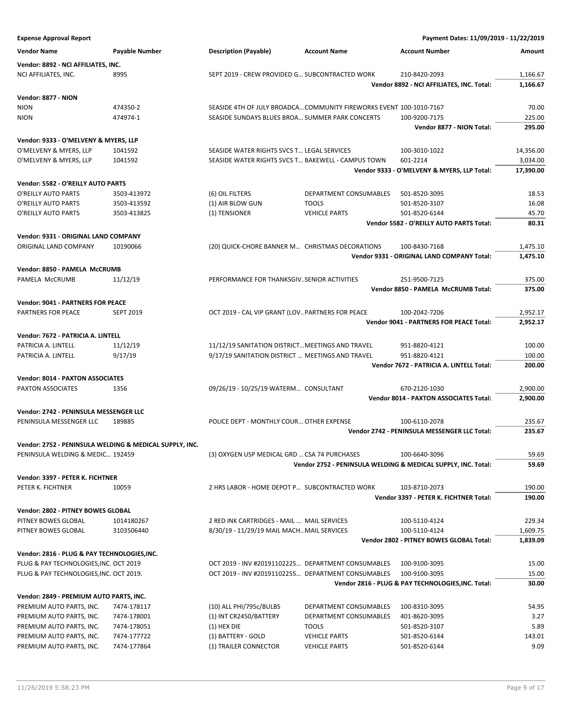**Expense Approval Report Payment Dates: 11/09/2019 - 11/22/2019 Vendor Name Payable Number Description (Payable) Account Name Account Number Amount Vendor: 8892 - NCI AFFILIATES, INC.** NCI AFFILIATES, INC. 8995 8995 SEPT 2019 - CREW PROVIDED G... SUBCONTRACTED WORK 210-8420-2093 1,166.67 **Vendor 8892 - NCI AFFILIATES, INC. Total: 1,166.67 Vendor: 8877 - NION** NION 474350-2 SEASIDE 4TH OF JULY BROADCA…COMMUNITY FIREWORKS EVENT 100-1010-7167 70.00 NION 474974-1 SEASIDE SUNDAYS BLUES BROA… SUMMER PARK CONCERTS 100-9200-7175 225.00 **Vendor 8877 - NION Total: 295.00 Vendor: 9333 - O'MELVENY & MYERS, LLP** O'MELVENY & MYERS, LLP 1041592 SEASIDE WATER RIGHTS SVCS T... LEGAL SERVICES 100-3010-1022 14.356.00 O'MELVENY & MYERS, LLP 1041592 SEASIDE WATER RIGHTS SVCS T… BAKEWELL - CAMPUS TOWN 601-2214 3,034.00 **Vendor 9333 - O'MELVENY & MYERS, LLP Total: 17,390.00 Vendor: 5582 - O'REILLY AUTO PARTS** O'REILLY AUTO PARTS 3503-413972 (6) OIL FILTERS DEPARTMENT CONSUMABLES 501-8520-3095 18.53 O'REILLY AUTO PARTS 3503-413592 (1) AIR BLOW GUN TOOLS 501-8520-3107 16.08 O'REILLY AUTO PARTS 3503-413825 (1) TENSIONER VEHICLE PARTS 501-8520-6144 45.70 **Vendor 5582 - O'REILLY AUTO PARTS Total: 80.31 Vendor: 9331 - ORIGINAL LAND COMPANY** ORIGINAL LAND COMPANY 10190066 (20) QUICK-CHORE BANNER M... CHRISTMAS DECORATIONS 100-8430-7168 1,475.10 **Vendor 9331 - ORIGINAL LAND COMPANY Total: 1,475.10 Vendor: 8850 - PAMELA McCRUMB** PAMELA McCRUMB 11/12/19 PERFORMANCE FOR THANKSGIV..SENIOR ACTIVITIES 251-9500-7125 375.00 **Vendor 8850 - PAMELA McCRUMB Total: 375.00 Vendor: 9041 - PARTNERS FOR PEACE** PARTNERS FOR PEACE SEPT 2019 COLT 2019 - CAL VIP GRANT (LOV.. PARTNERS FOR PEACE 100-2042-7206 2,952.17 **Vendor 9041 - PARTNERS FOR PEACE Total: 2,952.17 Vendor: 7672 - PATRICIA A. LINTELL** PATRICIA A. LINTELL 11/12/19 100.00 11/12/19 11/12/19 SANITATION DISTRICT…MEETINGS AND TRAVEL 951-8820-4121 100.00 PATRICIA A. LINTELL 9/17/19 9/17/19 9/17/19 SANITATION DISTRICT ... MEETINGS AND TRAVEL 951-8820-4121 100.00 **Vendor 7672 - PATRICIA A. LINTELL Total: 200.00 Vendor: 8014 - PAXTON ASSOCIATES** PAXTON ASSOCIATES 1356 1356 09/26/19 - 10/25/19 WATERM... CONSULTANT 670-2120-1030 2,900.00 **Vendor 8014 - PAXTON ASSOCIATES Total: 2,900.00 Vendor: 2742 - PENINSULA MESSENGER LLC** PENINSULA MESSENGER LLC 189885 POLICE DEPT - MONTHLY COUR... OTHER EXPENSE 100-6110-2078 235.67 **Vendor 2742 - PENINSULA MESSENGER LLC Total: 235.67 Vendor: 2752 - PENINSULA WELDING & MEDICAL SUPPLY, INC.** PENINSULA WELDING & MEDIC... 192459 (3) OXYGEN USP MEDICAL GRD ... CSA 74 PURCHASES 100-6640-3096 59.69 **Vendor 2752 - PENINSULA WELDING & MEDICAL SUPPLY, INC. Total: 59.69 Vendor: 3397 - PETER K. FICHTNER** PETER K. FICHTNER 10059 190.00 2 HRS LABOR - HOME DEPOT P... SUBCONTRACTED WORK 103-8710-2073 190.00 **Vendor 3397 - PETER K. FICHTNER Total: 190.00 Vendor: 2802 - PITNEY BOWES GLOBAL** PITNEY BOWES GLOBAL 1014180267 2 RED INK CARTRIDGES - MAIL ... MAIL SERVICES 100-5110-4124 229.34 PITNEY BOWES GLOBAL 3103506440 8/30/19 - 11/29/19 MAIL MACH…MAIL SERVICES 100-5110-4124 1,609.75 **Vendor 2802 - PITNEY BOWES GLOBAL Total: 1,839.09 Vendor: 2816 - PLUG & PAY TECHNOLOGIES,INC.** PLUG & PAY TECHNOLOGIES,INC. OCT 2019 OCT 2019 - INV #20191102225… DEPARTMENT CONSUMABLES 100-9100-3095 15.00 PLUG & PAY TECHNOLOGIES,INC. OCT 2019. OCT 2019 - INV #20191102255… DEPARTMENT CONSUMABLES 100-9100-3095 15.00 **Vendor 2816 - PLUG & PAY TECHNOLOGIES,INC. Total: 30.00 Vendor: 2849 - PREMIUM AUTO PARTS, INC.** PREMIUM AUTO PARTS, INC. 7474-178117 (10) ALL PHI/795c/BULBS DEPARTMENT CONSUMABLES 100-8310-3095 54.95 PREMIUM AUTO PARTS, INC. 7474-178001 (1) INT CR2450/BATTERY DEPARTMENT CONSUMABLES 401-8620-3095 3.27 PREMIUM AUTO PARTS, INC. 7474-178051 (1) HEX DIE TOOLS 501-8520-3107 5.89 PREMIUM AUTO PARTS, INC. 7474-177722 (1) BATTERY - GOLD VEHICLE PARTS 501-8520-6144 143.01 PREMIUM AUTO PARTS, INC. 7474-177864 (1) TRAILER CONNECTOR VEHICLE PARTS 501-8520-6144 501-8520-6144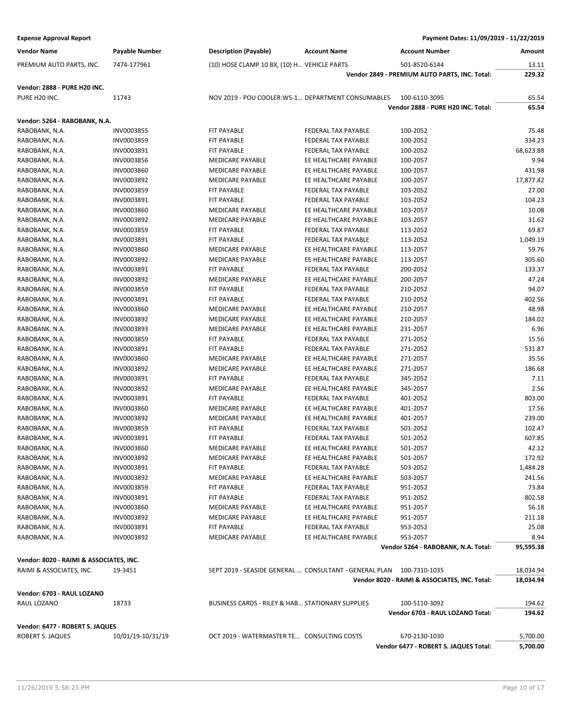| <b>Vendor Name</b><br><b>Description (Payable)</b><br><b>Account Name</b><br><b>Account Number</b><br>Payable Number<br>Amount<br>7474-177961<br>(10) HOSE CLAMP 10 BX, (10) H VEHICLE PARTS<br>501-8520-6144<br>PREMIUM AUTO PARTS, INC.<br>13.11<br>229.32<br>Vendor 2849 - PREMIUM AUTO PARTS, INC. Total:<br><b>Vendor: 2888 - PURE H20 INC.</b><br>PURE H20 INC.<br>NOV 2019 - POU COOLER:WS-1 DEPARTMENT CONSUMABLES<br>65.54<br>11743<br>100-6110-3095<br>65.54<br>Vendor 2888 - PURE H20 INC. Total:<br>Vendor: 5264 - RABOBANK, N.A.<br>100-2052<br>75.48<br>RABOBANK, N.A.<br>INV0003855<br>FIT PAYABLE<br>FEDERAL TAX PAYABLE<br>334.23<br>RABOBANK, N.A.<br>INV0003859<br><b>FIT PAYABLE</b><br><b>FEDERAL TAX PAYABLE</b><br>100-2052<br>RABOBANK, N.A.<br><b>FIT PAYABLE</b><br>FEDERAL TAX PAYABLE<br>100-2052<br>68,623.88<br>INV0003891<br>RABOBANK, N.A.<br>MEDICARE PAYABLE<br>EE HEALTHCARE PAYABLE<br>9.94<br>INV0003856<br>100-2057<br>INV0003860<br><b>MEDICARE PAYABLE</b><br>EE HEALTHCARE PAYABLE<br>431.98<br>RABOBANK, N.A.<br>100-2057<br>INV0003892<br><b>MEDICARE PAYABLE</b><br>EE HEALTHCARE PAYABLE<br>17,877.42<br>RABOBANK, N.A.<br>100-2057<br>27.00<br>RABOBANK, N.A.<br>INV0003859<br>FIT PAYABLE<br>FEDERAL TAX PAYABLE<br>103-2052<br>RABOBANK, N.A.<br>INV0003891<br><b>FIT PAYABLE</b><br>FEDERAL TAX PAYABLE<br>103-2052<br>104.23<br>RABOBANK, N.A.<br>INV0003860<br><b>MEDICARE PAYABLE</b><br>EE HEALTHCARE PAYABLE<br>103-2057<br>10.08<br>INV0003892<br><b>MEDICARE PAYABLE</b><br>EE HEALTHCARE PAYABLE<br>103-2057<br>31.62<br>RABOBANK, N.A.<br>69.87<br>INV0003859<br>RABOBANK, N.A.<br><b>FIT PAYABLE</b><br><b>FEDERAL TAX PAYABLE</b><br>113-2052<br>1,049.19<br>RABOBANK, N.A.<br>INV0003891<br><b>FIT PAYABLE</b><br>FEDERAL TAX PAYABLE<br>113-2052<br>RABOBANK, N.A.<br>INV0003860<br><b>MEDICARE PAYABLE</b><br>EE HEALTHCARE PAYABLE<br>113-2057<br>59.76<br>RABOBANK, N.A.<br>INV0003892<br><b>MEDICARE PAYABLE</b><br>EE HEALTHCARE PAYABLE<br>113-2057<br>305.60<br>INV0003891<br><b>FIT PAYABLE</b><br><b>FEDERAL TAX PAYABLE</b><br>200-2052<br>133.37<br>RABOBANK, N.A.<br>INV0003892<br><b>MEDICARE PAYABLE</b><br>EE HEALTHCARE PAYABLE<br>200-2057<br>47.24<br>RABOBANK, N.A.<br>94.07<br>RABOBANK, N.A.<br>INV0003859<br><b>FIT PAYABLE</b><br>FEDERAL TAX PAYABLE<br>210-2052<br>402.56<br>RABOBANK, N.A.<br>INV0003891<br><b>FIT PAYABLE</b><br>FEDERAL TAX PAYABLE<br>210-2052<br>RABOBANK, N.A.<br>INV0003860<br><b>MEDICARE PAYABLE</b><br>EE HEALTHCARE PAYABLE<br>210-2057<br>48.98<br>184.02<br>INV0003892<br>MEDICARE PAYABLE<br>EE HEALTHCARE PAYABLE<br>RABOBANK, N.A.<br>210-2057<br>6.96<br><b>MEDICARE PAYABLE</b><br>RABOBANK, N.A.<br>INV0003893<br>EE HEALTHCARE PAYABLE<br>231-2057<br>15.56<br>RABOBANK, N.A.<br>INV0003859<br>FIT PAYABLE<br>FEDERAL TAX PAYABLE<br>271-2052<br>RABOBANK, N.A.<br>INV0003891<br>FIT PAYABLE<br>FEDERAL TAX PAYABLE<br>271-2052<br>531.87<br>RABOBANK, N.A.<br>INV0003860<br><b>MEDICARE PAYABLE</b><br>EE HEALTHCARE PAYABLE<br>271-2057<br>35.56<br>INV0003892<br>MEDICARE PAYABLE<br>EE HEALTHCARE PAYABLE<br>271-2057<br>186.68<br>RABOBANK, N.A.<br>INV0003891<br><b>FIT PAYABLE</b><br><b>FEDERAL TAX PAYABLE</b><br>345-2052<br>7.11<br>RABOBANK, N.A.<br>2.56<br>RABOBANK, N.A.<br>INV0003892<br>MEDICARE PAYABLE<br>EE HEALTHCARE PAYABLE<br>345-2057<br>RABOBANK, N.A.<br>INV0003891<br><b>FIT PAYABLE</b><br>FEDERAL TAX PAYABLE<br>401-2052<br>803.00<br>RABOBANK, N.A.<br>INV0003860<br><b>MEDICARE PAYABLE</b><br>EE HEALTHCARE PAYABLE<br>17.56<br>401-2057<br>RABOBANK, N.A.<br>INV0003892<br>MEDICARE PAYABLE<br>EE HEALTHCARE PAYABLE<br>239.00<br>401-2057<br>RABOBANK, N.A.<br>102.47<br>INV0003859<br><b>FIT PAYABLE</b><br><b>FEDERAL TAX PAYABLE</b><br>501-2052<br>607.85<br>RABOBANK, N.A.<br>INV0003891<br>FIT PAYABLE<br><b>FEDERAL TAX PAYABLE</b><br>501-2052<br>RABOBANK, N.A.<br>INV0003860<br><b>MEDICARE PAYABLE</b><br>EE HEALTHCARE PAYABLE<br>501-2057<br>42.12<br>172.92<br>RABOBANK, N.A.<br>INV0003892<br>MEDICARE PAYABLE<br>EE HEALTHCARE PAYABLE<br>501-2057<br>RABOBANK, N.A.<br>INV0003891<br>FIT PAYABLE<br>FEDERAL TAX PAYABLE<br>503-2052<br>1,484.28<br>RABOBANK, N.A.<br>INV0003892<br>MEDICARE PAYABLE<br>EE HEALTHCARE PAYABLE<br>503-2057<br>241.56<br>RABOBANK, N.A.<br>INV0003859<br>FIT PAYABLE<br>FEDERAL TAX PAYABLE<br>951-2052<br>73.84<br>802.58<br>RABOBANK, N.A.<br>INV0003891<br>FIT PAYABLE<br>FEDERAL TAX PAYABLE<br>951-2052<br>RABOBANK, N.A.<br><b>INV0003860</b><br>MEDICARE PAYABLE<br>EE HEALTHCARE PAYABLE<br>951-2057<br>56.18<br>RABOBANK, N.A.<br>INV0003892<br>MEDICARE PAYABLE<br>EE HEALTHCARE PAYABLE<br>951-2057<br>211.18<br>25.08<br>RABOBANK, N.A.<br>INV0003891<br>FIT PAYABLE<br>FEDERAL TAX PAYABLE<br>953-2052<br>RABOBANK, N.A.<br>INV0003892<br><b>MEDICARE PAYABLE</b><br>EE HEALTHCARE PAYABLE<br>953-2057<br>8.94<br>Vendor 5264 - RABOBANK, N.A. Total:<br>95,595.38<br>Vendor: 8020 - RAIMI & ASSOCIATES, INC.<br>SEPT 2019 - SEASIDE GENERAL  CONSULTANT - GENERAL PLAN 100-7310-1035<br>18,034.94<br>RAIMI & ASSOCIATES, INC.<br>19-3451<br>Vendor 8020 - RAIMI & ASSOCIATES, INC. Total:<br>18,034.94<br>Vendor: 6703 - RAUL LOZANO<br>BUSINESS CARDS - RILEY & HAB STATIONARY SUPPLIES<br>RAUL LOZANO<br>18733<br>100-5110-3092<br>194.62<br>Vendor 6703 - RAUL LOZANO Total:<br>194.62<br>Vendor: 6477 - ROBERT S. JAQUES<br>10/01/19-10/31/19<br>ROBERT S. JAQUES<br>OCT 2019 - WATERMASTER TE CONSULTING COSTS<br>670-2130-1030<br>5,700.00<br>Vendor 6477 - ROBERT S. JAQUES Total:<br>5,700.00 | <b>Expense Approval Report</b> |  | Payment Dates: 11/09/2019 - 11/22/2019 |  |
|----------------------------------------------------------------------------------------------------------------------------------------------------------------------------------------------------------------------------------------------------------------------------------------------------------------------------------------------------------------------------------------------------------------------------------------------------------------------------------------------------------------------------------------------------------------------------------------------------------------------------------------------------------------------------------------------------------------------------------------------------------------------------------------------------------------------------------------------------------------------------------------------------------------------------------------------------------------------------------------------------------------------------------------------------------------------------------------------------------------------------------------------------------------------------------------------------------------------------------------------------------------------------------------------------------------------------------------------------------------------------------------------------------------------------------------------------------------------------------------------------------------------------------------------------------------------------------------------------------------------------------------------------------------------------------------------------------------------------------------------------------------------------------------------------------------------------------------------------------------------------------------------------------------------------------------------------------------------------------------------------------------------------------------------------------------------------------------------------------------------------------------------------------------------------------------------------------------------------------------------------------------------------------------------------------------------------------------------------------------------------------------------------------------------------------------------------------------------------------------------------------------------------------------------------------------------------------------------------------------------------------------------------------------------------------------------------------------------------------------------------------------------------------------------------------------------------------------------------------------------------------------------------------------------------------------------------------------------------------------------------------------------------------------------------------------------------------------------------------------------------------------------------------------------------------------------------------------------------------------------------------------------------------------------------------------------------------------------------------------------------------------------------------------------------------------------------------------------------------------------------------------------------------------------------------------------------------------------------------------------------------------------------------------------------------------------------------------------------------------------------------------------------------------------------------------------------------------------------------------------------------------------------------------------------------------------------------------------------------------------------------------------------------------------------------------------------------------------------------------------------------------------------------------------------------------------------------------------------------------------------------------------------------------------------------------------------------------------------------------------------------------------------------------------------------------------------------------------------------------------------------------------------------------------------------------------------------------------------------------------------------------------------------------------------------------------------------------------------------------------------------------------------------------------------------------------------------------------------------------------------------------------------------------------------------------------------------------------------------------------------------------------------------------------------------------------------------------------------------------------------------------------------------------------------------------------------------------------------------------------------------------------------------------------------------------------------------------------------------------------------------------------------------------------------------------------------------------------------------------------------------------------------------------------------------------------------------------------------------------------------------|--------------------------------|--|----------------------------------------|--|
|                                                                                                                                                                                                                                                                                                                                                                                                                                                                                                                                                                                                                                                                                                                                                                                                                                                                                                                                                                                                                                                                                                                                                                                                                                                                                                                                                                                                                                                                                                                                                                                                                                                                                                                                                                                                                                                                                                                                                                                                                                                                                                                                                                                                                                                                                                                                                                                                                                                                                                                                                                                                                                                                                                                                                                                                                                                                                                                                                                                                                                                                                                                                                                                                                                                                                                                                                                                                                                                                                                                                                                                                                                                                                                                                                                                                                                                                                                                                                                                                                                                                                                                                                                                                                                                                                                                                                                                                                                                                                                                                                                                                                                                                                                                                                                                                                                                                                                                                                                                                                                                                                                                                                                                                                                                                                                                                                                                                                                                                                                                                                                                                                                  |                                |  |                                        |  |
|                                                                                                                                                                                                                                                                                                                                                                                                                                                                                                                                                                                                                                                                                                                                                                                                                                                                                                                                                                                                                                                                                                                                                                                                                                                                                                                                                                                                                                                                                                                                                                                                                                                                                                                                                                                                                                                                                                                                                                                                                                                                                                                                                                                                                                                                                                                                                                                                                                                                                                                                                                                                                                                                                                                                                                                                                                                                                                                                                                                                                                                                                                                                                                                                                                                                                                                                                                                                                                                                                                                                                                                                                                                                                                                                                                                                                                                                                                                                                                                                                                                                                                                                                                                                                                                                                                                                                                                                                                                                                                                                                                                                                                                                                                                                                                                                                                                                                                                                                                                                                                                                                                                                                                                                                                                                                                                                                                                                                                                                                                                                                                                                                                  |                                |  |                                        |  |
|                                                                                                                                                                                                                                                                                                                                                                                                                                                                                                                                                                                                                                                                                                                                                                                                                                                                                                                                                                                                                                                                                                                                                                                                                                                                                                                                                                                                                                                                                                                                                                                                                                                                                                                                                                                                                                                                                                                                                                                                                                                                                                                                                                                                                                                                                                                                                                                                                                                                                                                                                                                                                                                                                                                                                                                                                                                                                                                                                                                                                                                                                                                                                                                                                                                                                                                                                                                                                                                                                                                                                                                                                                                                                                                                                                                                                                                                                                                                                                                                                                                                                                                                                                                                                                                                                                                                                                                                                                                                                                                                                                                                                                                                                                                                                                                                                                                                                                                                                                                                                                                                                                                                                                                                                                                                                                                                                                                                                                                                                                                                                                                                                                  |                                |  |                                        |  |
|                                                                                                                                                                                                                                                                                                                                                                                                                                                                                                                                                                                                                                                                                                                                                                                                                                                                                                                                                                                                                                                                                                                                                                                                                                                                                                                                                                                                                                                                                                                                                                                                                                                                                                                                                                                                                                                                                                                                                                                                                                                                                                                                                                                                                                                                                                                                                                                                                                                                                                                                                                                                                                                                                                                                                                                                                                                                                                                                                                                                                                                                                                                                                                                                                                                                                                                                                                                                                                                                                                                                                                                                                                                                                                                                                                                                                                                                                                                                                                                                                                                                                                                                                                                                                                                                                                                                                                                                                                                                                                                                                                                                                                                                                                                                                                                                                                                                                                                                                                                                                                                                                                                                                                                                                                                                                                                                                                                                                                                                                                                                                                                                                                  |                                |  |                                        |  |
|                                                                                                                                                                                                                                                                                                                                                                                                                                                                                                                                                                                                                                                                                                                                                                                                                                                                                                                                                                                                                                                                                                                                                                                                                                                                                                                                                                                                                                                                                                                                                                                                                                                                                                                                                                                                                                                                                                                                                                                                                                                                                                                                                                                                                                                                                                                                                                                                                                                                                                                                                                                                                                                                                                                                                                                                                                                                                                                                                                                                                                                                                                                                                                                                                                                                                                                                                                                                                                                                                                                                                                                                                                                                                                                                                                                                                                                                                                                                                                                                                                                                                                                                                                                                                                                                                                                                                                                                                                                                                                                                                                                                                                                                                                                                                                                                                                                                                                                                                                                                                                                                                                                                                                                                                                                                                                                                                                                                                                                                                                                                                                                                                                  |                                |  |                                        |  |
|                                                                                                                                                                                                                                                                                                                                                                                                                                                                                                                                                                                                                                                                                                                                                                                                                                                                                                                                                                                                                                                                                                                                                                                                                                                                                                                                                                                                                                                                                                                                                                                                                                                                                                                                                                                                                                                                                                                                                                                                                                                                                                                                                                                                                                                                                                                                                                                                                                                                                                                                                                                                                                                                                                                                                                                                                                                                                                                                                                                                                                                                                                                                                                                                                                                                                                                                                                                                                                                                                                                                                                                                                                                                                                                                                                                                                                                                                                                                                                                                                                                                                                                                                                                                                                                                                                                                                                                                                                                                                                                                                                                                                                                                                                                                                                                                                                                                                                                                                                                                                                                                                                                                                                                                                                                                                                                                                                                                                                                                                                                                                                                                                                  |                                |  |                                        |  |
|                                                                                                                                                                                                                                                                                                                                                                                                                                                                                                                                                                                                                                                                                                                                                                                                                                                                                                                                                                                                                                                                                                                                                                                                                                                                                                                                                                                                                                                                                                                                                                                                                                                                                                                                                                                                                                                                                                                                                                                                                                                                                                                                                                                                                                                                                                                                                                                                                                                                                                                                                                                                                                                                                                                                                                                                                                                                                                                                                                                                                                                                                                                                                                                                                                                                                                                                                                                                                                                                                                                                                                                                                                                                                                                                                                                                                                                                                                                                                                                                                                                                                                                                                                                                                                                                                                                                                                                                                                                                                                                                                                                                                                                                                                                                                                                                                                                                                                                                                                                                                                                                                                                                                                                                                                                                                                                                                                                                                                                                                                                                                                                                                                  |                                |  |                                        |  |
|                                                                                                                                                                                                                                                                                                                                                                                                                                                                                                                                                                                                                                                                                                                                                                                                                                                                                                                                                                                                                                                                                                                                                                                                                                                                                                                                                                                                                                                                                                                                                                                                                                                                                                                                                                                                                                                                                                                                                                                                                                                                                                                                                                                                                                                                                                                                                                                                                                                                                                                                                                                                                                                                                                                                                                                                                                                                                                                                                                                                                                                                                                                                                                                                                                                                                                                                                                                                                                                                                                                                                                                                                                                                                                                                                                                                                                                                                                                                                                                                                                                                                                                                                                                                                                                                                                                                                                                                                                                                                                                                                                                                                                                                                                                                                                                                                                                                                                                                                                                                                                                                                                                                                                                                                                                                                                                                                                                                                                                                                                                                                                                                                                  |                                |  |                                        |  |
|                                                                                                                                                                                                                                                                                                                                                                                                                                                                                                                                                                                                                                                                                                                                                                                                                                                                                                                                                                                                                                                                                                                                                                                                                                                                                                                                                                                                                                                                                                                                                                                                                                                                                                                                                                                                                                                                                                                                                                                                                                                                                                                                                                                                                                                                                                                                                                                                                                                                                                                                                                                                                                                                                                                                                                                                                                                                                                                                                                                                                                                                                                                                                                                                                                                                                                                                                                                                                                                                                                                                                                                                                                                                                                                                                                                                                                                                                                                                                                                                                                                                                                                                                                                                                                                                                                                                                                                                                                                                                                                                                                                                                                                                                                                                                                                                                                                                                                                                                                                                                                                                                                                                                                                                                                                                                                                                                                                                                                                                                                                                                                                                                                  |                                |  |                                        |  |
|                                                                                                                                                                                                                                                                                                                                                                                                                                                                                                                                                                                                                                                                                                                                                                                                                                                                                                                                                                                                                                                                                                                                                                                                                                                                                                                                                                                                                                                                                                                                                                                                                                                                                                                                                                                                                                                                                                                                                                                                                                                                                                                                                                                                                                                                                                                                                                                                                                                                                                                                                                                                                                                                                                                                                                                                                                                                                                                                                                                                                                                                                                                                                                                                                                                                                                                                                                                                                                                                                                                                                                                                                                                                                                                                                                                                                                                                                                                                                                                                                                                                                                                                                                                                                                                                                                                                                                                                                                                                                                                                                                                                                                                                                                                                                                                                                                                                                                                                                                                                                                                                                                                                                                                                                                                                                                                                                                                                                                                                                                                                                                                                                                  |                                |  |                                        |  |
|                                                                                                                                                                                                                                                                                                                                                                                                                                                                                                                                                                                                                                                                                                                                                                                                                                                                                                                                                                                                                                                                                                                                                                                                                                                                                                                                                                                                                                                                                                                                                                                                                                                                                                                                                                                                                                                                                                                                                                                                                                                                                                                                                                                                                                                                                                                                                                                                                                                                                                                                                                                                                                                                                                                                                                                                                                                                                                                                                                                                                                                                                                                                                                                                                                                                                                                                                                                                                                                                                                                                                                                                                                                                                                                                                                                                                                                                                                                                                                                                                                                                                                                                                                                                                                                                                                                                                                                                                                                                                                                                                                                                                                                                                                                                                                                                                                                                                                                                                                                                                                                                                                                                                                                                                                                                                                                                                                                                                                                                                                                                                                                                                                  |                                |  |                                        |  |
|                                                                                                                                                                                                                                                                                                                                                                                                                                                                                                                                                                                                                                                                                                                                                                                                                                                                                                                                                                                                                                                                                                                                                                                                                                                                                                                                                                                                                                                                                                                                                                                                                                                                                                                                                                                                                                                                                                                                                                                                                                                                                                                                                                                                                                                                                                                                                                                                                                                                                                                                                                                                                                                                                                                                                                                                                                                                                                                                                                                                                                                                                                                                                                                                                                                                                                                                                                                                                                                                                                                                                                                                                                                                                                                                                                                                                                                                                                                                                                                                                                                                                                                                                                                                                                                                                                                                                                                                                                                                                                                                                                                                                                                                                                                                                                                                                                                                                                                                                                                                                                                                                                                                                                                                                                                                                                                                                                                                                                                                                                                                                                                                                                  |                                |  |                                        |  |
|                                                                                                                                                                                                                                                                                                                                                                                                                                                                                                                                                                                                                                                                                                                                                                                                                                                                                                                                                                                                                                                                                                                                                                                                                                                                                                                                                                                                                                                                                                                                                                                                                                                                                                                                                                                                                                                                                                                                                                                                                                                                                                                                                                                                                                                                                                                                                                                                                                                                                                                                                                                                                                                                                                                                                                                                                                                                                                                                                                                                                                                                                                                                                                                                                                                                                                                                                                                                                                                                                                                                                                                                                                                                                                                                                                                                                                                                                                                                                                                                                                                                                                                                                                                                                                                                                                                                                                                                                                                                                                                                                                                                                                                                                                                                                                                                                                                                                                                                                                                                                                                                                                                                                                                                                                                                                                                                                                                                                                                                                                                                                                                                                                  |                                |  |                                        |  |
|                                                                                                                                                                                                                                                                                                                                                                                                                                                                                                                                                                                                                                                                                                                                                                                                                                                                                                                                                                                                                                                                                                                                                                                                                                                                                                                                                                                                                                                                                                                                                                                                                                                                                                                                                                                                                                                                                                                                                                                                                                                                                                                                                                                                                                                                                                                                                                                                                                                                                                                                                                                                                                                                                                                                                                                                                                                                                                                                                                                                                                                                                                                                                                                                                                                                                                                                                                                                                                                                                                                                                                                                                                                                                                                                                                                                                                                                                                                                                                                                                                                                                                                                                                                                                                                                                                                                                                                                                                                                                                                                                                                                                                                                                                                                                                                                                                                                                                                                                                                                                                                                                                                                                                                                                                                                                                                                                                                                                                                                                                                                                                                                                                  |                                |  |                                        |  |
|                                                                                                                                                                                                                                                                                                                                                                                                                                                                                                                                                                                                                                                                                                                                                                                                                                                                                                                                                                                                                                                                                                                                                                                                                                                                                                                                                                                                                                                                                                                                                                                                                                                                                                                                                                                                                                                                                                                                                                                                                                                                                                                                                                                                                                                                                                                                                                                                                                                                                                                                                                                                                                                                                                                                                                                                                                                                                                                                                                                                                                                                                                                                                                                                                                                                                                                                                                                                                                                                                                                                                                                                                                                                                                                                                                                                                                                                                                                                                                                                                                                                                                                                                                                                                                                                                                                                                                                                                                                                                                                                                                                                                                                                                                                                                                                                                                                                                                                                                                                                                                                                                                                                                                                                                                                                                                                                                                                                                                                                                                                                                                                                                                  |                                |  |                                        |  |
|                                                                                                                                                                                                                                                                                                                                                                                                                                                                                                                                                                                                                                                                                                                                                                                                                                                                                                                                                                                                                                                                                                                                                                                                                                                                                                                                                                                                                                                                                                                                                                                                                                                                                                                                                                                                                                                                                                                                                                                                                                                                                                                                                                                                                                                                                                                                                                                                                                                                                                                                                                                                                                                                                                                                                                                                                                                                                                                                                                                                                                                                                                                                                                                                                                                                                                                                                                                                                                                                                                                                                                                                                                                                                                                                                                                                                                                                                                                                                                                                                                                                                                                                                                                                                                                                                                                                                                                                                                                                                                                                                                                                                                                                                                                                                                                                                                                                                                                                                                                                                                                                                                                                                                                                                                                                                                                                                                                                                                                                                                                                                                                                                                  |                                |  |                                        |  |
|                                                                                                                                                                                                                                                                                                                                                                                                                                                                                                                                                                                                                                                                                                                                                                                                                                                                                                                                                                                                                                                                                                                                                                                                                                                                                                                                                                                                                                                                                                                                                                                                                                                                                                                                                                                                                                                                                                                                                                                                                                                                                                                                                                                                                                                                                                                                                                                                                                                                                                                                                                                                                                                                                                                                                                                                                                                                                                                                                                                                                                                                                                                                                                                                                                                                                                                                                                                                                                                                                                                                                                                                                                                                                                                                                                                                                                                                                                                                                                                                                                                                                                                                                                                                                                                                                                                                                                                                                                                                                                                                                                                                                                                                                                                                                                                                                                                                                                                                                                                                                                                                                                                                                                                                                                                                                                                                                                                                                                                                                                                                                                                                                                  |                                |  |                                        |  |
|                                                                                                                                                                                                                                                                                                                                                                                                                                                                                                                                                                                                                                                                                                                                                                                                                                                                                                                                                                                                                                                                                                                                                                                                                                                                                                                                                                                                                                                                                                                                                                                                                                                                                                                                                                                                                                                                                                                                                                                                                                                                                                                                                                                                                                                                                                                                                                                                                                                                                                                                                                                                                                                                                                                                                                                                                                                                                                                                                                                                                                                                                                                                                                                                                                                                                                                                                                                                                                                                                                                                                                                                                                                                                                                                                                                                                                                                                                                                                                                                                                                                                                                                                                                                                                                                                                                                                                                                                                                                                                                                                                                                                                                                                                                                                                                                                                                                                                                                                                                                                                                                                                                                                                                                                                                                                                                                                                                                                                                                                                                                                                                                                                  |                                |  |                                        |  |
|                                                                                                                                                                                                                                                                                                                                                                                                                                                                                                                                                                                                                                                                                                                                                                                                                                                                                                                                                                                                                                                                                                                                                                                                                                                                                                                                                                                                                                                                                                                                                                                                                                                                                                                                                                                                                                                                                                                                                                                                                                                                                                                                                                                                                                                                                                                                                                                                                                                                                                                                                                                                                                                                                                                                                                                                                                                                                                                                                                                                                                                                                                                                                                                                                                                                                                                                                                                                                                                                                                                                                                                                                                                                                                                                                                                                                                                                                                                                                                                                                                                                                                                                                                                                                                                                                                                                                                                                                                                                                                                                                                                                                                                                                                                                                                                                                                                                                                                                                                                                                                                                                                                                                                                                                                                                                                                                                                                                                                                                                                                                                                                                                                  |                                |  |                                        |  |
|                                                                                                                                                                                                                                                                                                                                                                                                                                                                                                                                                                                                                                                                                                                                                                                                                                                                                                                                                                                                                                                                                                                                                                                                                                                                                                                                                                                                                                                                                                                                                                                                                                                                                                                                                                                                                                                                                                                                                                                                                                                                                                                                                                                                                                                                                                                                                                                                                                                                                                                                                                                                                                                                                                                                                                                                                                                                                                                                                                                                                                                                                                                                                                                                                                                                                                                                                                                                                                                                                                                                                                                                                                                                                                                                                                                                                                                                                                                                                                                                                                                                                                                                                                                                                                                                                                                                                                                                                                                                                                                                                                                                                                                                                                                                                                                                                                                                                                                                                                                                                                                                                                                                                                                                                                                                                                                                                                                                                                                                                                                                                                                                                                  |                                |  |                                        |  |
|                                                                                                                                                                                                                                                                                                                                                                                                                                                                                                                                                                                                                                                                                                                                                                                                                                                                                                                                                                                                                                                                                                                                                                                                                                                                                                                                                                                                                                                                                                                                                                                                                                                                                                                                                                                                                                                                                                                                                                                                                                                                                                                                                                                                                                                                                                                                                                                                                                                                                                                                                                                                                                                                                                                                                                                                                                                                                                                                                                                                                                                                                                                                                                                                                                                                                                                                                                                                                                                                                                                                                                                                                                                                                                                                                                                                                                                                                                                                                                                                                                                                                                                                                                                                                                                                                                                                                                                                                                                                                                                                                                                                                                                                                                                                                                                                                                                                                                                                                                                                                                                                                                                                                                                                                                                                                                                                                                                                                                                                                                                                                                                                                                  |                                |  |                                        |  |
|                                                                                                                                                                                                                                                                                                                                                                                                                                                                                                                                                                                                                                                                                                                                                                                                                                                                                                                                                                                                                                                                                                                                                                                                                                                                                                                                                                                                                                                                                                                                                                                                                                                                                                                                                                                                                                                                                                                                                                                                                                                                                                                                                                                                                                                                                                                                                                                                                                                                                                                                                                                                                                                                                                                                                                                                                                                                                                                                                                                                                                                                                                                                                                                                                                                                                                                                                                                                                                                                                                                                                                                                                                                                                                                                                                                                                                                                                                                                                                                                                                                                                                                                                                                                                                                                                                                                                                                                                                                                                                                                                                                                                                                                                                                                                                                                                                                                                                                                                                                                                                                                                                                                                                                                                                                                                                                                                                                                                                                                                                                                                                                                                                  |                                |  |                                        |  |
|                                                                                                                                                                                                                                                                                                                                                                                                                                                                                                                                                                                                                                                                                                                                                                                                                                                                                                                                                                                                                                                                                                                                                                                                                                                                                                                                                                                                                                                                                                                                                                                                                                                                                                                                                                                                                                                                                                                                                                                                                                                                                                                                                                                                                                                                                                                                                                                                                                                                                                                                                                                                                                                                                                                                                                                                                                                                                                                                                                                                                                                                                                                                                                                                                                                                                                                                                                                                                                                                                                                                                                                                                                                                                                                                                                                                                                                                                                                                                                                                                                                                                                                                                                                                                                                                                                                                                                                                                                                                                                                                                                                                                                                                                                                                                                                                                                                                                                                                                                                                                                                                                                                                                                                                                                                                                                                                                                                                                                                                                                                                                                                                                                  |                                |  |                                        |  |
|                                                                                                                                                                                                                                                                                                                                                                                                                                                                                                                                                                                                                                                                                                                                                                                                                                                                                                                                                                                                                                                                                                                                                                                                                                                                                                                                                                                                                                                                                                                                                                                                                                                                                                                                                                                                                                                                                                                                                                                                                                                                                                                                                                                                                                                                                                                                                                                                                                                                                                                                                                                                                                                                                                                                                                                                                                                                                                                                                                                                                                                                                                                                                                                                                                                                                                                                                                                                                                                                                                                                                                                                                                                                                                                                                                                                                                                                                                                                                                                                                                                                                                                                                                                                                                                                                                                                                                                                                                                                                                                                                                                                                                                                                                                                                                                                                                                                                                                                                                                                                                                                                                                                                                                                                                                                                                                                                                                                                                                                                                                                                                                                                                  |                                |  |                                        |  |
|                                                                                                                                                                                                                                                                                                                                                                                                                                                                                                                                                                                                                                                                                                                                                                                                                                                                                                                                                                                                                                                                                                                                                                                                                                                                                                                                                                                                                                                                                                                                                                                                                                                                                                                                                                                                                                                                                                                                                                                                                                                                                                                                                                                                                                                                                                                                                                                                                                                                                                                                                                                                                                                                                                                                                                                                                                                                                                                                                                                                                                                                                                                                                                                                                                                                                                                                                                                                                                                                                                                                                                                                                                                                                                                                                                                                                                                                                                                                                                                                                                                                                                                                                                                                                                                                                                                                                                                                                                                                                                                                                                                                                                                                                                                                                                                                                                                                                                                                                                                                                                                                                                                                                                                                                                                                                                                                                                                                                                                                                                                                                                                                                                  |                                |  |                                        |  |
|                                                                                                                                                                                                                                                                                                                                                                                                                                                                                                                                                                                                                                                                                                                                                                                                                                                                                                                                                                                                                                                                                                                                                                                                                                                                                                                                                                                                                                                                                                                                                                                                                                                                                                                                                                                                                                                                                                                                                                                                                                                                                                                                                                                                                                                                                                                                                                                                                                                                                                                                                                                                                                                                                                                                                                                                                                                                                                                                                                                                                                                                                                                                                                                                                                                                                                                                                                                                                                                                                                                                                                                                                                                                                                                                                                                                                                                                                                                                                                                                                                                                                                                                                                                                                                                                                                                                                                                                                                                                                                                                                                                                                                                                                                                                                                                                                                                                                                                                                                                                                                                                                                                                                                                                                                                                                                                                                                                                                                                                                                                                                                                                                                  |                                |  |                                        |  |
|                                                                                                                                                                                                                                                                                                                                                                                                                                                                                                                                                                                                                                                                                                                                                                                                                                                                                                                                                                                                                                                                                                                                                                                                                                                                                                                                                                                                                                                                                                                                                                                                                                                                                                                                                                                                                                                                                                                                                                                                                                                                                                                                                                                                                                                                                                                                                                                                                                                                                                                                                                                                                                                                                                                                                                                                                                                                                                                                                                                                                                                                                                                                                                                                                                                                                                                                                                                                                                                                                                                                                                                                                                                                                                                                                                                                                                                                                                                                                                                                                                                                                                                                                                                                                                                                                                                                                                                                                                                                                                                                                                                                                                                                                                                                                                                                                                                                                                                                                                                                                                                                                                                                                                                                                                                                                                                                                                                                                                                                                                                                                                                                                                  |                                |  |                                        |  |
|                                                                                                                                                                                                                                                                                                                                                                                                                                                                                                                                                                                                                                                                                                                                                                                                                                                                                                                                                                                                                                                                                                                                                                                                                                                                                                                                                                                                                                                                                                                                                                                                                                                                                                                                                                                                                                                                                                                                                                                                                                                                                                                                                                                                                                                                                                                                                                                                                                                                                                                                                                                                                                                                                                                                                                                                                                                                                                                                                                                                                                                                                                                                                                                                                                                                                                                                                                                                                                                                                                                                                                                                                                                                                                                                                                                                                                                                                                                                                                                                                                                                                                                                                                                                                                                                                                                                                                                                                                                                                                                                                                                                                                                                                                                                                                                                                                                                                                                                                                                                                                                                                                                                                                                                                                                                                                                                                                                                                                                                                                                                                                                                                                  |                                |  |                                        |  |
|                                                                                                                                                                                                                                                                                                                                                                                                                                                                                                                                                                                                                                                                                                                                                                                                                                                                                                                                                                                                                                                                                                                                                                                                                                                                                                                                                                                                                                                                                                                                                                                                                                                                                                                                                                                                                                                                                                                                                                                                                                                                                                                                                                                                                                                                                                                                                                                                                                                                                                                                                                                                                                                                                                                                                                                                                                                                                                                                                                                                                                                                                                                                                                                                                                                                                                                                                                                                                                                                                                                                                                                                                                                                                                                                                                                                                                                                                                                                                                                                                                                                                                                                                                                                                                                                                                                                                                                                                                                                                                                                                                                                                                                                                                                                                                                                                                                                                                                                                                                                                                                                                                                                                                                                                                                                                                                                                                                                                                                                                                                                                                                                                                  |                                |  |                                        |  |
|                                                                                                                                                                                                                                                                                                                                                                                                                                                                                                                                                                                                                                                                                                                                                                                                                                                                                                                                                                                                                                                                                                                                                                                                                                                                                                                                                                                                                                                                                                                                                                                                                                                                                                                                                                                                                                                                                                                                                                                                                                                                                                                                                                                                                                                                                                                                                                                                                                                                                                                                                                                                                                                                                                                                                                                                                                                                                                                                                                                                                                                                                                                                                                                                                                                                                                                                                                                                                                                                                                                                                                                                                                                                                                                                                                                                                                                                                                                                                                                                                                                                                                                                                                                                                                                                                                                                                                                                                                                                                                                                                                                                                                                                                                                                                                                                                                                                                                                                                                                                                                                                                                                                                                                                                                                                                                                                                                                                                                                                                                                                                                                                                                  |                                |  |                                        |  |
|                                                                                                                                                                                                                                                                                                                                                                                                                                                                                                                                                                                                                                                                                                                                                                                                                                                                                                                                                                                                                                                                                                                                                                                                                                                                                                                                                                                                                                                                                                                                                                                                                                                                                                                                                                                                                                                                                                                                                                                                                                                                                                                                                                                                                                                                                                                                                                                                                                                                                                                                                                                                                                                                                                                                                                                                                                                                                                                                                                                                                                                                                                                                                                                                                                                                                                                                                                                                                                                                                                                                                                                                                                                                                                                                                                                                                                                                                                                                                                                                                                                                                                                                                                                                                                                                                                                                                                                                                                                                                                                                                                                                                                                                                                                                                                                                                                                                                                                                                                                                                                                                                                                                                                                                                                                                                                                                                                                                                                                                                                                                                                                                                                  |                                |  |                                        |  |
|                                                                                                                                                                                                                                                                                                                                                                                                                                                                                                                                                                                                                                                                                                                                                                                                                                                                                                                                                                                                                                                                                                                                                                                                                                                                                                                                                                                                                                                                                                                                                                                                                                                                                                                                                                                                                                                                                                                                                                                                                                                                                                                                                                                                                                                                                                                                                                                                                                                                                                                                                                                                                                                                                                                                                                                                                                                                                                                                                                                                                                                                                                                                                                                                                                                                                                                                                                                                                                                                                                                                                                                                                                                                                                                                                                                                                                                                                                                                                                                                                                                                                                                                                                                                                                                                                                                                                                                                                                                                                                                                                                                                                                                                                                                                                                                                                                                                                                                                                                                                                                                                                                                                                                                                                                                                                                                                                                                                                                                                                                                                                                                                                                  |                                |  |                                        |  |
|                                                                                                                                                                                                                                                                                                                                                                                                                                                                                                                                                                                                                                                                                                                                                                                                                                                                                                                                                                                                                                                                                                                                                                                                                                                                                                                                                                                                                                                                                                                                                                                                                                                                                                                                                                                                                                                                                                                                                                                                                                                                                                                                                                                                                                                                                                                                                                                                                                                                                                                                                                                                                                                                                                                                                                                                                                                                                                                                                                                                                                                                                                                                                                                                                                                                                                                                                                                                                                                                                                                                                                                                                                                                                                                                                                                                                                                                                                                                                                                                                                                                                                                                                                                                                                                                                                                                                                                                                                                                                                                                                                                                                                                                                                                                                                                                                                                                                                                                                                                                                                                                                                                                                                                                                                                                                                                                                                                                                                                                                                                                                                                                                                  |                                |  |                                        |  |
|                                                                                                                                                                                                                                                                                                                                                                                                                                                                                                                                                                                                                                                                                                                                                                                                                                                                                                                                                                                                                                                                                                                                                                                                                                                                                                                                                                                                                                                                                                                                                                                                                                                                                                                                                                                                                                                                                                                                                                                                                                                                                                                                                                                                                                                                                                                                                                                                                                                                                                                                                                                                                                                                                                                                                                                                                                                                                                                                                                                                                                                                                                                                                                                                                                                                                                                                                                                                                                                                                                                                                                                                                                                                                                                                                                                                                                                                                                                                                                                                                                                                                                                                                                                                                                                                                                                                                                                                                                                                                                                                                                                                                                                                                                                                                                                                                                                                                                                                                                                                                                                                                                                                                                                                                                                                                                                                                                                                                                                                                                                                                                                                                                  |                                |  |                                        |  |
|                                                                                                                                                                                                                                                                                                                                                                                                                                                                                                                                                                                                                                                                                                                                                                                                                                                                                                                                                                                                                                                                                                                                                                                                                                                                                                                                                                                                                                                                                                                                                                                                                                                                                                                                                                                                                                                                                                                                                                                                                                                                                                                                                                                                                                                                                                                                                                                                                                                                                                                                                                                                                                                                                                                                                                                                                                                                                                                                                                                                                                                                                                                                                                                                                                                                                                                                                                                                                                                                                                                                                                                                                                                                                                                                                                                                                                                                                                                                                                                                                                                                                                                                                                                                                                                                                                                                                                                                                                                                                                                                                                                                                                                                                                                                                                                                                                                                                                                                                                                                                                                                                                                                                                                                                                                                                                                                                                                                                                                                                                                                                                                                                                  |                                |  |                                        |  |
|                                                                                                                                                                                                                                                                                                                                                                                                                                                                                                                                                                                                                                                                                                                                                                                                                                                                                                                                                                                                                                                                                                                                                                                                                                                                                                                                                                                                                                                                                                                                                                                                                                                                                                                                                                                                                                                                                                                                                                                                                                                                                                                                                                                                                                                                                                                                                                                                                                                                                                                                                                                                                                                                                                                                                                                                                                                                                                                                                                                                                                                                                                                                                                                                                                                                                                                                                                                                                                                                                                                                                                                                                                                                                                                                                                                                                                                                                                                                                                                                                                                                                                                                                                                                                                                                                                                                                                                                                                                                                                                                                                                                                                                                                                                                                                                                                                                                                                                                                                                                                                                                                                                                                                                                                                                                                                                                                                                                                                                                                                                                                                                                                                  |                                |  |                                        |  |
|                                                                                                                                                                                                                                                                                                                                                                                                                                                                                                                                                                                                                                                                                                                                                                                                                                                                                                                                                                                                                                                                                                                                                                                                                                                                                                                                                                                                                                                                                                                                                                                                                                                                                                                                                                                                                                                                                                                                                                                                                                                                                                                                                                                                                                                                                                                                                                                                                                                                                                                                                                                                                                                                                                                                                                                                                                                                                                                                                                                                                                                                                                                                                                                                                                                                                                                                                                                                                                                                                                                                                                                                                                                                                                                                                                                                                                                                                                                                                                                                                                                                                                                                                                                                                                                                                                                                                                                                                                                                                                                                                                                                                                                                                                                                                                                                                                                                                                                                                                                                                                                                                                                                                                                                                                                                                                                                                                                                                                                                                                                                                                                                                                  |                                |  |                                        |  |
|                                                                                                                                                                                                                                                                                                                                                                                                                                                                                                                                                                                                                                                                                                                                                                                                                                                                                                                                                                                                                                                                                                                                                                                                                                                                                                                                                                                                                                                                                                                                                                                                                                                                                                                                                                                                                                                                                                                                                                                                                                                                                                                                                                                                                                                                                                                                                                                                                                                                                                                                                                                                                                                                                                                                                                                                                                                                                                                                                                                                                                                                                                                                                                                                                                                                                                                                                                                                                                                                                                                                                                                                                                                                                                                                                                                                                                                                                                                                                                                                                                                                                                                                                                                                                                                                                                                                                                                                                                                                                                                                                                                                                                                                                                                                                                                                                                                                                                                                                                                                                                                                                                                                                                                                                                                                                                                                                                                                                                                                                                                                                                                                                                  |                                |  |                                        |  |
|                                                                                                                                                                                                                                                                                                                                                                                                                                                                                                                                                                                                                                                                                                                                                                                                                                                                                                                                                                                                                                                                                                                                                                                                                                                                                                                                                                                                                                                                                                                                                                                                                                                                                                                                                                                                                                                                                                                                                                                                                                                                                                                                                                                                                                                                                                                                                                                                                                                                                                                                                                                                                                                                                                                                                                                                                                                                                                                                                                                                                                                                                                                                                                                                                                                                                                                                                                                                                                                                                                                                                                                                                                                                                                                                                                                                                                                                                                                                                                                                                                                                                                                                                                                                                                                                                                                                                                                                                                                                                                                                                                                                                                                                                                                                                                                                                                                                                                                                                                                                                                                                                                                                                                                                                                                                                                                                                                                                                                                                                                                                                                                                                                  |                                |  |                                        |  |
|                                                                                                                                                                                                                                                                                                                                                                                                                                                                                                                                                                                                                                                                                                                                                                                                                                                                                                                                                                                                                                                                                                                                                                                                                                                                                                                                                                                                                                                                                                                                                                                                                                                                                                                                                                                                                                                                                                                                                                                                                                                                                                                                                                                                                                                                                                                                                                                                                                                                                                                                                                                                                                                                                                                                                                                                                                                                                                                                                                                                                                                                                                                                                                                                                                                                                                                                                                                                                                                                                                                                                                                                                                                                                                                                                                                                                                                                                                                                                                                                                                                                                                                                                                                                                                                                                                                                                                                                                                                                                                                                                                                                                                                                                                                                                                                                                                                                                                                                                                                                                                                                                                                                                                                                                                                                                                                                                                                                                                                                                                                                                                                                                                  |                                |  |                                        |  |
|                                                                                                                                                                                                                                                                                                                                                                                                                                                                                                                                                                                                                                                                                                                                                                                                                                                                                                                                                                                                                                                                                                                                                                                                                                                                                                                                                                                                                                                                                                                                                                                                                                                                                                                                                                                                                                                                                                                                                                                                                                                                                                                                                                                                                                                                                                                                                                                                                                                                                                                                                                                                                                                                                                                                                                                                                                                                                                                                                                                                                                                                                                                                                                                                                                                                                                                                                                                                                                                                                                                                                                                                                                                                                                                                                                                                                                                                                                                                                                                                                                                                                                                                                                                                                                                                                                                                                                                                                                                                                                                                                                                                                                                                                                                                                                                                                                                                                                                                                                                                                                                                                                                                                                                                                                                                                                                                                                                                                                                                                                                                                                                                                                  |                                |  |                                        |  |
|                                                                                                                                                                                                                                                                                                                                                                                                                                                                                                                                                                                                                                                                                                                                                                                                                                                                                                                                                                                                                                                                                                                                                                                                                                                                                                                                                                                                                                                                                                                                                                                                                                                                                                                                                                                                                                                                                                                                                                                                                                                                                                                                                                                                                                                                                                                                                                                                                                                                                                                                                                                                                                                                                                                                                                                                                                                                                                                                                                                                                                                                                                                                                                                                                                                                                                                                                                                                                                                                                                                                                                                                                                                                                                                                                                                                                                                                                                                                                                                                                                                                                                                                                                                                                                                                                                                                                                                                                                                                                                                                                                                                                                                                                                                                                                                                                                                                                                                                                                                                                                                                                                                                                                                                                                                                                                                                                                                                                                                                                                                                                                                                                                  |                                |  |                                        |  |
|                                                                                                                                                                                                                                                                                                                                                                                                                                                                                                                                                                                                                                                                                                                                                                                                                                                                                                                                                                                                                                                                                                                                                                                                                                                                                                                                                                                                                                                                                                                                                                                                                                                                                                                                                                                                                                                                                                                                                                                                                                                                                                                                                                                                                                                                                                                                                                                                                                                                                                                                                                                                                                                                                                                                                                                                                                                                                                                                                                                                                                                                                                                                                                                                                                                                                                                                                                                                                                                                                                                                                                                                                                                                                                                                                                                                                                                                                                                                                                                                                                                                                                                                                                                                                                                                                                                                                                                                                                                                                                                                                                                                                                                                                                                                                                                                                                                                                                                                                                                                                                                                                                                                                                                                                                                                                                                                                                                                                                                                                                                                                                                                                                  |                                |  |                                        |  |
|                                                                                                                                                                                                                                                                                                                                                                                                                                                                                                                                                                                                                                                                                                                                                                                                                                                                                                                                                                                                                                                                                                                                                                                                                                                                                                                                                                                                                                                                                                                                                                                                                                                                                                                                                                                                                                                                                                                                                                                                                                                                                                                                                                                                                                                                                                                                                                                                                                                                                                                                                                                                                                                                                                                                                                                                                                                                                                                                                                                                                                                                                                                                                                                                                                                                                                                                                                                                                                                                                                                                                                                                                                                                                                                                                                                                                                                                                                                                                                                                                                                                                                                                                                                                                                                                                                                                                                                                                                                                                                                                                                                                                                                                                                                                                                                                                                                                                                                                                                                                                                                                                                                                                                                                                                                                                                                                                                                                                                                                                                                                                                                                                                  |                                |  |                                        |  |
|                                                                                                                                                                                                                                                                                                                                                                                                                                                                                                                                                                                                                                                                                                                                                                                                                                                                                                                                                                                                                                                                                                                                                                                                                                                                                                                                                                                                                                                                                                                                                                                                                                                                                                                                                                                                                                                                                                                                                                                                                                                                                                                                                                                                                                                                                                                                                                                                                                                                                                                                                                                                                                                                                                                                                                                                                                                                                                                                                                                                                                                                                                                                                                                                                                                                                                                                                                                                                                                                                                                                                                                                                                                                                                                                                                                                                                                                                                                                                                                                                                                                                                                                                                                                                                                                                                                                                                                                                                                                                                                                                                                                                                                                                                                                                                                                                                                                                                                                                                                                                                                                                                                                                                                                                                                                                                                                                                                                                                                                                                                                                                                                                                  |                                |  |                                        |  |
|                                                                                                                                                                                                                                                                                                                                                                                                                                                                                                                                                                                                                                                                                                                                                                                                                                                                                                                                                                                                                                                                                                                                                                                                                                                                                                                                                                                                                                                                                                                                                                                                                                                                                                                                                                                                                                                                                                                                                                                                                                                                                                                                                                                                                                                                                                                                                                                                                                                                                                                                                                                                                                                                                                                                                                                                                                                                                                                                                                                                                                                                                                                                                                                                                                                                                                                                                                                                                                                                                                                                                                                                                                                                                                                                                                                                                                                                                                                                                                                                                                                                                                                                                                                                                                                                                                                                                                                                                                                                                                                                                                                                                                                                                                                                                                                                                                                                                                                                                                                                                                                                                                                                                                                                                                                                                                                                                                                                                                                                                                                                                                                                                                  |                                |  |                                        |  |
|                                                                                                                                                                                                                                                                                                                                                                                                                                                                                                                                                                                                                                                                                                                                                                                                                                                                                                                                                                                                                                                                                                                                                                                                                                                                                                                                                                                                                                                                                                                                                                                                                                                                                                                                                                                                                                                                                                                                                                                                                                                                                                                                                                                                                                                                                                                                                                                                                                                                                                                                                                                                                                                                                                                                                                                                                                                                                                                                                                                                                                                                                                                                                                                                                                                                                                                                                                                                                                                                                                                                                                                                                                                                                                                                                                                                                                                                                                                                                                                                                                                                                                                                                                                                                                                                                                                                                                                                                                                                                                                                                                                                                                                                                                                                                                                                                                                                                                                                                                                                                                                                                                                                                                                                                                                                                                                                                                                                                                                                                                                                                                                                                                  |                                |  |                                        |  |
|                                                                                                                                                                                                                                                                                                                                                                                                                                                                                                                                                                                                                                                                                                                                                                                                                                                                                                                                                                                                                                                                                                                                                                                                                                                                                                                                                                                                                                                                                                                                                                                                                                                                                                                                                                                                                                                                                                                                                                                                                                                                                                                                                                                                                                                                                                                                                                                                                                                                                                                                                                                                                                                                                                                                                                                                                                                                                                                                                                                                                                                                                                                                                                                                                                                                                                                                                                                                                                                                                                                                                                                                                                                                                                                                                                                                                                                                                                                                                                                                                                                                                                                                                                                                                                                                                                                                                                                                                                                                                                                                                                                                                                                                                                                                                                                                                                                                                                                                                                                                                                                                                                                                                                                                                                                                                                                                                                                                                                                                                                                                                                                                                                  |                                |  |                                        |  |
|                                                                                                                                                                                                                                                                                                                                                                                                                                                                                                                                                                                                                                                                                                                                                                                                                                                                                                                                                                                                                                                                                                                                                                                                                                                                                                                                                                                                                                                                                                                                                                                                                                                                                                                                                                                                                                                                                                                                                                                                                                                                                                                                                                                                                                                                                                                                                                                                                                                                                                                                                                                                                                                                                                                                                                                                                                                                                                                                                                                                                                                                                                                                                                                                                                                                                                                                                                                                                                                                                                                                                                                                                                                                                                                                                                                                                                                                                                                                                                                                                                                                                                                                                                                                                                                                                                                                                                                                                                                                                                                                                                                                                                                                                                                                                                                                                                                                                                                                                                                                                                                                                                                                                                                                                                                                                                                                                                                                                                                                                                                                                                                                                                  |                                |  |                                        |  |
|                                                                                                                                                                                                                                                                                                                                                                                                                                                                                                                                                                                                                                                                                                                                                                                                                                                                                                                                                                                                                                                                                                                                                                                                                                                                                                                                                                                                                                                                                                                                                                                                                                                                                                                                                                                                                                                                                                                                                                                                                                                                                                                                                                                                                                                                                                                                                                                                                                                                                                                                                                                                                                                                                                                                                                                                                                                                                                                                                                                                                                                                                                                                                                                                                                                                                                                                                                                                                                                                                                                                                                                                                                                                                                                                                                                                                                                                                                                                                                                                                                                                                                                                                                                                                                                                                                                                                                                                                                                                                                                                                                                                                                                                                                                                                                                                                                                                                                                                                                                                                                                                                                                                                                                                                                                                                                                                                                                                                                                                                                                                                                                                                                  |                                |  |                                        |  |
|                                                                                                                                                                                                                                                                                                                                                                                                                                                                                                                                                                                                                                                                                                                                                                                                                                                                                                                                                                                                                                                                                                                                                                                                                                                                                                                                                                                                                                                                                                                                                                                                                                                                                                                                                                                                                                                                                                                                                                                                                                                                                                                                                                                                                                                                                                                                                                                                                                                                                                                                                                                                                                                                                                                                                                                                                                                                                                                                                                                                                                                                                                                                                                                                                                                                                                                                                                                                                                                                                                                                                                                                                                                                                                                                                                                                                                                                                                                                                                                                                                                                                                                                                                                                                                                                                                                                                                                                                                                                                                                                                                                                                                                                                                                                                                                                                                                                                                                                                                                                                                                                                                                                                                                                                                                                                                                                                                                                                                                                                                                                                                                                                                  |                                |  |                                        |  |
|                                                                                                                                                                                                                                                                                                                                                                                                                                                                                                                                                                                                                                                                                                                                                                                                                                                                                                                                                                                                                                                                                                                                                                                                                                                                                                                                                                                                                                                                                                                                                                                                                                                                                                                                                                                                                                                                                                                                                                                                                                                                                                                                                                                                                                                                                                                                                                                                                                                                                                                                                                                                                                                                                                                                                                                                                                                                                                                                                                                                                                                                                                                                                                                                                                                                                                                                                                                                                                                                                                                                                                                                                                                                                                                                                                                                                                                                                                                                                                                                                                                                                                                                                                                                                                                                                                                                                                                                                                                                                                                                                                                                                                                                                                                                                                                                                                                                                                                                                                                                                                                                                                                                                                                                                                                                                                                                                                                                                                                                                                                                                                                                                                  |                                |  |                                        |  |
|                                                                                                                                                                                                                                                                                                                                                                                                                                                                                                                                                                                                                                                                                                                                                                                                                                                                                                                                                                                                                                                                                                                                                                                                                                                                                                                                                                                                                                                                                                                                                                                                                                                                                                                                                                                                                                                                                                                                                                                                                                                                                                                                                                                                                                                                                                                                                                                                                                                                                                                                                                                                                                                                                                                                                                                                                                                                                                                                                                                                                                                                                                                                                                                                                                                                                                                                                                                                                                                                                                                                                                                                                                                                                                                                                                                                                                                                                                                                                                                                                                                                                                                                                                                                                                                                                                                                                                                                                                                                                                                                                                                                                                                                                                                                                                                                                                                                                                                                                                                                                                                                                                                                                                                                                                                                                                                                                                                                                                                                                                                                                                                                                                  |                                |  |                                        |  |
|                                                                                                                                                                                                                                                                                                                                                                                                                                                                                                                                                                                                                                                                                                                                                                                                                                                                                                                                                                                                                                                                                                                                                                                                                                                                                                                                                                                                                                                                                                                                                                                                                                                                                                                                                                                                                                                                                                                                                                                                                                                                                                                                                                                                                                                                                                                                                                                                                                                                                                                                                                                                                                                                                                                                                                                                                                                                                                                                                                                                                                                                                                                                                                                                                                                                                                                                                                                                                                                                                                                                                                                                                                                                                                                                                                                                                                                                                                                                                                                                                                                                                                                                                                                                                                                                                                                                                                                                                                                                                                                                                                                                                                                                                                                                                                                                                                                                                                                                                                                                                                                                                                                                                                                                                                                                                                                                                                                                                                                                                                                                                                                                                                  |                                |  |                                        |  |
|                                                                                                                                                                                                                                                                                                                                                                                                                                                                                                                                                                                                                                                                                                                                                                                                                                                                                                                                                                                                                                                                                                                                                                                                                                                                                                                                                                                                                                                                                                                                                                                                                                                                                                                                                                                                                                                                                                                                                                                                                                                                                                                                                                                                                                                                                                                                                                                                                                                                                                                                                                                                                                                                                                                                                                                                                                                                                                                                                                                                                                                                                                                                                                                                                                                                                                                                                                                                                                                                                                                                                                                                                                                                                                                                                                                                                                                                                                                                                                                                                                                                                                                                                                                                                                                                                                                                                                                                                                                                                                                                                                                                                                                                                                                                                                                                                                                                                                                                                                                                                                                                                                                                                                                                                                                                                                                                                                                                                                                                                                                                                                                                                                  |                                |  |                                        |  |
|                                                                                                                                                                                                                                                                                                                                                                                                                                                                                                                                                                                                                                                                                                                                                                                                                                                                                                                                                                                                                                                                                                                                                                                                                                                                                                                                                                                                                                                                                                                                                                                                                                                                                                                                                                                                                                                                                                                                                                                                                                                                                                                                                                                                                                                                                                                                                                                                                                                                                                                                                                                                                                                                                                                                                                                                                                                                                                                                                                                                                                                                                                                                                                                                                                                                                                                                                                                                                                                                                                                                                                                                                                                                                                                                                                                                                                                                                                                                                                                                                                                                                                                                                                                                                                                                                                                                                                                                                                                                                                                                                                                                                                                                                                                                                                                                                                                                                                                                                                                                                                                                                                                                                                                                                                                                                                                                                                                                                                                                                                                                                                                                                                  |                                |  |                                        |  |
|                                                                                                                                                                                                                                                                                                                                                                                                                                                                                                                                                                                                                                                                                                                                                                                                                                                                                                                                                                                                                                                                                                                                                                                                                                                                                                                                                                                                                                                                                                                                                                                                                                                                                                                                                                                                                                                                                                                                                                                                                                                                                                                                                                                                                                                                                                                                                                                                                                                                                                                                                                                                                                                                                                                                                                                                                                                                                                                                                                                                                                                                                                                                                                                                                                                                                                                                                                                                                                                                                                                                                                                                                                                                                                                                                                                                                                                                                                                                                                                                                                                                                                                                                                                                                                                                                                                                                                                                                                                                                                                                                                                                                                                                                                                                                                                                                                                                                                                                                                                                                                                                                                                                                                                                                                                                                                                                                                                                                                                                                                                                                                                                                                  |                                |  |                                        |  |
|                                                                                                                                                                                                                                                                                                                                                                                                                                                                                                                                                                                                                                                                                                                                                                                                                                                                                                                                                                                                                                                                                                                                                                                                                                                                                                                                                                                                                                                                                                                                                                                                                                                                                                                                                                                                                                                                                                                                                                                                                                                                                                                                                                                                                                                                                                                                                                                                                                                                                                                                                                                                                                                                                                                                                                                                                                                                                                                                                                                                                                                                                                                                                                                                                                                                                                                                                                                                                                                                                                                                                                                                                                                                                                                                                                                                                                                                                                                                                                                                                                                                                                                                                                                                                                                                                                                                                                                                                                                                                                                                                                                                                                                                                                                                                                                                                                                                                                                                                                                                                                                                                                                                                                                                                                                                                                                                                                                                                                                                                                                                                                                                                                  |                                |  |                                        |  |
|                                                                                                                                                                                                                                                                                                                                                                                                                                                                                                                                                                                                                                                                                                                                                                                                                                                                                                                                                                                                                                                                                                                                                                                                                                                                                                                                                                                                                                                                                                                                                                                                                                                                                                                                                                                                                                                                                                                                                                                                                                                                                                                                                                                                                                                                                                                                                                                                                                                                                                                                                                                                                                                                                                                                                                                                                                                                                                                                                                                                                                                                                                                                                                                                                                                                                                                                                                                                                                                                                                                                                                                                                                                                                                                                                                                                                                                                                                                                                                                                                                                                                                                                                                                                                                                                                                                                                                                                                                                                                                                                                                                                                                                                                                                                                                                                                                                                                                                                                                                                                                                                                                                                                                                                                                                                                                                                                                                                                                                                                                                                                                                                                                  |                                |  |                                        |  |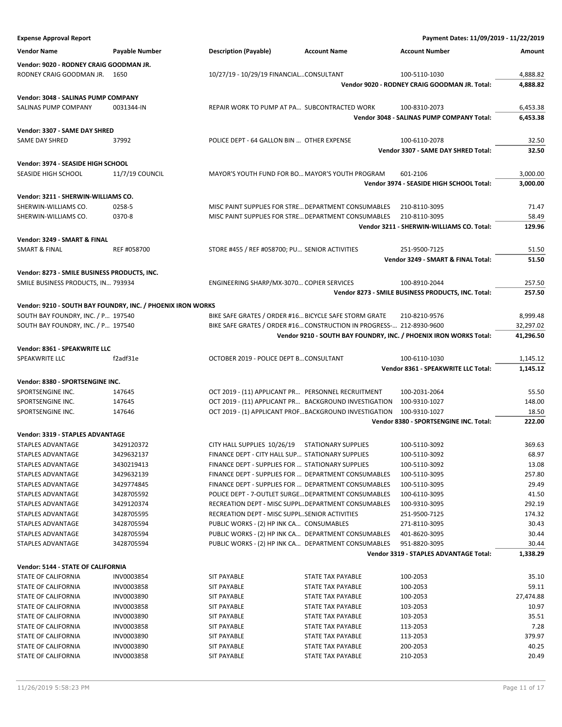| <b>Expense Approval Report</b>                              |                                                             |                                                       |                                                                      | Payment Dates: 11/09/2019 - 11/22/2019                            |                |
|-------------------------------------------------------------|-------------------------------------------------------------|-------------------------------------------------------|----------------------------------------------------------------------|-------------------------------------------------------------------|----------------|
| <b>Vendor Name</b>                                          | <b>Payable Number</b>                                       | <b>Description (Payable)</b>                          | <b>Account Name</b>                                                  | <b>Account Number</b>                                             | Amount         |
| Vendor: 9020 - RODNEY CRAIG GOODMAN JR.                     |                                                             |                                                       |                                                                      |                                                                   |                |
| RODNEY CRAIG GOODMAN JR. 1650                               |                                                             | 10/27/19 - 10/29/19 FINANCIALCONSULTANT               |                                                                      | 100-5110-1030                                                     | 4,888.82       |
|                                                             |                                                             |                                                       |                                                                      | Vendor 9020 - RODNEY CRAIG GOODMAN JR. Total:                     | 4,888.82       |
| Vendor: 3048 - SALINAS PUMP COMPANY                         |                                                             |                                                       |                                                                      |                                                                   |                |
| SALINAS PUMP COMPANY                                        | 0031344-IN                                                  | REPAIR WORK TO PUMP AT PA SUBCONTRACTED WORK          |                                                                      | 100-8310-2073                                                     | 6,453.38       |
|                                                             |                                                             |                                                       |                                                                      | Vendor 3048 - SALINAS PUMP COMPANY Total:                         | 6,453.38       |
| Vendor: 3307 - SAME DAY SHRED                               |                                                             |                                                       |                                                                      |                                                                   |                |
| SAME DAY SHRED                                              | 37992                                                       | POLICE DEPT - 64 GALLON BIN  OTHER EXPENSE            |                                                                      | 100-6110-2078                                                     | 32.50          |
|                                                             |                                                             |                                                       |                                                                      | Vendor 3307 - SAME DAY SHRED Total:                               | 32.50          |
| Vendor: 3974 - SEASIDE HIGH SCHOOL                          |                                                             |                                                       |                                                                      |                                                                   |                |
| SEASIDE HIGH SCHOOL                                         | 11/7/19 COUNCIL                                             | MAYOR'S YOUTH FUND FOR BO MAYOR'S YOUTH PROGRAM       |                                                                      | 601-2106                                                          | 3,000.00       |
|                                                             |                                                             |                                                       |                                                                      | Vendor 3974 - SEASIDE HIGH SCHOOL Total:                          | 3,000.00       |
|                                                             |                                                             |                                                       |                                                                      |                                                                   |                |
| Vendor: 3211 - SHERWIN-WILLIAMS CO.<br>SHERWIN-WILLIAMS CO. | 0258-5                                                      | MISC PAINT SUPPLIES FOR STRE DEPARTMENT CONSUMABLES   |                                                                      | 210-8110-3095                                                     | 71.47          |
| SHERWIN-WILLIAMS CO.                                        | 0370-8                                                      | MISC PAINT SUPPLIES FOR STRE DEPARTMENT CONSUMABLES   |                                                                      | 210-8110-3095                                                     | 58.49          |
|                                                             |                                                             |                                                       |                                                                      | Vendor 3211 - SHERWIN-WILLIAMS CO. Total:                         | 129.96         |
|                                                             |                                                             |                                                       |                                                                      |                                                                   |                |
| Vendor: 3249 - SMART & FINAL                                |                                                             |                                                       |                                                                      |                                                                   |                |
| <b>SMART &amp; FINAL</b>                                    | REF #058700                                                 | STORE #455 / REF #058700; PU SENIOR ACTIVITIES        |                                                                      | 251-9500-7125                                                     | 51.50<br>51.50 |
|                                                             |                                                             |                                                       |                                                                      | Vendor 3249 - SMART & FINAL Total:                                |                |
| Vendor: 8273 - SMILE BUSINESS PRODUCTS, INC.                |                                                             |                                                       |                                                                      |                                                                   |                |
| SMILE BUSINESS PRODUCTS, IN 793934                          |                                                             | ENGINEERING SHARP/MX-3070 COPIER SERVICES             |                                                                      | 100-8910-2044                                                     | 257.50         |
|                                                             |                                                             |                                                       |                                                                      | Vendor 8273 - SMILE BUSINESS PRODUCTS, INC. Total:                | 257.50         |
|                                                             | Vendor: 9210 - SOUTH BAY FOUNDRY, INC. / PHOENIX IRON WORKS |                                                       |                                                                      |                                                                   |                |
| SOUTH BAY FOUNDRY, INC. / P 197540                          |                                                             | BIKE SAFE GRATES / ORDER #16 BICYCLE SAFE STORM GRATE |                                                                      | 210-8210-9576                                                     | 8,999.48       |
| SOUTH BAY FOUNDRY, INC. / P 197540                          |                                                             |                                                       | BIKE SAFE GRATES / ORDER #16 CONSTRUCTION IN PROGRESS- 212-8930-9600 |                                                                   | 32,297.02      |
|                                                             |                                                             |                                                       |                                                                      | Vendor 9210 - SOUTH BAY FOUNDRY, INC. / PHOENIX IRON WORKS Total: | 41,296.50      |
| Vendor: 8361 - SPEAKWRITE LLC                               |                                                             |                                                       |                                                                      |                                                                   |                |
| SPEAKWRITE LLC                                              | f2adf31e                                                    | OCTOBER 2019 - POLICE DEPT B CONSULTANT               |                                                                      | 100-6110-1030                                                     | 1,145.12       |
|                                                             |                                                             |                                                       |                                                                      | Vendor 8361 - SPEAKWRITE LLC Total:                               | 1,145.12       |
| Vendor: 8380 - SPORTSENGINE INC.                            |                                                             |                                                       |                                                                      |                                                                   |                |
| SPORTSENGINE INC.                                           | 147645                                                      | OCT 2019 - (11) APPLICANT PR PERSONNEL RECRUITMENT    |                                                                      | 100-2031-2064                                                     | 55.50          |
| SPORTSENGINE INC.                                           | 147645                                                      | OCT 2019 - (11) APPLICANT PR BACKGROUND INVESTIGATION |                                                                      | 100-9310-1027                                                     | 148.00         |
| SPORTSENGINE INC.                                           | 147646                                                      |                                                       | OCT 2019 - (1) APPLICANT PROFBACKGROUND INVESTIGATION                | 100-9310-1027                                                     | 18.50          |
|                                                             |                                                             |                                                       |                                                                      | Vendor 8380 - SPORTSENGINE INC. Total:                            | 222.00         |
| Vendor: 3319 - STAPLES ADVANTAGE                            |                                                             |                                                       |                                                                      |                                                                   |                |
| STAPLES ADVANTAGE                                           | 3429120372                                                  | CITY HALL SUPPLIES 10/26/19 STATIONARY SUPPLIES       |                                                                      | 100-5110-3092                                                     | 369.63         |
| STAPLES ADVANTAGE                                           | 3429632137                                                  | FINANCE DEPT - CITY HALL SUP STATIONARY SUPPLIES      |                                                                      | 100-5110-3092                                                     | 68.97          |
| <b>STAPLES ADVANTAGE</b>                                    | 3430219413                                                  | FINANCE DEPT - SUPPLIES FOR  STATIONARY SUPPLIES      |                                                                      | 100-5110-3092                                                     | 13.08          |
| STAPLES ADVANTAGE                                           | 3429632139                                                  | FINANCE DEPT - SUPPLIES FOR  DEPARTMENT CONSUMABLES   |                                                                      | 100-5110-3095                                                     | 257.80         |
| STAPLES ADVANTAGE                                           | 3429774845                                                  | FINANCE DEPT - SUPPLIES FOR  DEPARTMENT CONSUMABLES   |                                                                      | 100-5110-3095                                                     | 29.49          |
| STAPLES ADVANTAGE                                           | 3428705592                                                  | POLICE DEPT - 7-OUTLET SURGE DEPARTMENT CONSUMABLES   |                                                                      | 100-6110-3095                                                     | 41.50          |
| <b>STAPLES ADVANTAGE</b>                                    | 3429120374                                                  | RECREATION DEPT - MISC SUPPLDEPARTMENT CONSUMABLES    |                                                                      | 100-9310-3095                                                     | 292.19         |
| STAPLES ADVANTAGE                                           | 3428705595                                                  | RECREATION DEPT - MISC SUPPLSENIOR ACTIVITIES         |                                                                      | 251-9500-7125                                                     | 174.32         |
| STAPLES ADVANTAGE                                           | 3428705594                                                  | PUBLIC WORKS - (2) HP INK CA CONSUMABLES              |                                                                      | 271-8110-3095                                                     | 30.43          |
| STAPLES ADVANTAGE                                           | 3428705594                                                  | PUBLIC WORKS - (2) HP INK CA DEPARTMENT CONSUMABLES   |                                                                      | 401-8620-3095                                                     | 30.44          |
| STAPLES ADVANTAGE                                           | 3428705594                                                  | PUBLIC WORKS - (2) HP INK CA DEPARTMENT CONSUMABLES   |                                                                      | 951-8820-3095                                                     | 30.44          |
|                                                             |                                                             |                                                       |                                                                      | <b>Vendor 3319 - STAPLES ADVANTAGE Total:</b>                     | 1,338.29       |
| Vendor: 5144 - STATE OF CALIFORNIA                          |                                                             |                                                       |                                                                      |                                                                   |                |
| STATE OF CALIFORNIA                                         | INV0003854                                                  | <b>SIT PAYABLE</b>                                    | STATE TAX PAYABLE                                                    | 100-2053                                                          | 35.10          |
| STATE OF CALIFORNIA                                         | INV0003858                                                  | <b>SIT PAYABLE</b>                                    | STATE TAX PAYABLE                                                    | 100-2053                                                          | 59.11          |
| STATE OF CALIFORNIA                                         | INV0003890                                                  | <b>SIT PAYABLE</b>                                    | STATE TAX PAYABLE                                                    | 100-2053                                                          | 27,474.88      |
| STATE OF CALIFORNIA                                         | INV0003858                                                  | SIT PAYABLE                                           | STATE TAX PAYABLE                                                    | 103-2053                                                          | 10.97          |
| STATE OF CALIFORNIA                                         | INV0003890                                                  | SIT PAYABLE                                           | STATE TAX PAYABLE                                                    | 103-2053                                                          | 35.51          |
| STATE OF CALIFORNIA                                         | INV0003858                                                  | SIT PAYABLE                                           | STATE TAX PAYABLE                                                    | 113-2053                                                          | 7.28           |
| STATE OF CALIFORNIA                                         | INV0003890                                                  | <b>SIT PAYABLE</b>                                    | STATE TAX PAYABLE                                                    | 113-2053                                                          | 379.97         |
| <b>STATE OF CALIFORNIA</b>                                  | INV0003890                                                  | <b>SIT PAYABLE</b>                                    | STATE TAX PAYABLE                                                    | 200-2053                                                          | 40.25          |
| STATE OF CALIFORNIA                                         | INV0003858                                                  | <b>SIT PAYABLE</b>                                    | STATE TAX PAYABLE                                                    | 210-2053                                                          | 20.49          |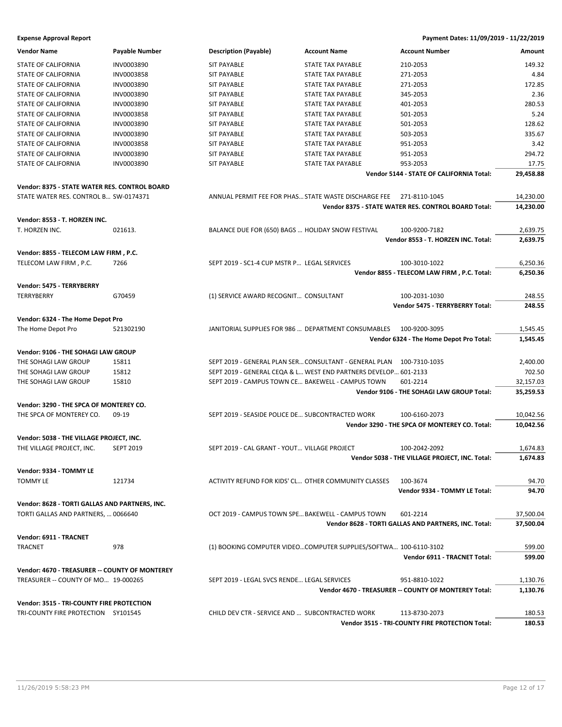# **Expense Approval Report Payment Dates: 11/09/2019 - 11/22/2019**

| <b>Vendor Name</b>                             | Payable Number   | <b>Description (Payable)</b>                           | <b>Account Name</b>                                              | <b>Account Number</b>                                | Amount    |
|------------------------------------------------|------------------|--------------------------------------------------------|------------------------------------------------------------------|------------------------------------------------------|-----------|
| STATE OF CALIFORNIA                            | INV0003890       | <b>SIT PAYABLE</b>                                     | STATE TAX PAYABLE                                                | 210-2053                                             | 149.32    |
| STATE OF CALIFORNIA                            | INV0003858       | <b>SIT PAYABLE</b>                                     | STATE TAX PAYABLE                                                | 271-2053                                             | 4.84      |
| STATE OF CALIFORNIA                            | INV0003890       | <b>SIT PAYABLE</b>                                     | <b>STATE TAX PAYABLE</b>                                         | 271-2053                                             | 172.85    |
| STATE OF CALIFORNIA                            | INV0003890       | <b>SIT PAYABLE</b>                                     | <b>STATE TAX PAYABLE</b>                                         | 345-2053                                             | 2.36      |
| STATE OF CALIFORNIA                            | INV0003890       | <b>SIT PAYABLE</b>                                     | STATE TAX PAYABLE                                                | 401-2053                                             | 280.53    |
| STATE OF CALIFORNIA                            | INV0003858       | <b>SIT PAYABLE</b>                                     | STATE TAX PAYABLE                                                | 501-2053                                             | 5.24      |
| STATE OF CALIFORNIA                            | INV0003890       | <b>SIT PAYABLE</b>                                     | STATE TAX PAYABLE                                                | 501-2053                                             | 128.62    |
| STATE OF CALIFORNIA                            | INV0003890       | <b>SIT PAYABLE</b>                                     | <b>STATE TAX PAYABLE</b>                                         | 503-2053                                             | 335.67    |
| <b>STATE OF CALIFORNIA</b>                     | INV0003858       | <b>SIT PAYABLE</b>                                     | <b>STATE TAX PAYABLE</b>                                         | 951-2053                                             | 3.42      |
| STATE OF CALIFORNIA                            | INV0003890       | <b>SIT PAYABLE</b>                                     | STATE TAX PAYABLE                                                | 951-2053                                             | 294.72    |
| STATE OF CALIFORNIA                            | INV0003890       | <b>SIT PAYABLE</b>                                     | STATE TAX PAYABLE                                                | 953-2053                                             | 17.75     |
|                                                |                  |                                                        |                                                                  | Vendor 5144 - STATE OF CALIFORNIA Total:             | 29,458.88 |
| Vendor: 8375 - STATE WATER RES. CONTROL BOARD  |                  |                                                        |                                                                  |                                                      |           |
| STATE WATER RES. CONTROL B SW-0174371          |                  | ANNUAL PERMIT FEE FOR PHAS STATE WASTE DISCHARGE FEE   |                                                                  | 271-8110-1045                                        | 14,230.00 |
|                                                |                  |                                                        |                                                                  | Vendor 8375 - STATE WATER RES. CONTROL BOARD Total:  | 14,230.00 |
| Vendor: 8553 - T. HORZEN INC.                  |                  |                                                        |                                                                  |                                                      |           |
| T. HORZEN INC.                                 | 021613.          | BALANCE DUE FOR (650) BAGS  HOLIDAY SNOW FESTIVAL      |                                                                  | 100-9200-7182                                        | 2,639.75  |
|                                                |                  |                                                        |                                                                  | Vendor 8553 - T. HORZEN INC. Total:                  | 2,639.75  |
| Vendor: 8855 - TELECOM LAW FIRM, P.C.          |                  |                                                        |                                                                  |                                                      |           |
| TELECOM LAW FIRM, P.C.                         | 7266             | SEPT 2019 - SC1-4 CUP MSTR P LEGAL SERVICES            |                                                                  | 100-3010-1022                                        | 6,250.36  |
|                                                |                  |                                                        |                                                                  | Vendor 8855 - TELECOM LAW FIRM, P.C. Total:          | 6,250.36  |
|                                                |                  |                                                        |                                                                  |                                                      |           |
| Vendor: 5475 - TERRYBERRY                      |                  |                                                        |                                                                  |                                                      |           |
| TERRYBERRY                                     | G70459           | (1) SERVICE AWARD RECOGNIT CONSULTANT                  |                                                                  | 100-2031-1030                                        | 248.55    |
|                                                |                  |                                                        |                                                                  | Vendor 5475 - TERRYBERRY Total:                      | 248.55    |
| Vendor: 6324 - The Home Depot Pro              |                  |                                                        |                                                                  |                                                      |           |
| The Home Depot Pro                             | 521302190        | JANITORIAL SUPPLIES FOR 986  DEPARTMENT CONSUMABLES    |                                                                  | 100-9200-3095                                        | 1,545.45  |
|                                                |                  |                                                        |                                                                  | Vendor 6324 - The Home Depot Pro Total:              | 1,545.45  |
| Vendor: 9106 - THE SOHAGI LAW GROUP            |                  |                                                        |                                                                  |                                                      |           |
| THE SOHAGI LAW GROUP                           | 15811            | SEPT 2019 - GENERAL PLAN SER CONSULTANT - GENERAL PLAN |                                                                  | 100-7310-1035                                        | 2,400.00  |
| THE SOHAGI LAW GROUP                           | 15812            |                                                        | SEPT 2019 - GENERAL CEQA & L WEST END PARTNERS DEVELOP 601-2133  |                                                      | 702.50    |
| THE SOHAGI LAW GROUP                           | 15810            | SEPT 2019 - CAMPUS TOWN CE BAKEWELL - CAMPUS TOWN      |                                                                  | 601-2214                                             | 32,157.03 |
|                                                |                  |                                                        |                                                                  | Vendor 9106 - THE SOHAGI LAW GROUP Total:            | 35,259.53 |
|                                                |                  |                                                        |                                                                  |                                                      |           |
| Vendor: 3290 - THE SPCA OF MONTEREY CO.        |                  |                                                        |                                                                  |                                                      |           |
| THE SPCA OF MONTEREY CO.                       | $09-19$          | SEPT 2019 - SEASIDE POLICE DE SUBCONTRACTED WORK       |                                                                  | 100-6160-2073                                        | 10,042.56 |
|                                                |                  |                                                        |                                                                  | Vendor 3290 - THE SPCA OF MONTEREY CO. Total:        | 10,042.56 |
| Vendor: 5038 - THE VILLAGE PROJECT, INC.       |                  |                                                        |                                                                  |                                                      |           |
| THE VILLAGE PROJECT, INC.                      | <b>SEPT 2019</b> | SEPT 2019 - CAL GRANT - YOUT VILLAGE PROJECT           |                                                                  | 100-2042-2092                                        | 1,674.83  |
|                                                |                  |                                                        |                                                                  | Vendor 5038 - THE VILLAGE PROJECT, INC. Total:       | 1,674.83  |
| Vendor: 9334 - TOMMY LE                        |                  |                                                        |                                                                  |                                                      |           |
| <b>TOMMY LE</b>                                | 121734           | ACTIVITY REFUND FOR KIDS' CL OTHER COMMUNITY CLASSES   |                                                                  | 100-3674                                             | 94.70     |
|                                                |                  |                                                        |                                                                  | Vendor 9334 - TOMMY LE Total:                        | 94.70     |
|                                                |                  |                                                        |                                                                  |                                                      |           |
| Vendor: 8628 - TORTI GALLAS AND PARTNERS, INC. |                  |                                                        |                                                                  | 601-2214                                             |           |
| TORTI GALLAS AND PARTNERS,  0066640            |                  | OCT 2019 - CAMPUS TOWN SPE BAKEWELL - CAMPUS TOWN      |                                                                  |                                                      | 37,500.04 |
|                                                |                  |                                                        |                                                                  | Vendor 8628 - TORTI GALLAS AND PARTNERS, INC. Total: | 37,500.04 |
| Vendor: 6911 - TRACNET                         |                  |                                                        |                                                                  |                                                      |           |
| <b>TRACNET</b>                                 | 978              |                                                        | (1) BOOKING COMPUTER VIDEOCOMPUTER SUPPLIES/SOFTWA 100-6110-3102 |                                                      | 599.00    |
|                                                |                  |                                                        |                                                                  | Vendor 6911 - TRACNET Total:                         | 599.00    |
| Vendor: 4670 - TREASURER -- COUNTY OF MONTEREY |                  |                                                        |                                                                  |                                                      |           |
| TREASURER -- COUNTY OF MO 19-000265            |                  | SEPT 2019 - LEGAL SVCS RENDE LEGAL SERVICES            |                                                                  | 951-8810-1022                                        | 1,130.76  |
|                                                |                  |                                                        |                                                                  | Vendor 4670 - TREASURER -- COUNTY OF MONTEREY Total: | 1,130.76  |
| Vendor: 3515 - TRI-COUNTY FIRE PROTECTION      |                  |                                                        |                                                                  |                                                      |           |
| TRI-COUNTY FIRE PROTECTION SY101545            |                  | CHILD DEV CTR - SERVICE AND  SUBCONTRACTED WORK        |                                                                  | 113-8730-2073                                        | 180.53    |
|                                                |                  |                                                        |                                                                  | Vendor 3515 - TRI-COUNTY FIRE PROTECTION Total:      | 180.53    |
|                                                |                  |                                                        |                                                                  |                                                      |           |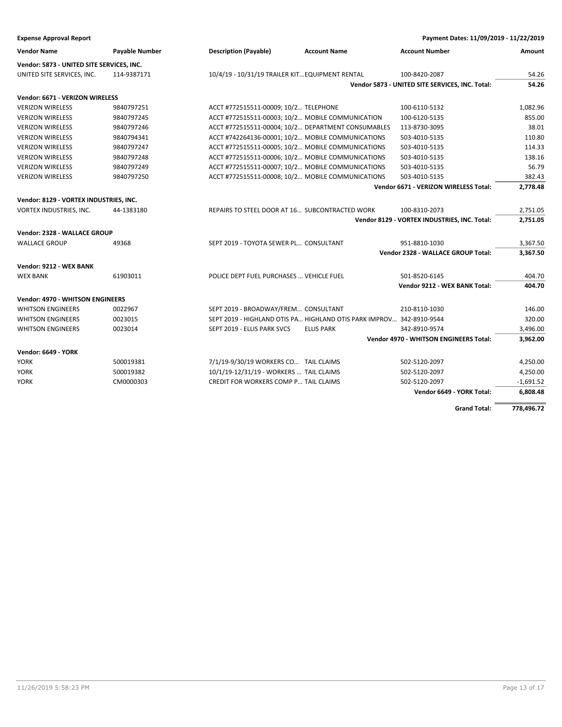| <b>Expense Approval Report</b>            |                       |                                                                      |                     | Payment Dates: 11/09/2019 - 11/22/2019          |             |
|-------------------------------------------|-----------------------|----------------------------------------------------------------------|---------------------|-------------------------------------------------|-------------|
| <b>Vendor Name</b>                        | <b>Payable Number</b> | <b>Description (Payable)</b>                                         | <b>Account Name</b> | <b>Account Number</b>                           | Amount      |
| Vendor: 5873 - UNITED SITE SERVICES, INC. |                       |                                                                      |                     |                                                 |             |
| UNITED SITE SERVICES, INC.                | 114-9387171           | 10/4/19 - 10/31/19 TRAILER KIT EQUIPMENT RENTAL                      |                     | 100-8420-2087                                   | 54.26       |
|                                           |                       |                                                                      |                     | Vendor 5873 - UNITED SITE SERVICES, INC. Total: | 54.26       |
| Vendor: 6671 - VERIZON WIRELESS           |                       |                                                                      |                     |                                                 |             |
| <b>VERIZON WIRELESS</b>                   | 9840797251            | ACCT #772515511-00009; 10/2 TELEPHONE                                |                     | 100-6110-5132                                   | 1,082.96    |
| <b>VERIZON WIRELESS</b>                   | 9840797245            | ACCT #772515511-00003; 10/2 MOBILE COMMUNICATION                     |                     | 100-6120-5135                                   | 855.00      |
| <b>VERIZON WIRELESS</b>                   | 9840797246            | ACCT #772515511-00004; 10/2 DEPARTMENT CONSUMABLES                   |                     | 113-8730-3095                                   | 38.01       |
| <b>VERIZON WIRELESS</b>                   | 9840794341            | ACCT #742264136-00001; 10/2 MOBILE COMMUNICATIONS                    |                     | 503-4010-5135                                   | 110.80      |
| <b>VERIZON WIRELESS</b>                   | 9840797247            | ACCT #772515511-00005; 10/2 MOBILE COMMUNICATIONS                    |                     | 503-4010-5135                                   | 114.33      |
| <b>VERIZON WIRELESS</b>                   | 9840797248            | ACCT #772515511-00006; 10/2 MOBILE COMMUNICATIONS                    |                     | 503-4010-5135                                   | 138.16      |
| <b>VERIZON WIRELESS</b>                   | 9840797249            | ACCT #772515511-00007; 10/2 MOBILE COMMUNICATIONS                    |                     | 503-4010-5135                                   | 56.79       |
| <b>VERIZON WIRELESS</b>                   | 9840797250            | ACCT #772515511-00008; 10/2 MOBILE COMMUNICATIONS                    |                     | 503-4010-5135                                   | 382.43      |
|                                           |                       |                                                                      |                     | Vendor 6671 - VERIZON WIRELESS Total:           | 2,778.48    |
| Vendor: 8129 - VORTEX INDUSTRIES, INC.    |                       |                                                                      |                     |                                                 |             |
| VORTEX INDUSTRIES, INC.                   | 44-1383180            | REPAIRS TO STEEL DOOR AT 16 SUBCONTRACTED WORK                       |                     | 100-8310-2073                                   | 2,751.05    |
|                                           |                       |                                                                      |                     | Vendor 8129 - VORTEX INDUSTRIES, INC. Total:    | 2,751.05    |
| Vendor: 2328 - WALLACE GROUP              |                       |                                                                      |                     |                                                 |             |
| <b>WALLACE GROUP</b>                      | 49368                 | SEPT 2019 - TOYOTA SEWER PL CONSULTANT                               |                     | 951-8810-1030                                   | 3,367.50    |
|                                           |                       |                                                                      |                     | Vendor 2328 - WALLACE GROUP Total:              | 3,367.50    |
|                                           |                       |                                                                      |                     |                                                 |             |
| Vendor: 9212 - WEX BANK                   |                       |                                                                      |                     |                                                 |             |
| <b>WEX BANK</b>                           | 61903011              | POLICE DEPT FUEL PURCHASES  VEHICLE FUEL                             |                     | 501-8520-6145                                   | 404.70      |
|                                           |                       |                                                                      |                     | Vendor 9212 - WEX BANK Total:                   | 404.70      |
| <b>Vendor: 4970 - WHITSON ENGINEERS</b>   |                       |                                                                      |                     |                                                 |             |
| <b>WHITSON ENGINEERS</b>                  | 0022967               | SEPT 2019 - BROADWAY/FREM CONSULTANT                                 |                     | 210-8110-1030                                   | 146.00      |
| <b>WHITSON ENGINEERS</b>                  | 0023015               | SEPT 2019 - HIGHLAND OTIS PA HIGHLAND OTIS PARK IMPROV 342-8910-9544 |                     |                                                 | 320.00      |
| <b>WHITSON ENGINEERS</b>                  | 0023014               | SEPT 2019 - ELLIS PARK SVCS                                          | <b>ELLIS PARK</b>   | 342-8910-9574                                   | 3,496.00    |
|                                           |                       |                                                                      |                     | Vendor 4970 - WHITSON ENGINEERS Total:          | 3,962.00    |
| <b>Vendor: 6649 - YORK</b>                |                       |                                                                      |                     |                                                 |             |
| <b>YORK</b>                               | 500019381             | 7/1/19-9/30/19 WORKERS CO TAIL CLAIMS                                |                     | 502-5120-2097                                   | 4,250.00    |
| <b>YORK</b>                               | 500019382             | 10/1/19-12/31/19 - WORKERS  TAIL CLAIMS                              |                     | 502-5120-2097                                   | 4,250.00    |
| <b>YORK</b>                               | CM0000303             | CREDIT FOR WORKERS COMP P TAIL CLAIMS                                |                     | 502-5120-2097                                   | $-1,691.52$ |
|                                           |                       |                                                                      |                     | Vendor 6649 - YORK Total:                       | 6,808.48    |

**Grand Total: 778,496.72**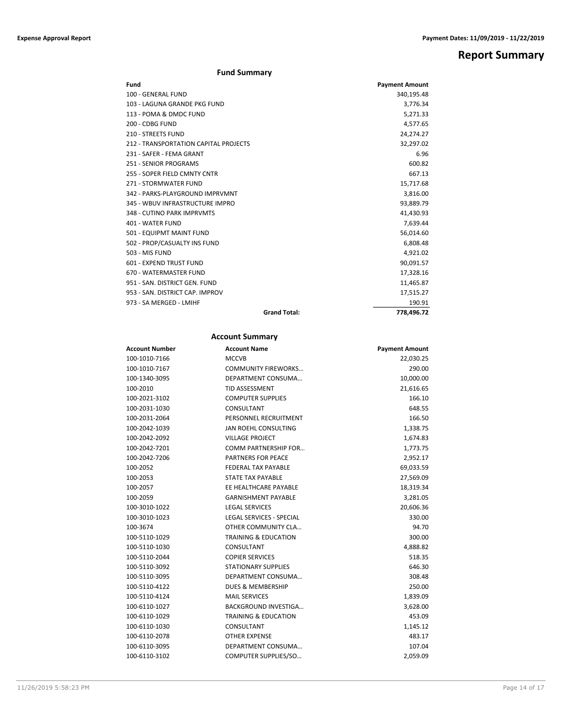**Report Summary**

# **Fund Summary**

| Fund                                  | <b>Payment Amount</b> |
|---------------------------------------|-----------------------|
| 100 - GENERAL FUND                    | 340,195.48            |
| 103 - LAGUNA GRANDE PKG FUND          | 3,776.34              |
| 113 - POMA & DMDC FUND                | 5,271.33              |
| 200 - CDBG FUND                       | 4,577.65              |
| <b>210 - STREETS FUND</b>             | 24,274.27             |
| 212 - TRANSPORTATION CAPITAL PROJECTS | 32,297.02             |
| 231 - SAFER - FEMA GRANT              | 6.96                  |
| 251 - SENIOR PROGRAMS                 | 600.82                |
| 255 - SOPER FIELD CMNTY CNTR          | 667.13                |
| 271 - STORMWATER FUND                 | 15,717.68             |
| 342 - PARKS-PLAYGROUND IMPRVMNT       | 3,816.00              |
| 345 - WBUV INFRASTRUCTURE IMPRO       | 93,889.79             |
| 348 - CUTINO PARK IMPRVMTS            | 41,430.93             |
| 401 - WATER FUND                      | 7,639.44              |
| 501 - EQUIPMT MAINT FUND              | 56,014.60             |
| 502 - PROP/CASUALTY INS FUND          | 6,808.48              |
| 503 - MIS FUND                        | 4,921.02              |
| 601 - EXPEND TRUST FUND               | 90,091.57             |
| 670 - WATERMASTER FUND                | 17,328.16             |
| 951 - SAN, DISTRICT GEN, FUND         | 11,465.87             |
| 953 - SAN, DISTRICT CAP, IMPROV       | 17,515.27             |
| 973 - SA MERGED - LMIHF               | 190.91                |
| <b>Grand Total:</b>                   | 778,496.72            |

# **Account Summary**

| <b>Account Number</b> | <b>Account Name</b>             | <b>Payment Amount</b> |
|-----------------------|---------------------------------|-----------------------|
| 100-1010-7166         | <b>MCCVB</b>                    | 22,030.25             |
| 100-1010-7167         | <b>COMMUNITY FIREWORKS</b>      | 290.00                |
| 100-1340-3095         | DEPARTMENT CONSUMA              | 10,000.00             |
| 100-2010              | <b>TID ASSESSMENT</b>           | 21,616.65             |
| 100-2021-3102         | <b>COMPUTER SUPPLIES</b>        | 166.10                |
| 100-2031-1030         | CONSULTANT                      | 648.55                |
| 100-2031-2064         | PERSONNEL RECRUITMENT           | 166.50                |
| 100-2042-1039         | JAN ROEHL CONSULTING            | 1,338.75              |
| 100-2042-2092         | <b>VILLAGE PROJECT</b>          | 1,674.83              |
| 100-2042-7201         | COMM PARTNERSHIP FOR            | 1,773.75              |
| 100-2042-7206         | <b>PARTNERS FOR PEACE</b>       | 2,952.17              |
| 100-2052              | <b>FEDERAL TAX PAYABLE</b>      | 69,033.59             |
| 100-2053              | STATE TAX PAYABLE               | 27,569.09             |
| 100-2057              | EE HEALTHCARE PAYABLE           | 18,319.34             |
| 100-2059              | <b>GARNISHMENT PAYABLE</b>      | 3,281.05              |
| 100-3010-1022         | <b>LEGAL SERVICES</b>           | 20,606.36             |
| 100-3010-1023         | <b>LEGAL SERVICES - SPECIAL</b> | 330.00                |
| 100-3674              | OTHER COMMUNITY CLA             | 94.70                 |
| 100-5110-1029         | <b>TRAINING &amp; EDUCATION</b> | 300.00                |
| 100-5110-1030         | CONSULTANT                      | 4,888.82              |
| 100-5110-2044         | <b>COPIER SERVICES</b>          | 518.35                |
| 100-5110-3092         | <b>STATIONARY SUPPLIES</b>      | 646.30                |
| 100-5110-3095         | DEPARTMENT CONSUMA              | 308.48                |
| 100-5110-4122         | <b>DUES &amp; MEMBERSHIP</b>    | 250.00                |
| 100-5110-4124         | <b>MAIL SERVICES</b>            | 1,839.09              |
| 100-6110-1027         | <b>BACKGROUND INVESTIGA</b>     | 3,628.00              |
| 100-6110-1029         | <b>TRAINING &amp; EDUCATION</b> | 453.09                |
| 100-6110-1030         | CONSULTANT                      | 1,145.12              |
| 100-6110-2078         | <b>OTHER EXPENSE</b>            | 483.17                |
| 100-6110-3095         | DEPARTMENT CONSUMA              | 107.04                |
| 100-6110-3102         | COMPUTER SUPPLIES/SO            | 2,059.09              |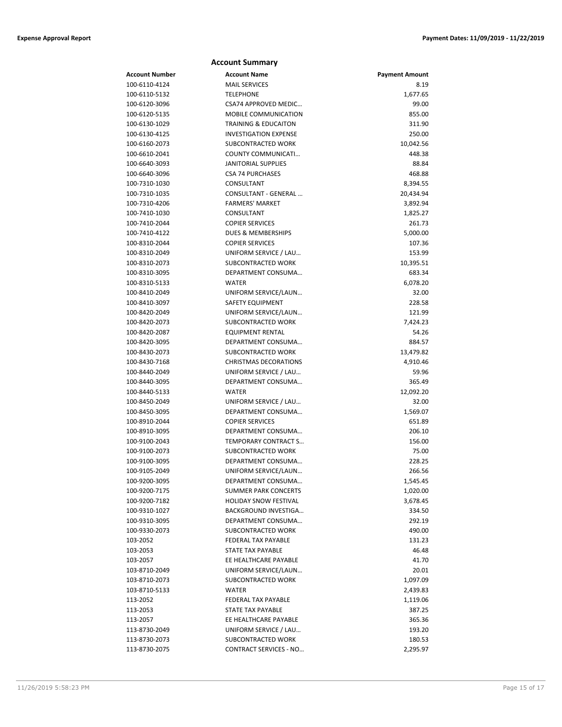|                       | <b>Account Summary</b>          |                       |
|-----------------------|---------------------------------|-----------------------|
| <b>Account Number</b> | <b>Account Name</b>             | <b>Payment Amount</b> |
| 100-6110-4124         | <b>MAIL SERVICES</b>            | 8.19                  |
| 100-6110-5132         | <b>TELEPHONE</b>                | 1,677.65              |
| 100-6120-3096         | CSA74 APPROVED MEDIC            | 99.00                 |
| 100-6120-5135         | <b>MOBILE COMMUNICATION</b>     | 855.00                |
| 100-6130-1029         | <b>TRAINING &amp; EDUCAITON</b> | 311.90                |
| 100-6130-4125         | <b>INVESTIGATION EXPENSE</b>    | 250.00                |
| 100-6160-2073         | SUBCONTRACTED WORK              | 10,042.56             |
| 100-6610-2041         | COUNTY COMMUNICATI              | 448.38                |
| 100-6640-3093         | <b>JANITORIAL SUPPLIES</b>      | 88.84                 |
| 100-6640-3096         | <b>CSA 74 PURCHASES</b>         | 468.88                |
| 100-7310-1030         | CONSULTANT                      | 8,394.55              |
| 100-7310-1035         | CONSULTANT - GENERAL            | 20,434.94             |
| 100-7310-4206         | <b>FARMERS' MARKET</b>          | 3,892.94              |
| 100-7410-1030         | CONSULTANT                      | 1,825.27              |
| 100-7410-2044         | <b>COPIER SERVICES</b>          | 261.73                |
| 100-7410-4122         | DUES & MEMBERSHIPS              | 5,000.00              |
| 100-8310-2044         | <b>COPIER SERVICES</b>          | 107.36                |
| 100-8310-2049         | UNIFORM SERVICE / LAU           | 153.99                |
| 100-8310-2073         | SUBCONTRACTED WORK              | 10,395.51             |
| 100-8310-3095         | DEPARTMENT CONSUMA              | 683.34                |
| 100-8310-5133         | <b>WATER</b>                    | 6,078.20              |
| 100-8410-2049         | UNIFORM SERVICE/LAUN            | 32.00                 |
| 100-8410-3097         | SAFETY EQUIPMENT                | 228.58                |
| 100-8420-2049         | UNIFORM SERVICE/LAUN            | 121.99                |
| 100-8420-2073         | SUBCONTRACTED WORK              | 7,424.23              |
| 100-8420-2087         | EQUIPMENT RENTAL                | 54.26                 |
| 100-8420-3095         | DEPARTMENT CONSUMA              | 884.57                |
| 100-8430-2073         | SUBCONTRACTED WORK              | 13,479.82             |
| 100-8430-7168         | <b>CHRISTMAS DECORATIONS</b>    | 4,910.46              |
| 100-8440-2049         | UNIFORM SERVICE / LAU           | 59.96                 |
| 100-8440-3095         | DEPARTMENT CONSUMA              | 365.49                |
| 100-8440-5133         | <b>WATER</b>                    | 12,092.20             |
| 100-8450-2049         | UNIFORM SERVICE / LAU           | 32.00                 |
| 100-8450-3095         | DEPARTMENT CONSUMA              | 1,569.07              |
| 100-8910-2044         | <b>COPIER SERVICES</b>          | 651.89                |
| 100-8910-3095         | DEPARTMENT CONSUMA              | 206.10                |
| 100-9100-2043         | TEMPORARY CONTRACT S            | 156.00                |
| 100-9100-2073         | SUBCONTRACTED WORK              | 75.00                 |
| 100-9100-3095         | DEPARTMENT CONSUMA              | 228.25                |
| 100-9105-2049         | UNIFORM SERVICE/LAUN            | 266.56                |
| 100-9200-3095         | DEPARTMENT CONSUMA              | 1,545.45              |
| 100-9200-7175         | <b>SUMMER PARK CONCERTS</b>     | 1,020.00              |
| 100-9200-7182         | <b>HOLIDAY SNOW FESTIVAL</b>    | 3,678.45              |
| 100-9310-1027         | <b>BACKGROUND INVESTIGA</b>     | 334.50                |
| 100-9310-3095         | DEPARTMENT CONSUMA              | 292.19                |
| 100-9330-2073         | SUBCONTRACTED WORK              | 490.00                |
| 103-2052              | FEDERAL TAX PAYABLE             | 131.23                |
| 103-2053              | <b>STATE TAX PAYABLE</b>        | 46.48                 |
| 103-2057              | EE HEALTHCARE PAYABLE           | 41.70                 |
| 103-8710-2049         | UNIFORM SERVICE/LAUN            | 20.01                 |
| 103-8710-2073         | <b>SUBCONTRACTED WORK</b>       | 1,097.09              |
| 103-8710-5133         | <b>WATER</b>                    | 2,439.83              |
| 113-2052              | FEDERAL TAX PAYABLE             | 1,119.06              |
| 113-2053              | STATE TAX PAYABLE               | 387.25                |
| 113-2057              | EE HEALTHCARE PAYABLE           | 365.36                |
| 113-8730-2049         | UNIFORM SERVICE / LAU           | 193.20                |
| 113-8730-2073         | SUBCONTRACTED WORK              | 180.53                |
| 113-8730-2075         | <b>CONTRACT SERVICES - NO</b>   | 2,295.97              |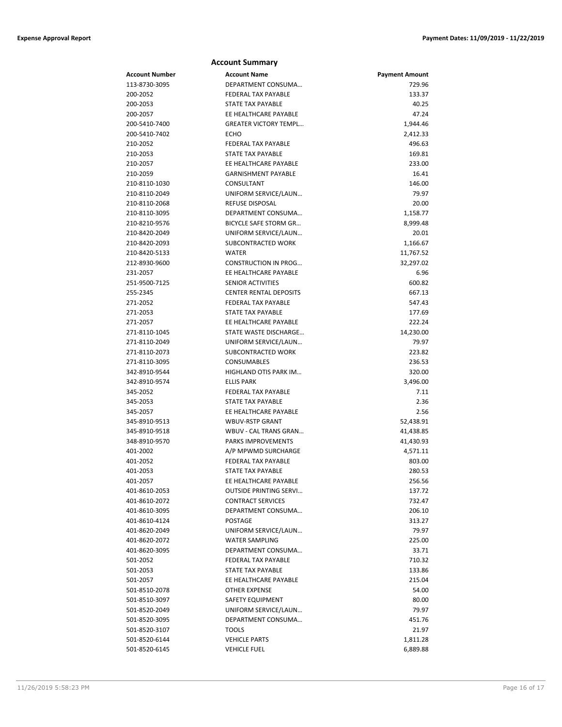|                      | <b>Account Summary</b>                                 |                       |
|----------------------|--------------------------------------------------------|-----------------------|
| Account Number       | <b>Account Name</b>                                    | <b>Payment Amount</b> |
| 113-8730-3095        | DEPARTMENT CONSUMA                                     | 729.96                |
| 200-2052             | FEDERAL TAX PAYABLE                                    | 133.37                |
| 200-2053             | <b>STATE TAX PAYABLE</b>                               | 40.25                 |
| 200-2057             | EE HEALTHCARE PAYABLE                                  | 47.24                 |
| 200-5410-7400        | <b>GREATER VICTORY TEMPL</b>                           | 1,944.46              |
| 200-5410-7402        | ECHO                                                   | 2,412.33              |
| 210-2052             | FEDERAL TAX PAYABLE                                    | 496.63                |
| 210-2053             | STATE TAX PAYABLE                                      | 169.81                |
| 210-2057             | EE HEALTHCARE PAYABLE                                  | 233.00                |
| 210-2059             | <b>GARNISHMENT PAYABLE</b>                             | 16.41                 |
| 210-8110-1030        | CONSULTANT                                             | 146.00                |
| 210-8110-2049        | UNIFORM SERVICE/LAUN                                   | 79.97                 |
| 210-8110-2068        | REFUSE DISPOSAL                                        | 20.00                 |
| 210-8110-3095        | DEPARTMENT CONSUMA                                     | 1,158.77              |
| 210-8210-9576        | BICYCLE SAFE STORM GR                                  | 8,999.48              |
| 210-8420-2049        | UNIFORM SERVICE/LAUN                                   | 20.01                 |
| 210-8420-2093        | SUBCONTRACTED WORK                                     | 1,166.67              |
| 210-8420-5133        | <b>WATER</b>                                           | 11,767.52             |
| 212-8930-9600        | <b>CONSTRUCTION IN PROG</b>                            | 32,297.02             |
| 231-2057             | EE HEALTHCARE PAYABLE                                  | 6.96                  |
| 251-9500-7125        | <b>SENIOR ACTIVITIES</b>                               | 600.82                |
| 255-2345             | <b>CENTER RENTAL DEPOSITS</b>                          | 667.13                |
| 271-2052             | <b>FEDERAL TAX PAYABLE</b><br><b>STATE TAX PAYABLE</b> | 547.43<br>177.69      |
| 271-2053<br>271-2057 | EE HEALTHCARE PAYABLE                                  | 222.24                |
| 271-8110-1045        | STATE WASTE DISCHARGE                                  |                       |
| 271-8110-2049        | UNIFORM SERVICE/LAUN                                   | 14,230.00<br>79.97    |
| 271-8110-2073        | SUBCONTRACTED WORK                                     | 223.82                |
| 271-8110-3095        | CONSUMABLES                                            | 236.53                |
| 342-8910-9544        | HIGHLAND OTIS PARK IM                                  | 320.00                |
| 342-8910-9574        | <b>ELLIS PARK</b>                                      | 3,496.00              |
| 345-2052             | FEDERAL TAX PAYABLE                                    | 7.11                  |
| 345-2053             | STATE TAX PAYABLE                                      | 2.36                  |
| 345-2057             | EE HEALTHCARE PAYABLE                                  | 2.56                  |
| 345-8910-9513        | <b>WBUV-RSTP GRANT</b>                                 | 52,438.91             |
| 345-8910-9518        | WBUV - CAL TRANS GRAN                                  | 41,438.85             |
| 348-8910-9570        | PARKS IMPROVEMENTS                                     | 41,430.93             |
| 401-2002             | A/P MPWMD SURCHARGE                                    | 4,571.11              |
| 401-2052             | FEDERAL TAX PAYABLE                                    | 803.00                |
| 401-2053             | STATE TAX PAYABLE                                      | 280.53                |
| 401-2057             | EE HEALTHCARE PAYABLE                                  | 256.56                |
| 401-8610-2053        | <b>OUTSIDE PRINTING SERVI</b>                          | 137.72                |
| 401-8610-2072        | <b>CONTRACT SERVICES</b>                               | 732.47                |
| 401-8610-3095        | DEPARTMENT CONSUMA                                     | 206.10                |
| 401-8610-4124        | POSTAGE                                                | 313.27                |
| 401-8620-2049        | UNIFORM SERVICE/LAUN                                   | 79.97                 |
| 401-8620-2072        | <b>WATER SAMPLING</b>                                  | 225.00                |
| 401-8620-3095        | DEPARTMENT CONSUMA                                     | 33.71                 |
| 501-2052             | FEDERAL TAX PAYABLE                                    | 710.32                |
| 501-2053             | STATE TAX PAYABLE                                      | 133.86                |
| 501-2057             | EE HEALTHCARE PAYABLE                                  | 215.04                |
| 501-8510-2078        | <b>OTHER EXPENSE</b>                                   | 54.00                 |
| 501-8510-3097        | SAFETY EQUIPMENT                                       | 80.00                 |
| 501-8520-2049        | UNIFORM SERVICE/LAUN                                   | 79.97                 |
| 501-8520-3095        | DEPARTMENT CONSUMA                                     | 451.76                |
| 501-8520-3107        | <b>TOOLS</b>                                           | 21.97                 |
| 501-8520-6144        | <b>VEHICLE PARTS</b>                                   | 1,811.28              |
| 501-8520-6145        | <b>VEHICLE FUEL</b>                                    | 6,889.88              |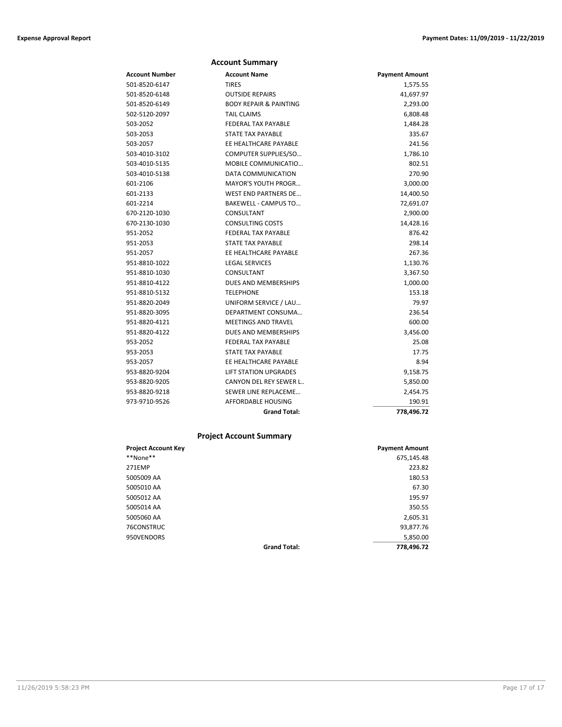|                | <b>Account Summary</b>            |                       |
|----------------|-----------------------------------|-----------------------|
| Account Number | <b>Account Name</b>               | <b>Payment Amount</b> |
| 501-8520-6147  | <b>TIRES</b>                      | 1,575.55              |
| 501-8520-6148  | <b>OUTSIDE REPAIRS</b>            | 41,697.97             |
| 501-8520-6149  | <b>BODY REPAIR &amp; PAINTING</b> | 2,293.00              |
| 502-5120-2097  | <b>TAIL CLAIMS</b>                | 6,808.48              |
| 503-2052       | <b>FEDERAL TAX PAYABLE</b>        | 1,484.28              |
| 503-2053       | <b>STATE TAX PAYABLE</b>          | 335.67                |
| 503-2057       | EE HEALTHCARE PAYABLE             | 241.56                |
| 503-4010-3102  | COMPUTER SUPPLIES/SO              | 1,786.10              |
| 503-4010-5135  | <b>MOBILE COMMUNICATIO</b>        | 802.51                |
| 503-4010-5138  | DATA COMMUNICATION                | 270.90                |
| 601-2106       | MAYOR'S YOUTH PROGR               | 3,000.00              |
| 601-2133       | <b>WEST END PARTNERS DE</b>       | 14,400.50             |
| 601-2214       | <b>BAKEWELL - CAMPUS TO</b>       | 72,691.07             |
| 670-2120-1030  | CONSULTANT                        | 2,900.00              |
| 670-2130-1030  | <b>CONSULTING COSTS</b>           | 14,428.16             |
| 951-2052       | <b>FEDERAL TAX PAYABLE</b>        | 876.42                |
| 951-2053       | <b>STATE TAX PAYABLE</b>          | 298.14                |
| 951-2057       | EE HEALTHCARE PAYABLE             | 267.36                |
| 951-8810-1022  | <b>LEGAL SERVICES</b>             | 1,130.76              |
| 951-8810-1030  | CONSULTANT                        | 3,367.50              |
| 951-8810-4122  | DUES AND MEMBERSHIPS              | 1,000.00              |
| 951-8810-5132  | <b>TELEPHONE</b>                  | 153.18                |
| 951-8820-2049  | UNIFORM SERVICE / LAU             | 79.97                 |
| 951-8820-3095  | DEPARTMENT CONSUMA                | 236.54                |
| 951-8820-4121  | <b>MEETINGS AND TRAVEL</b>        | 600.00                |
| 951-8820-4122  | DUES AND MEMBERSHIPS              | 3,456.00              |
| 953-2052       | <b>FEDERAL TAX PAYABLE</b>        | 25.08                 |
| 953-2053       | <b>STATE TAX PAYABLE</b>          | 17.75                 |
| 953-2057       | EE HEALTHCARE PAYABLE             | 8.94                  |
| 953-8820-9204  | <b>LIFT STATION UPGRADES</b>      | 9,158.75              |
| 953-8820-9205  | CANYON DEL REY SEWER L            | 5,850.00              |
| 953-8820-9218  | SEWER LINE REPLACEME              | 2,454.75              |
| 973-9710-9526  | AFFORDABLE HOUSING                | 190.91                |
|                | <b>Grand Total:</b>               | 778,496.72            |

# **Project Account Summary**

| <b>Project Account Key</b> |                     | <b>Payment Amount</b> |
|----------------------------|---------------------|-----------------------|
| **None**                   |                     | 675,145.48            |
| 271EMP                     |                     | 223.82                |
| 5005009 AA                 |                     | 180.53                |
| 5005010 AA                 |                     | 67.30                 |
| 5005012 AA                 |                     | 195.97                |
| 5005014 AA                 |                     | 350.55                |
| 5005060 AA                 |                     | 2,605.31              |
| 76CONSTRUC                 |                     | 93,877.76             |
| 950VENDORS                 |                     | 5,850.00              |
|                            | <b>Grand Total:</b> | 778,496.72            |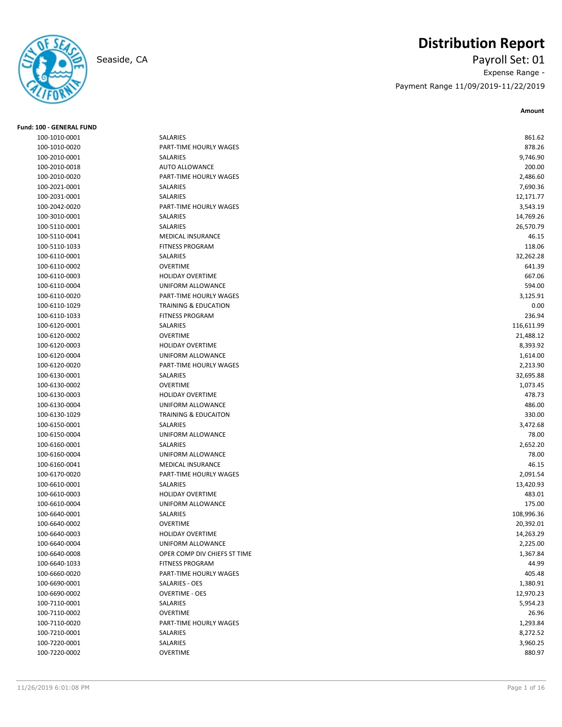

# **Distribution Report**

Seaside, CA Payroll Set: 01 Expense Range - Payment Range 11/09/2019-11/22/2019

| <b>Fund: 100 - GENERAL FUND</b> |                                 |            |
|---------------------------------|---------------------------------|------------|
| 100-1010-0001                   | SALARIES                        | 861.62     |
| 100-1010-0020                   | PART-TIME HOURLY WAGES          | 878.26     |
| 100-2010-0001                   | SALARIES                        | 9,746.90   |
| 100-2010-0018                   | <b>AUTO ALLOWANCE</b>           | 200.00     |
| 100-2010-0020                   | PART-TIME HOURLY WAGES          | 2,486.60   |
| 100-2021-0001                   | SALARIES                        | 7,690.36   |
| 100-2031-0001                   | SALARIES                        | 12,171.77  |
| 100-2042-0020                   | PART-TIME HOURLY WAGES          | 3,543.19   |
| 100-3010-0001                   | SALARIES                        | 14,769.26  |
| 100-5110-0001                   | SALARIES                        | 26,570.79  |
| 100-5110-0041                   | <b>MEDICAL INSURANCE</b>        | 46.15      |
| 100-5110-1033                   | <b>FITNESS PROGRAM</b>          | 118.06     |
| 100-6110-0001                   | SALARIES                        | 32,262.28  |
| 100-6110-0002                   | <b>OVERTIME</b>                 | 641.39     |
| 100-6110-0003                   | <b>HOLIDAY OVERTIME</b>         | 667.06     |
| 100-6110-0004                   | UNIFORM ALLOWANCE               | 594.00     |
| 100-6110-0020                   | PART-TIME HOURLY WAGES          | 3,125.91   |
| 100-6110-1029                   | <b>TRAINING &amp; EDUCATION</b> | 0.00       |
| 100-6110-1033                   | <b>FITNESS PROGRAM</b>          | 236.94     |
| 100-6120-0001                   | SALARIES                        | 116,611.99 |
| 100-6120-0002                   | <b>OVERTIME</b>                 | 21,488.12  |
| 100-6120-0003                   | <b>HOLIDAY OVERTIME</b>         | 8,393.92   |
| 100-6120-0004                   | UNIFORM ALLOWANCE               | 1,614.00   |
| 100-6120-0020                   | PART-TIME HOURLY WAGES          | 2,213.90   |
| 100-6130-0001                   | SALARIES                        | 32,695.88  |
| 100-6130-0002                   | <b>OVERTIME</b>                 | 1,073.45   |
| 100-6130-0003                   | <b>HOLIDAY OVERTIME</b>         | 478.73     |
| 100-6130-0004                   | UNIFORM ALLOWANCE               | 486.00     |
| 100-6130-1029                   | <b>TRAINING &amp; EDUCAITON</b> | 330.00     |
| 100-6150-0001                   | SALARIES                        | 3,472.68   |
| 100-6150-0004                   | UNIFORM ALLOWANCE               | 78.00      |
| 100-6160-0001                   | <b>SALARIES</b>                 | 2,652.20   |
| 100-6160-0004                   | UNIFORM ALLOWANCE               | 78.00      |
| 100-6160-0041                   | MEDICAL INSURANCE               | 46.15      |
| 100-6170-0020                   | PART-TIME HOURLY WAGES          | 2,091.54   |
| 100-6610-0001                   | SALARIES                        | 13,420.93  |
| 100-6610-0003                   | <b>HOLIDAY OVERTIME</b>         | 483.01     |
| 100-6610-0004                   | UNIFORM ALLOWANCE               | 175.00     |
| 100-6640-0001                   | SALARIES                        | 108,996.36 |
| 100-6640-0002                   | <b>OVERTIME</b>                 | 20,392.01  |
| 100-6640-0003                   | HOLIDAY OVERTIME                | 14,263.29  |
| 100-6640-0004                   | UNIFORM ALLOWANCE               | 2,225.00   |
| 100-6640-0008                   | OPER COMP DIV CHIEFS ST TIME    | 1,367.84   |
| 100-6640-1033                   | <b>FITNESS PROGRAM</b>          | 44.99      |
| 100-6660-0020                   | PART-TIME HOURLY WAGES          | 405.48     |
| 100-6690-0001                   | SALARIES - OES                  | 1,380.91   |
| 100-6690-0002                   | <b>OVERTIME - OES</b>           | 12,970.23  |
| 100-7110-0001                   | SALARIES                        | 5,954.23   |
| 100-7110-0002                   | <b>OVERTIME</b>                 | 26.96      |
| 100-7110-0020                   | PART-TIME HOURLY WAGES          | 1,293.84   |
| 100-7210-0001                   | SALARIES                        | 8,272.52   |
| 100-7220-0001                   | SALARIES                        | 3,960.25   |
| 100-7220-0002                   | OVERTIME                        | 880.97     |
|                                 |                                 |            |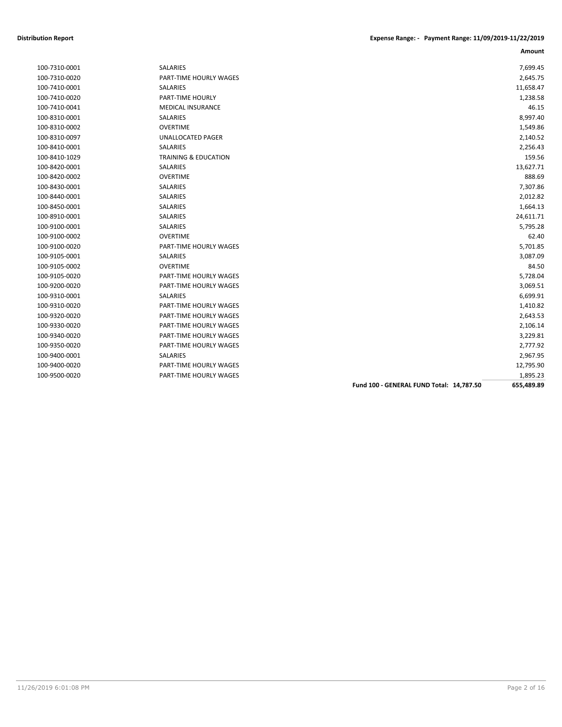|               |                                 |                                          | Amount     |
|---------------|---------------------------------|------------------------------------------|------------|
| 100-7310-0001 | <b>SALARIES</b>                 |                                          | 7,699.45   |
| 100-7310-0020 | PART-TIME HOURLY WAGES          |                                          | 2,645.75   |
| 100-7410-0001 | <b>SALARIES</b>                 |                                          | 11,658.47  |
| 100-7410-0020 | PART-TIME HOURLY                |                                          | 1,238.58   |
| 100-7410-0041 | <b>MEDICAL INSURANCE</b>        |                                          | 46.15      |
| 100-8310-0001 | <b>SALARIES</b>                 |                                          | 8,997.40   |
| 100-8310-0002 | <b>OVERTIME</b>                 |                                          | 1,549.86   |
| 100-8310-0097 | UNALLOCATED PAGER               |                                          | 2,140.52   |
| 100-8410-0001 | <b>SALARIES</b>                 |                                          | 2,256.43   |
| 100-8410-1029 | <b>TRAINING &amp; EDUCATION</b> |                                          | 159.56     |
| 100-8420-0001 | SALARIES                        |                                          | 13,627.71  |
| 100-8420-0002 | <b>OVERTIME</b>                 |                                          | 888.69     |
| 100-8430-0001 | <b>SALARIES</b>                 |                                          | 7,307.86   |
| 100-8440-0001 | SALARIES                        |                                          | 2,012.82   |
| 100-8450-0001 | <b>SALARIES</b>                 |                                          | 1,664.13   |
| 100-8910-0001 | <b>SALARIES</b>                 |                                          | 24,611.71  |
| 100-9100-0001 | SALARIES                        |                                          | 5,795.28   |
| 100-9100-0002 | <b>OVERTIME</b>                 |                                          | 62.40      |
| 100-9100-0020 | PART-TIME HOURLY WAGES          |                                          | 5,701.85   |
| 100-9105-0001 | SALARIES                        |                                          | 3,087.09   |
| 100-9105-0002 | <b>OVERTIME</b>                 |                                          | 84.50      |
| 100-9105-0020 | <b>PART-TIME HOURLY WAGES</b>   |                                          | 5,728.04   |
| 100-9200-0020 | PART-TIME HOURLY WAGES          |                                          | 3,069.51   |
| 100-9310-0001 | <b>SALARIES</b>                 |                                          | 6,699.91   |
| 100-9310-0020 | PART-TIME HOURLY WAGES          |                                          | 1,410.82   |
| 100-9320-0020 | PART-TIME HOURLY WAGES          |                                          | 2,643.53   |
| 100-9330-0020 | PART-TIME HOURLY WAGES          |                                          | 2,106.14   |
| 100-9340-0020 | PART-TIME HOURLY WAGES          |                                          | 3,229.81   |
| 100-9350-0020 | PART-TIME HOURLY WAGES          |                                          | 2,777.92   |
| 100-9400-0001 | <b>SALARIES</b>                 |                                          | 2,967.95   |
| 100-9400-0020 | <b>PART-TIME HOURLY WAGES</b>   |                                          | 12,795.90  |
| 100-9500-0020 | <b>PART-TIME HOURLY WAGES</b>   |                                          | 1,895.23   |
|               |                                 | Fund 100 - GENERAL FUND Total: 14,787.50 | 655,489.89 |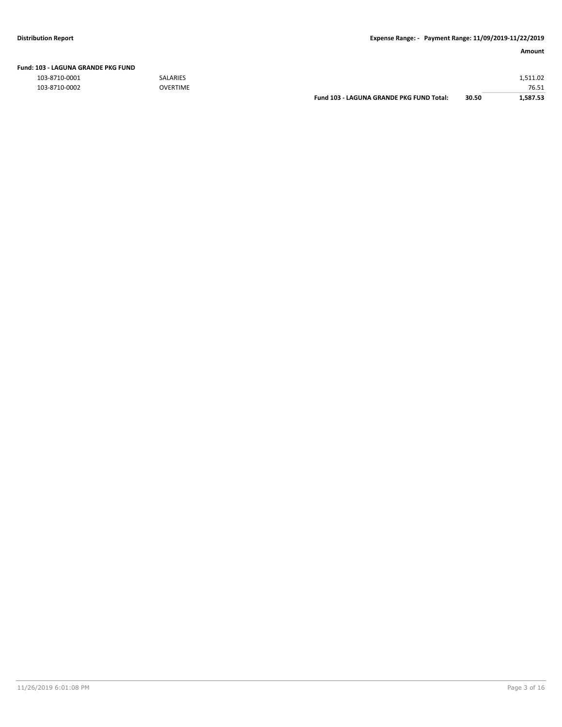|  | Fund: 103 - LAGUNA GRANDE PKG FUND |  |
|--|------------------------------------|--|
|  |                                    |  |

103-8710-0001 SALARIES 1,511.02

| 103-8710-0002 | <b>OVERTIME</b> |                                             |       | 76.51               |
|---------------|-----------------|---------------------------------------------|-------|---------------------|
|               |                 | - LAGUNA GRANDE PKG FUND Total:<br>Fund 103 | 30.50 | $1.587$ $\sim$<br>. |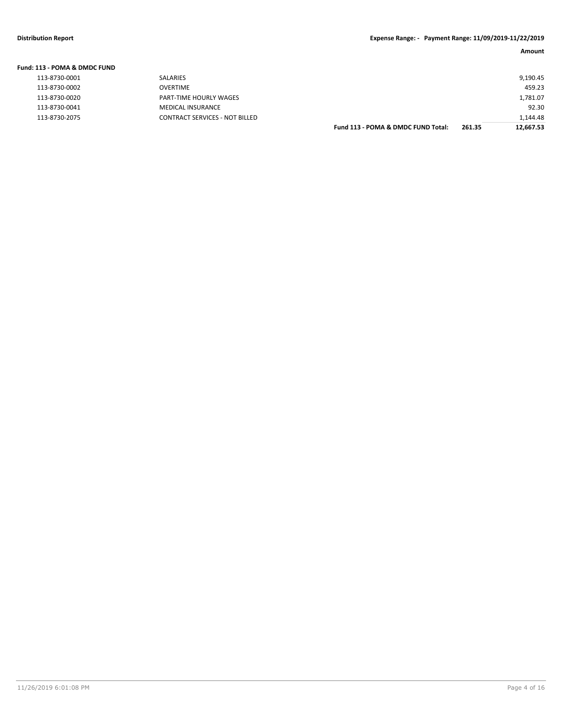| Fund: 113 - POMA & DMDC FUND |                                       |                                    |        |           |
|------------------------------|---------------------------------------|------------------------------------|--------|-----------|
| 113-8730-0001                | <b>SALARIES</b>                       |                                    |        | 9,190.45  |
| 113-8730-0002                | OVERTIME                              |                                    |        | 459.23    |
| 113-8730-0020                | PART-TIME HOURLY WAGES                |                                    |        | 1,781.07  |
| 113-8730-0041                | <b>MEDICAL INSURANCE</b>              |                                    |        | 92.30     |
| 113-8730-2075                | <b>CONTRACT SERVICES - NOT BILLED</b> |                                    |        | 1,144.48  |
|                              |                                       | Fund 113 - POMA & DMDC FUND Total: | 261.35 | 12.667.53 |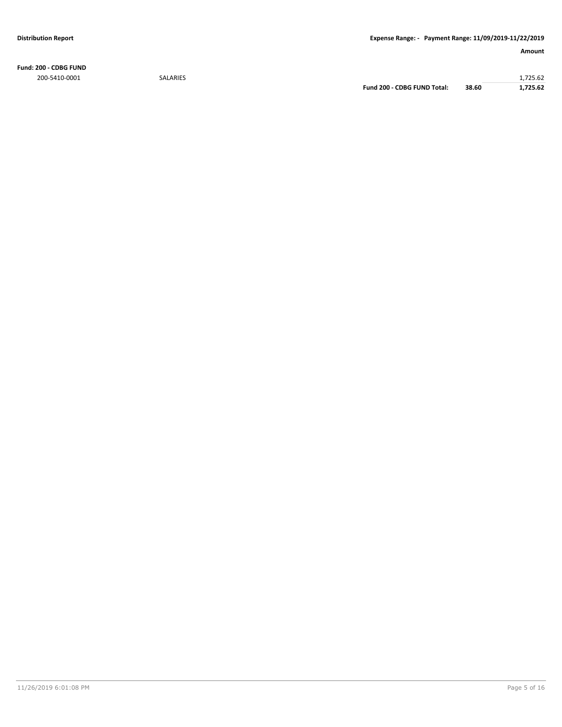**Fund: 200 - CDBG FUND**

200-5410-0001 SALARIES 1,725.62 **Fund 200 - CDBG FUND Total: 38.60 1,725.62**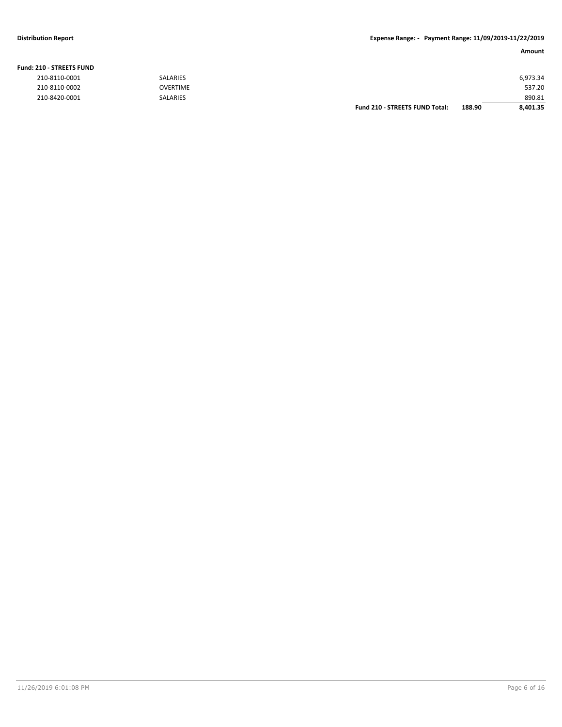### **Fund: 210 - STREETS FUND**

| 210-8110-0001 | SALARIES        |                                       |        | 6,973.34 |
|---------------|-----------------|---------------------------------------|--------|----------|
| 210-8110-0002 | <b>OVERTIME</b> |                                       |        | 537.20   |
| 210-8420-0001 | <b>SALARIES</b> |                                       |        | 890.81   |
|               |                 | <b>Fund 210 - STREETS FUND Total:</b> | 188.90 | 8,401.35 |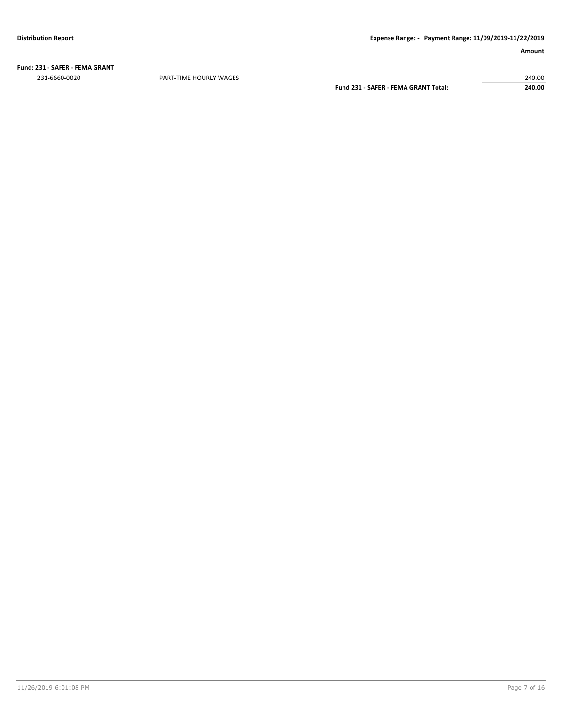**Fund: 231 - SAFER - FEMA GRANT** 231-6660-0020 PART-TIME HOURLY WAGES 240.00

**Fund 231 - SAFER - FEMA GRANT Total: 240.00**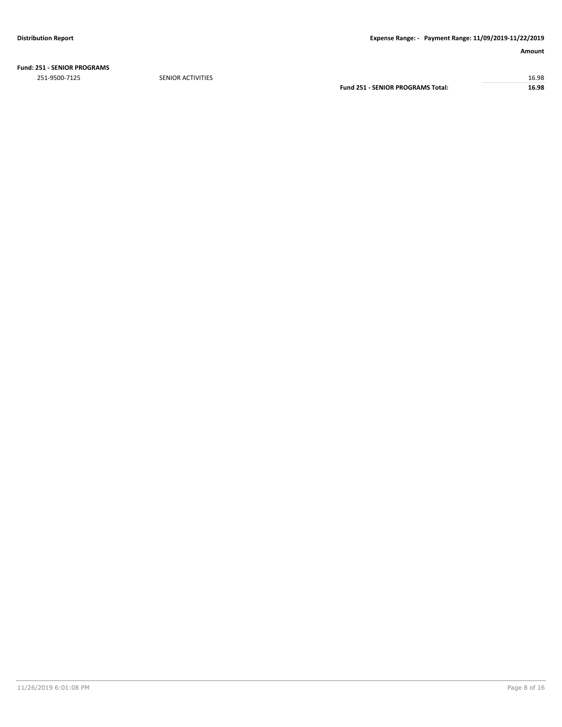**Fund: 251 - SENIOR PROGRAMS**

251-9500-7125 SENIOR ACTIVITIES 16.98 **Fund 251 - SENIOR PROGRAMS Total: 16.98**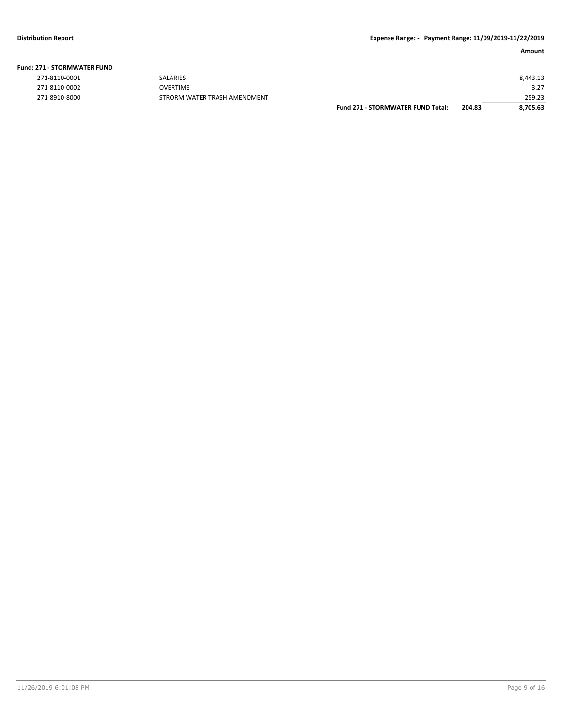**Fund: 271 - STORMWATER FUND**

|               |                              | <b>Fund 271 - STORMWATER FUND Total:</b> | 204.83 | 8,705.63 |
|---------------|------------------------------|------------------------------------------|--------|----------|
| 271-8910-8000 | STRORM WATER TRASH AMENDMENT |                                          |        | 259.23   |
| 271-8110-0002 | <b>OVERTIME</b>              |                                          |        | 3.27     |
| 271-8110-0001 | <b>SALARIES</b>              |                                          |        | 8,443.13 |
|               |                              |                                          |        |          |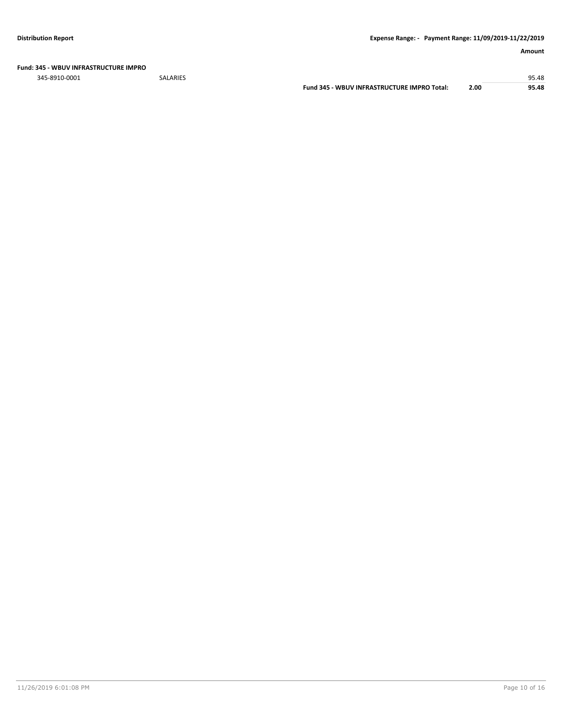**Fund: 345 - WBUV INFRASTRUCTURE IMPRO**

345-8910-0001 SALARIES 95.48 **Fund 345 - WBUV INFRASTRUCTURE IMPRO Total: 2.00 95.48**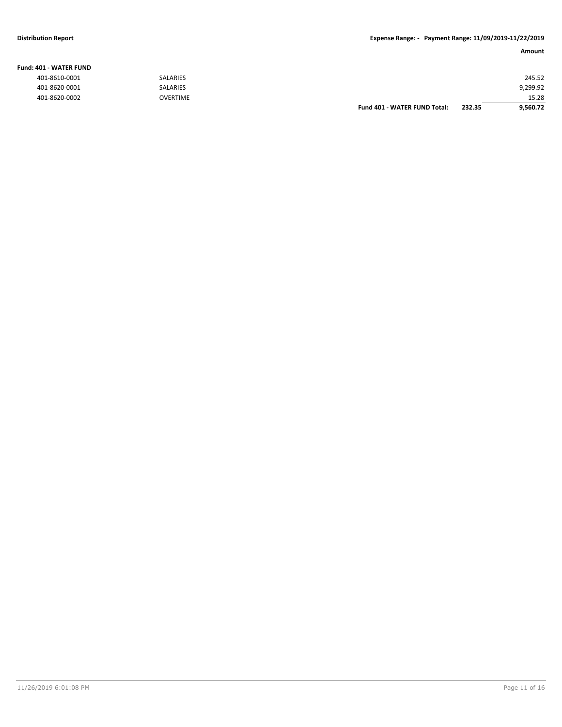### **Fund: 401 - WATER FUND**

| 401-8610-0001 | <b>SALARIES</b> |                                     |        | 245.52   |
|---------------|-----------------|-------------------------------------|--------|----------|
| 401-8620-0001 | <b>SALARIES</b> |                                     |        | 9,299.92 |
| 401-8620-0002 | <b>OVERTIME</b> |                                     |        | 15.28    |
|               |                 | <b>Fund 401 - WATER FUND Total:</b> | 232.35 | 9,560.72 |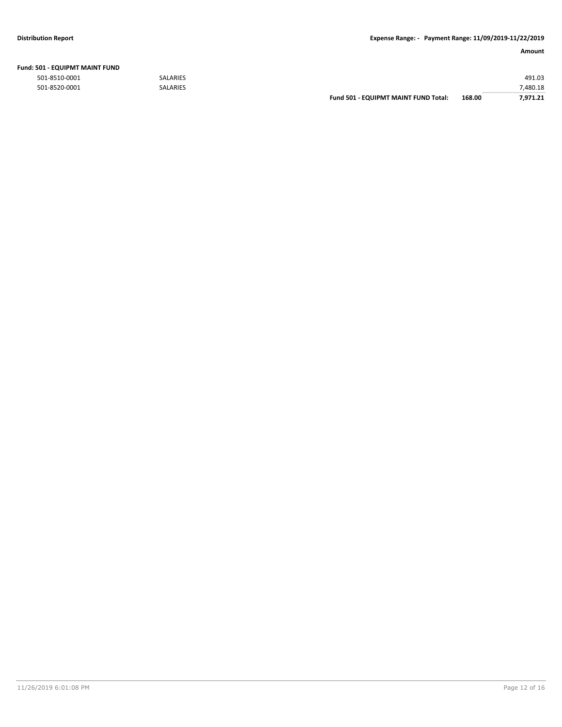|               |                 | Fund 501 - EQUIPMT MAINT FUND Total: | 168.00 | 7.971.21 |
|---------------|-----------------|--------------------------------------|--------|----------|
| 501-8520-0001 | <b>SALARIES</b> |                                      |        | 7,480.18 |
| 501-8510-0001 | <b>SALARIES</b> |                                      |        | 491.03   |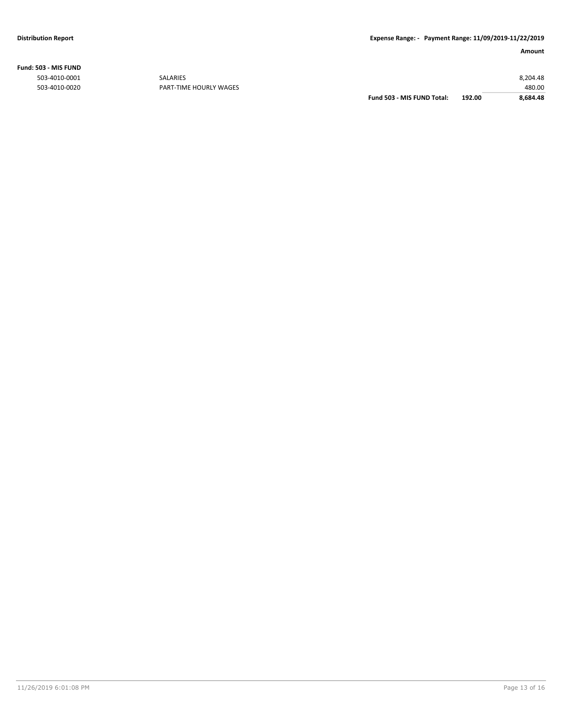**Fund: 503 - MIS FUND**

| 8,684.48 |
|----------|
| 480.00   |
| 8.204.48 |
|          |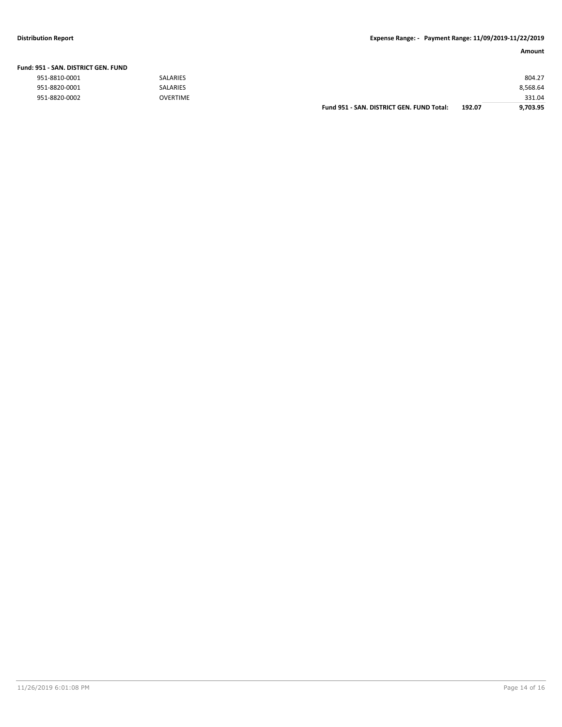# **Distribution Report Expense Range: - Payment Range: 11/09/2019-11/22/2019**

| Fund: 951 - SAN. DISTRICT GEN. FUND |                 |                                           |        |          |
|-------------------------------------|-----------------|-------------------------------------------|--------|----------|
| 951-8810-0001                       | <b>SALARIES</b> |                                           |        | 804.27   |
| 951-8820-0001                       | <b>SALARIES</b> |                                           |        | 8,568.64 |
| 951-8820-0002                       | <b>OVERTIME</b> |                                           |        | 331.04   |
|                                     |                 | Fund 951 - SAN, DISTRICT GEN, FUND Total: | 192.07 | 9.703.95 |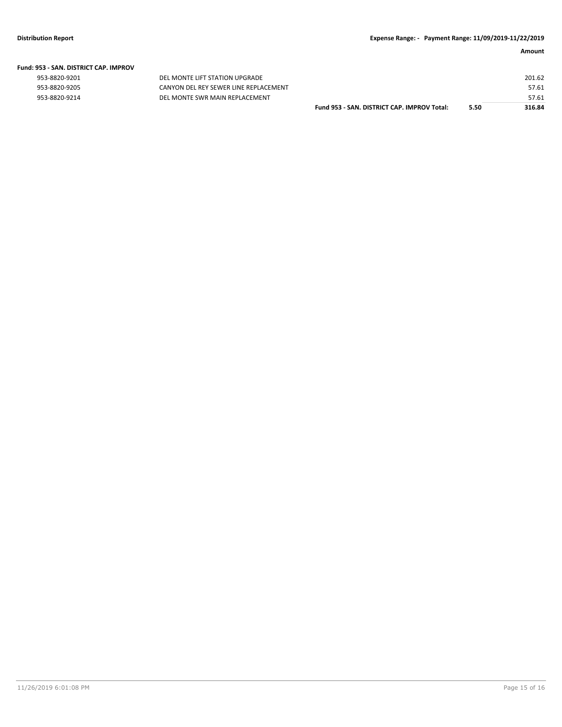| Fund: 953 - SAN. DISTRICT CAP. IMPROV |  |  |  |  |  |  |  |
|---------------------------------------|--|--|--|--|--|--|--|
|---------------------------------------|--|--|--|--|--|--|--|

| 953-8820-9201        |
|----------------------|
| 953-8820-9205        |
| <b>052.9920.0214</b> |

DEL MONTE LIFT STATION UPGRADE CANYON DEL REY SEWER LINE REPLACEMENT 953-8820-9214 DEL MONTE SWR MAIN REPLACEMENT

|                                             |      | 201.62 |
|---------------------------------------------|------|--------|
|                                             |      | 57.61  |
|                                             |      | 57.61  |
| Fund 953 - SAN. DISTRICT CAP. IMPROV Total: | 5.50 | 316.84 |